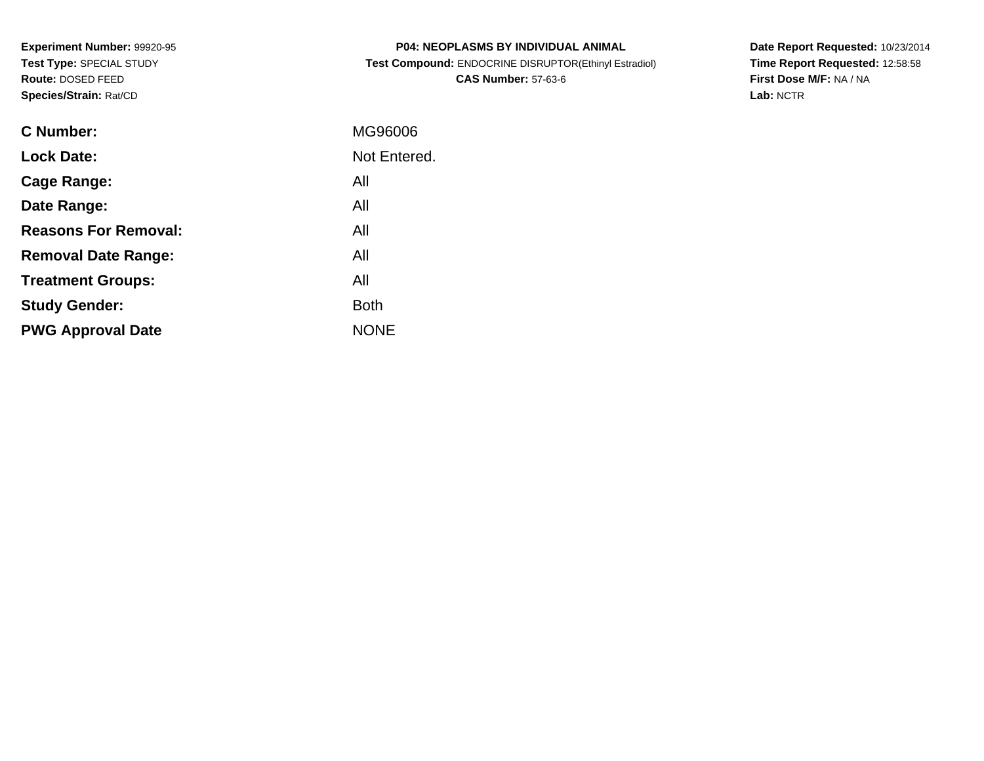**Experiment Number:** 99920-95**Test Type:** SPECIAL STUDY**Route:** DOSED FEED**Species/Strain:** Rat/CD

| <b>P04: NEOPLASMS BY INDIVIDUAL ANIMAL</b>            |
|-------------------------------------------------------|
| Test Compound: ENDOCRINE DISRUPTOR(Ethinyl Estradiol) |
| <b>CAS Number: 57-63-6</b>                            |

**Date Report Requested:** 10/23/2014 **Time Report Requested:** 12:58:58**First Dose M/F:** NA / NA**Lab:** NCTR

| C Number:                   | MG96006      |
|-----------------------------|--------------|
| <b>Lock Date:</b>           | Not Entered. |
| Cage Range:                 | All          |
| Date Range:                 | All          |
| <b>Reasons For Removal:</b> | All          |
| <b>Removal Date Range:</b>  | All          |
| <b>Treatment Groups:</b>    | All          |
| <b>Study Gender:</b>        | <b>Both</b>  |
| <b>PWG Approval Date</b>    | <b>NONE</b>  |
|                             |              |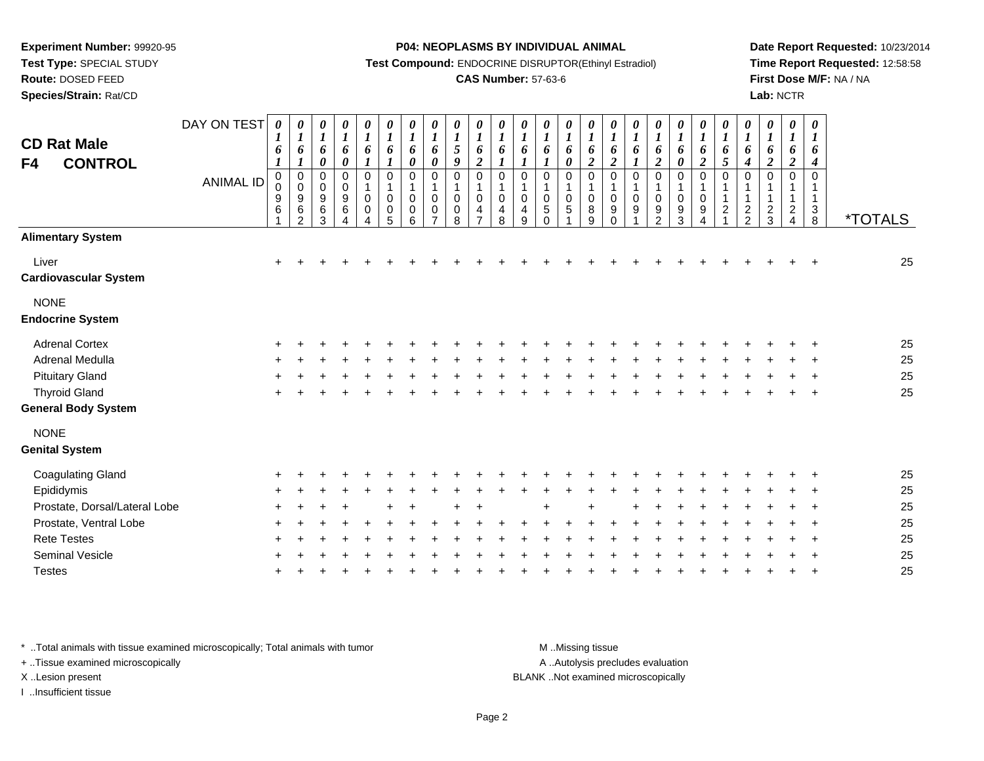**Test Type:** SPECIAL STUDY

## **Route:** DOSED FEED

**Species/Strain:** Rat/CD

### **P04: NEOPLASMS BY INDIVIDUAL ANIMAL**

**Test Compound:** ENDOCRINE DISRUPTOR(Ethinyl Estradiol)

### **CAS Number:** 57-63-6

**Date Report Requested:** 10/23/2014**Time Report Requested:** 12:58:58**First Dose M/F:** NA / NA**Lab:** NCTR

| <b>CD Rat Male</b><br>F4<br><b>CONTROL</b> | DAY ON TEST<br><b>ANIMAL ID</b> | $\boldsymbol{l}$<br>6<br>$\boldsymbol{l}$<br>$\mathbf 0$<br>0<br>9<br>6 | 0<br>$\boldsymbol{l}$<br>6<br>1<br>$\pmb{0}$<br>$\pmb{0}$<br>$\boldsymbol{9}$<br>$\,6$<br>$\mathcal{P}$ | 0<br>$\boldsymbol{l}$<br>6<br>$\pmb{\theta}$<br>0<br>$\boldsymbol{0}$<br>9<br>6<br>3 | 0<br>$\boldsymbol{l}$<br>6<br>$\boldsymbol{\theta}$<br>$\pmb{0}$<br>$\pmb{0}$<br>$\boldsymbol{9}$<br>$\,6$<br>4 | 0<br>$\boldsymbol{l}$<br>6<br>$\boldsymbol{l}$<br>$\mathbf 0$<br>$\mathbf 1$<br>0<br>0 | 0<br>$\boldsymbol{l}$<br>6<br>$\boldsymbol{l}$<br>$\pmb{0}$<br>$\mathbf{1}$<br>0<br>$\pmb{0}$<br>5 | 0<br>$\boldsymbol{l}$<br>6<br>$\boldsymbol{\theta}$<br>0<br>$\mathbf{1}$<br>$\mathbf 0$<br>0<br>6 | 0<br>$\boldsymbol{l}$<br>6<br>$\boldsymbol{\theta}$<br>0<br>$\mathbf 1$<br>$\mathbf 0$<br>0<br>$\overline{ }$ | 0<br>$\boldsymbol{l}$<br>5<br>9<br>$\mathbf 0$<br>$\mathbf{1}$<br>$\Omega$<br>0<br>8 | 0<br>$\boldsymbol{l}$<br>6<br>$\boldsymbol{2}$<br>$\mathbf 0$<br>1<br>$\mathbf 0$<br>4 | 0<br>$\boldsymbol{l}$<br>6<br>$\mathbf 0$<br>$\mathbf{1}$<br>$\mathbf 0$<br>4<br>8 | 0<br>$\boldsymbol{l}$<br>6<br>1<br>$\mathbf 0$<br>$\mathbf 1$<br>0<br>4<br>9 | 0<br>$\boldsymbol{l}$<br>6<br>$\boldsymbol{l}$<br>$\mathbf 0$<br>$\mathbf 1$<br>0<br>$\,$ 5 $\,$<br>$\Omega$ | 0<br>$\boldsymbol{l}$<br>6<br>$\pmb{\theta}$<br>$\mathbf 0$<br>1<br>0<br>$\,$ 5 $\,$ | 0<br>$\boldsymbol{l}$<br>6<br>$\overline{2}$<br>$\mathbf 0$<br>1<br>0<br>8<br>9 | 0<br>$\boldsymbol{l}$<br>6<br>$\overline{2}$<br>$\mathbf 0$<br>$\mathbf 1$<br>0<br>9<br>$\Omega$ | 0<br>$\boldsymbol{l}$<br>6<br>$\boldsymbol{l}$<br>0<br>$\mathbf 1$<br>$\Omega$<br>9 | 0<br>$\boldsymbol{l}$<br>6<br>$\overline{2}$<br>$\pmb{0}$<br>1<br>0<br>9<br>$\mathcal{P}$ | 0<br>$\boldsymbol{l}$<br>6<br>$\pmb{\theta}$<br>0<br>$\mathbf{1}$<br>$\boldsymbol{0}$<br>9<br>3 | 0<br>$\boldsymbol{l}$<br>6<br>$\overline{2}$<br>0<br>$\mathbf 1$<br>$\pmb{0}$<br>9<br>4 | 0<br>$\boldsymbol{l}$<br>6<br>5<br>$\mathbf 0$<br>$\mathbf 1$<br>$\mathbf{1}$<br>$\overline{c}$ | 0<br>$\boldsymbol{l}$<br>6<br>$\boldsymbol{4}$<br>0<br>$\mathbf 1$<br>$\frac{2}{2}$ | 0<br>$\boldsymbol{l}$<br>6<br>$\overline{2}$<br>$\mathbf 0$<br>1<br>1<br>$\frac{2}{3}$ | 0<br>$\boldsymbol{l}$<br>6<br>$\boldsymbol{2}$<br>0<br>$\mathbf 1$<br>$\overline{a}$<br>4 | $\boldsymbol{\theta}$<br>$\boldsymbol{l}$<br>6<br>4<br>$\Omega$<br>$\mathbf{1}$<br>$\mathbf{1}$<br>3<br>8 | <i><b>*TOTALS</b></i> |
|--------------------------------------------|---------------------------------|-------------------------------------------------------------------------|---------------------------------------------------------------------------------------------------------|--------------------------------------------------------------------------------------|-----------------------------------------------------------------------------------------------------------------|----------------------------------------------------------------------------------------|----------------------------------------------------------------------------------------------------|---------------------------------------------------------------------------------------------------|---------------------------------------------------------------------------------------------------------------|--------------------------------------------------------------------------------------|----------------------------------------------------------------------------------------|------------------------------------------------------------------------------------|------------------------------------------------------------------------------|--------------------------------------------------------------------------------------------------------------|--------------------------------------------------------------------------------------|---------------------------------------------------------------------------------|--------------------------------------------------------------------------------------------------|-------------------------------------------------------------------------------------|-------------------------------------------------------------------------------------------|-------------------------------------------------------------------------------------------------|-----------------------------------------------------------------------------------------|-------------------------------------------------------------------------------------------------|-------------------------------------------------------------------------------------|----------------------------------------------------------------------------------------|-------------------------------------------------------------------------------------------|-----------------------------------------------------------------------------------------------------------|-----------------------|
| <b>Alimentary System</b>                   |                                 |                                                                         |                                                                                                         |                                                                                      |                                                                                                                 |                                                                                        |                                                                                                    |                                                                                                   |                                                                                                               |                                                                                      |                                                                                        |                                                                                    |                                                                              |                                                                                                              |                                                                                      |                                                                                 |                                                                                                  |                                                                                     |                                                                                           |                                                                                                 |                                                                                         |                                                                                                 |                                                                                     |                                                                                        |                                                                                           |                                                                                                           |                       |
| Liver<br><b>Cardiovascular System</b>      |                                 | $\ddot{}$                                                               |                                                                                                         |                                                                                      |                                                                                                                 |                                                                                        |                                                                                                    |                                                                                                   |                                                                                                               |                                                                                      |                                                                                        |                                                                                    |                                                                              |                                                                                                              |                                                                                      |                                                                                 |                                                                                                  |                                                                                     |                                                                                           |                                                                                                 |                                                                                         |                                                                                                 |                                                                                     |                                                                                        |                                                                                           |                                                                                                           | 25                    |
| <b>NONE</b><br><b>Endocrine System</b>     |                                 |                                                                         |                                                                                                         |                                                                                      |                                                                                                                 |                                                                                        |                                                                                                    |                                                                                                   |                                                                                                               |                                                                                      |                                                                                        |                                                                                    |                                                                              |                                                                                                              |                                                                                      |                                                                                 |                                                                                                  |                                                                                     |                                                                                           |                                                                                                 |                                                                                         |                                                                                                 |                                                                                     |                                                                                        |                                                                                           |                                                                                                           |                       |
| <b>Adrenal Cortex</b>                      |                                 |                                                                         |                                                                                                         |                                                                                      |                                                                                                                 |                                                                                        |                                                                                                    |                                                                                                   |                                                                                                               |                                                                                      |                                                                                        |                                                                                    |                                                                              |                                                                                                              |                                                                                      |                                                                                 |                                                                                                  |                                                                                     |                                                                                           |                                                                                                 |                                                                                         |                                                                                                 |                                                                                     |                                                                                        |                                                                                           |                                                                                                           | 25                    |
| Adrenal Medulla                            |                                 |                                                                         |                                                                                                         |                                                                                      |                                                                                                                 |                                                                                        |                                                                                                    |                                                                                                   |                                                                                                               |                                                                                      |                                                                                        |                                                                                    |                                                                              |                                                                                                              |                                                                                      |                                                                                 |                                                                                                  |                                                                                     |                                                                                           |                                                                                                 |                                                                                         |                                                                                                 |                                                                                     |                                                                                        |                                                                                           |                                                                                                           | 25                    |
| <b>Pituitary Gland</b>                     |                                 |                                                                         |                                                                                                         |                                                                                      |                                                                                                                 |                                                                                        |                                                                                                    |                                                                                                   |                                                                                                               |                                                                                      |                                                                                        |                                                                                    |                                                                              |                                                                                                              |                                                                                      |                                                                                 |                                                                                                  |                                                                                     |                                                                                           |                                                                                                 |                                                                                         |                                                                                                 |                                                                                     |                                                                                        |                                                                                           |                                                                                                           | 25                    |
| <b>Thyroid Gland</b>                       |                                 |                                                                         |                                                                                                         |                                                                                      |                                                                                                                 |                                                                                        |                                                                                                    |                                                                                                   |                                                                                                               |                                                                                      |                                                                                        |                                                                                    |                                                                              |                                                                                                              |                                                                                      |                                                                                 |                                                                                                  |                                                                                     |                                                                                           |                                                                                                 |                                                                                         |                                                                                                 |                                                                                     |                                                                                        |                                                                                           |                                                                                                           | 25                    |
| <b>General Body System</b>                 |                                 |                                                                         |                                                                                                         |                                                                                      |                                                                                                                 |                                                                                        |                                                                                                    |                                                                                                   |                                                                                                               |                                                                                      |                                                                                        |                                                                                    |                                                                              |                                                                                                              |                                                                                      |                                                                                 |                                                                                                  |                                                                                     |                                                                                           |                                                                                                 |                                                                                         |                                                                                                 |                                                                                     |                                                                                        |                                                                                           |                                                                                                           |                       |
| <b>NONE</b><br><b>Genital System</b>       |                                 |                                                                         |                                                                                                         |                                                                                      |                                                                                                                 |                                                                                        |                                                                                                    |                                                                                                   |                                                                                                               |                                                                                      |                                                                                        |                                                                                    |                                                                              |                                                                                                              |                                                                                      |                                                                                 |                                                                                                  |                                                                                     |                                                                                           |                                                                                                 |                                                                                         |                                                                                                 |                                                                                     |                                                                                        |                                                                                           |                                                                                                           |                       |
| <b>Coagulating Gland</b>                   |                                 |                                                                         |                                                                                                         |                                                                                      |                                                                                                                 |                                                                                        |                                                                                                    |                                                                                                   |                                                                                                               |                                                                                      |                                                                                        |                                                                                    |                                                                              |                                                                                                              |                                                                                      |                                                                                 |                                                                                                  |                                                                                     |                                                                                           |                                                                                                 |                                                                                         |                                                                                                 |                                                                                     |                                                                                        |                                                                                           |                                                                                                           | 25                    |
| Epididymis                                 |                                 |                                                                         |                                                                                                         |                                                                                      |                                                                                                                 |                                                                                        |                                                                                                    |                                                                                                   |                                                                                                               |                                                                                      |                                                                                        |                                                                                    |                                                                              |                                                                                                              |                                                                                      |                                                                                 |                                                                                                  |                                                                                     |                                                                                           |                                                                                                 |                                                                                         |                                                                                                 |                                                                                     |                                                                                        |                                                                                           |                                                                                                           | 25                    |
| Prostate, Dorsal/Lateral Lobe              |                                 |                                                                         |                                                                                                         |                                                                                      |                                                                                                                 |                                                                                        |                                                                                                    |                                                                                                   |                                                                                                               |                                                                                      |                                                                                        |                                                                                    |                                                                              |                                                                                                              |                                                                                      |                                                                                 |                                                                                                  |                                                                                     |                                                                                           |                                                                                                 |                                                                                         |                                                                                                 |                                                                                     |                                                                                        |                                                                                           |                                                                                                           | 25                    |
| Prostate, Ventral Lobe                     |                                 |                                                                         |                                                                                                         |                                                                                      |                                                                                                                 |                                                                                        |                                                                                                    |                                                                                                   |                                                                                                               |                                                                                      |                                                                                        |                                                                                    |                                                                              |                                                                                                              |                                                                                      |                                                                                 |                                                                                                  |                                                                                     |                                                                                           |                                                                                                 |                                                                                         |                                                                                                 |                                                                                     |                                                                                        |                                                                                           |                                                                                                           | 25                    |
| <b>Rete Testes</b>                         |                                 |                                                                         |                                                                                                         |                                                                                      |                                                                                                                 |                                                                                        |                                                                                                    |                                                                                                   |                                                                                                               |                                                                                      |                                                                                        |                                                                                    |                                                                              |                                                                                                              |                                                                                      |                                                                                 |                                                                                                  |                                                                                     |                                                                                           |                                                                                                 |                                                                                         |                                                                                                 |                                                                                     |                                                                                        |                                                                                           |                                                                                                           | 25                    |
| Seminal Vesicle                            |                                 |                                                                         |                                                                                                         |                                                                                      |                                                                                                                 |                                                                                        |                                                                                                    |                                                                                                   |                                                                                                               |                                                                                      |                                                                                        |                                                                                    |                                                                              |                                                                                                              |                                                                                      |                                                                                 |                                                                                                  |                                                                                     |                                                                                           |                                                                                                 |                                                                                         |                                                                                                 |                                                                                     |                                                                                        |                                                                                           |                                                                                                           | 25                    |
| <b>Testes</b>                              |                                 |                                                                         |                                                                                                         |                                                                                      |                                                                                                                 |                                                                                        |                                                                                                    |                                                                                                   |                                                                                                               |                                                                                      |                                                                                        |                                                                                    |                                                                              |                                                                                                              |                                                                                      |                                                                                 |                                                                                                  |                                                                                     |                                                                                           |                                                                                                 |                                                                                         |                                                                                                 |                                                                                     |                                                                                        |                                                                                           |                                                                                                           | 25                    |

\* ..Total animals with tissue examined microscopically; Total animals with tumor **M** . Missing tissue M ..Missing tissue

+ ..Tissue examined microscopically

I ..Insufficient tissue

A ..Autolysis precludes evaluation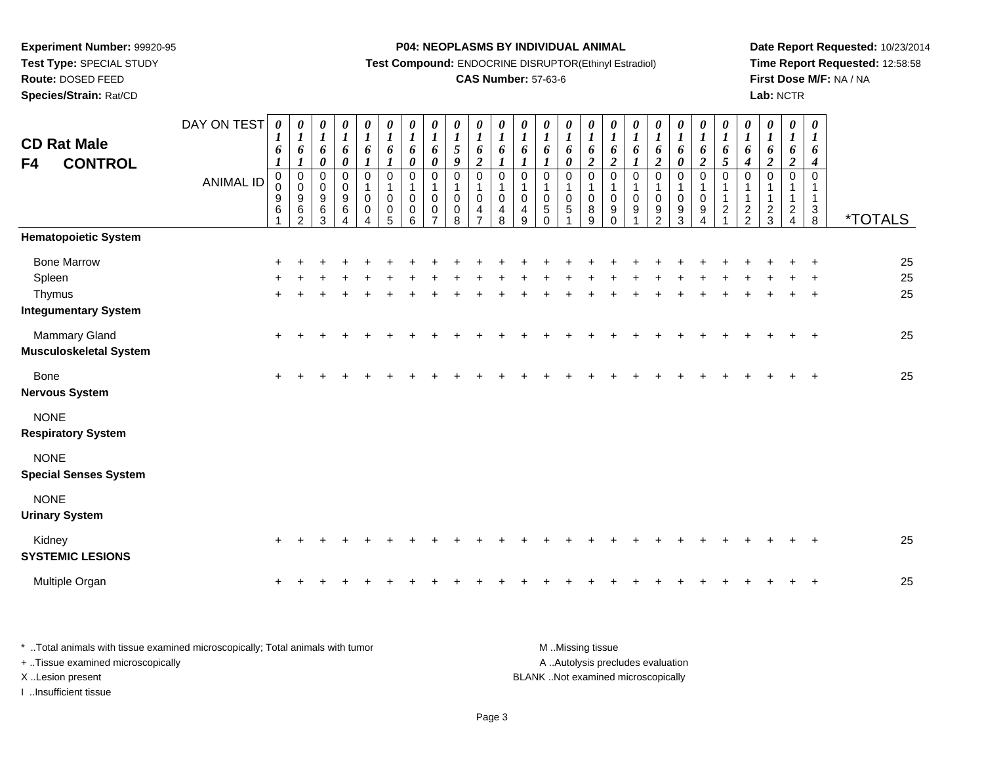**Test Type:** SPECIAL STUDY

# **Route:** DOSED FEED

**Species/Strain:** Rat/CD

### **P04: NEOPLASMS BY INDIVIDUAL ANIMAL**

**Test Compound:** ENDOCRINE DISRUPTOR(Ethinyl Estradiol)

## **CAS Number:** 57-63-6

**Date Report Requested:** 10/23/2014**Time Report Requested:** 12:58:58**First Dose M/F:** NA / NA**Lab:** NCTR

| <b>CD Rat Male</b><br><b>CONTROL</b><br>F4                            | DAY ON TEST<br><b>ANIMAL ID</b> | 0<br>$\bm{l}$<br>6<br>$\boldsymbol{l}$<br>$\mathbf 0$<br>0<br>9<br>$\,6$ | 0<br>$\boldsymbol{l}$<br>$\boldsymbol{6}$<br>$\boldsymbol{l}$<br>$\pmb{0}$<br>$\pmb{0}$<br>$\begin{array}{c} 9 \\ 6 \\ 2 \end{array}$ | 0<br>$\boldsymbol{I}$<br>6<br>$\boldsymbol{\theta}$<br>$\mathbf 0$<br>$\mathbf 0$<br>$\boldsymbol{9}$<br>$\,6\,$<br>3 | $\begin{matrix} 0 \\ 1 \end{matrix}$<br>6<br>$\boldsymbol{\theta}$<br>$\pmb{0}$<br>$\pmb{0}$<br>$\boldsymbol{9}$<br>$\,6$<br>$\overline{A}$ | $\frac{\boldsymbol{\theta}}{\boldsymbol{l}}$<br>$\boldsymbol{6}$<br>$\boldsymbol{l}$<br>$\pmb{0}$<br>$\mathbf{1}$<br>$\pmb{0}$<br>$\pmb{0}$<br>$\overline{4}$ | 0<br>$\boldsymbol{l}$<br>6<br>$\boldsymbol{l}$<br>0<br>$\mathbf{1}$<br>$\pmb{0}$<br>$\begin{array}{c} 0 \\ 5 \end{array}$ | 0<br>$\boldsymbol{l}$<br>$\boldsymbol{6}$<br>$\boldsymbol{\theta}$<br>$\mathbf 0$<br>$\mathbf{1}$<br>$\pmb{0}$<br>$\pmb{0}$<br>$6\phantom{a}$ | 0<br>$\boldsymbol{l}$<br>6<br>$\boldsymbol{\theta}$<br>$\Omega$<br>1<br>0<br>0<br>$\overline{7}$ | 0<br>$\frac{1}{5}$<br>$\boldsymbol{g}$<br>$\mathbf 0$<br>$\mathbf{1}$<br>0<br>$_{\rm 8}^{\rm 0}$ | 0<br>$\boldsymbol{l}$<br>6<br>$\overline{2}$<br>$\mathbf 0$<br>1<br>$\mathbf 0$<br>4<br>$\overline{7}$ | $\begin{matrix} 0 \\ 1 \end{matrix}$<br>6<br>$\boldsymbol{l}$<br>$\pmb{0}$<br>$\mathbf{1}$<br>$\pmb{0}$<br>$\overline{4}$<br>8 | $\boldsymbol{\theta}$<br>$\boldsymbol{I}$<br>6<br>$\boldsymbol{l}$<br>$\Omega$<br>$\mathbf{1}$<br>$\mathbf 0$<br>$\overline{4}$<br>9 | 0<br>$\boldsymbol{l}$<br>6<br>$\boldsymbol{I}$<br>0<br>1<br>$\mathbf 0$<br>$\mathbf 5$<br>$\mathbf 0$ | 0<br>$\boldsymbol{l}$<br>6<br>0<br>$\Omega$<br>$\mathbf{1}$<br>$\pmb{0}$<br>$\,$ 5 $\,$<br>◢ | 0<br>$\boldsymbol{l}$<br>6<br>$\boldsymbol{2}$<br>$\mathbf 0$<br>1<br>0<br>$^8_9$ | 0<br>$\boldsymbol{I}$<br>$\boldsymbol{6}$<br>$\boldsymbol{2}$<br>$\mathbf 0$<br>$\mathbf{1}$<br>0<br>$\begin{matrix} 9 \\ 0 \end{matrix}$ | 0<br>$\boldsymbol{l}$<br>6<br>$\boldsymbol{l}$<br>$\mathbf 0$<br>1<br>$\mathbf 0$<br>9 | $\begin{matrix} 0 \\ 1 \end{matrix}$<br>6<br>$\boldsymbol{2}$<br>$\pmb{0}$<br>$\mathbf{1}$<br>$\pmb{0}$<br>$\frac{9}{2}$ | $\boldsymbol{\theta}$<br>$\boldsymbol{I}$<br>$\boldsymbol{6}$<br>$\boldsymbol{\theta}$<br>0<br>$\mathbf{1}$<br>$\pmb{0}$<br>$\frac{9}{3}$ | 0<br>$\boldsymbol{l}$<br>6<br>$\overline{2}$<br>$\mathbf 0$<br>1<br>$\mathbf 0$<br>$\boldsymbol{9}$<br>$\overline{4}$ | 0<br>$\boldsymbol{l}$<br>$\pmb{6}$<br>$\overline{5}$<br>$\Omega$<br>1<br>$\mathbf 1$<br>$\boldsymbol{2}$<br>$\overline{a}$ | 0<br>$\boldsymbol{l}$<br>6<br>$\boldsymbol{4}$<br>0<br>1<br>$\mathbf{1}$<br>$\frac{2}{2}$ | $\boldsymbol{\theta}$<br>$\boldsymbol{I}$<br>$\boldsymbol{6}$<br>$\boldsymbol{2}$<br>$\Omega$<br>$\frac{2}{3}$ | $\pmb{\theta}$<br>$\boldsymbol{l}$<br>6<br>$\boldsymbol{2}$<br>$\mathbf 0$<br>1<br>$\frac{2}{4}$ | $\pmb{\theta}$<br>$\boldsymbol{l}$<br>6<br>$\boldsymbol{4}$<br>$\pmb{0}$<br>$\mathbf{1}$<br>$\mathbf{1}$<br>$_8^3$ | <i><b>*TOTALS</b></i> |
|-----------------------------------------------------------------------|---------------------------------|--------------------------------------------------------------------------|---------------------------------------------------------------------------------------------------------------------------------------|-----------------------------------------------------------------------------------------------------------------------|---------------------------------------------------------------------------------------------------------------------------------------------|---------------------------------------------------------------------------------------------------------------------------------------------------------------|---------------------------------------------------------------------------------------------------------------------------|-----------------------------------------------------------------------------------------------------------------------------------------------|--------------------------------------------------------------------------------------------------|--------------------------------------------------------------------------------------------------|--------------------------------------------------------------------------------------------------------|--------------------------------------------------------------------------------------------------------------------------------|--------------------------------------------------------------------------------------------------------------------------------------|-------------------------------------------------------------------------------------------------------|----------------------------------------------------------------------------------------------|-----------------------------------------------------------------------------------|-------------------------------------------------------------------------------------------------------------------------------------------|----------------------------------------------------------------------------------------|--------------------------------------------------------------------------------------------------------------------------|-------------------------------------------------------------------------------------------------------------------------------------------|-----------------------------------------------------------------------------------------------------------------------|----------------------------------------------------------------------------------------------------------------------------|-------------------------------------------------------------------------------------------|----------------------------------------------------------------------------------------------------------------|--------------------------------------------------------------------------------------------------|--------------------------------------------------------------------------------------------------------------------|-----------------------|
| <b>Hematopoietic System</b>                                           |                                 |                                                                          |                                                                                                                                       |                                                                                                                       |                                                                                                                                             |                                                                                                                                                               |                                                                                                                           |                                                                                                                                               |                                                                                                  |                                                                                                  |                                                                                                        |                                                                                                                                |                                                                                                                                      |                                                                                                       |                                                                                              |                                                                                   |                                                                                                                                           |                                                                                        |                                                                                                                          |                                                                                                                                           |                                                                                                                       |                                                                                                                            |                                                                                           |                                                                                                                |                                                                                                  |                                                                                                                    |                       |
| <b>Bone Marrow</b><br>Spleen<br>Thymus<br><b>Integumentary System</b> |                                 | ÷                                                                        |                                                                                                                                       |                                                                                                                       |                                                                                                                                             |                                                                                                                                                               |                                                                                                                           |                                                                                                                                               |                                                                                                  |                                                                                                  |                                                                                                        |                                                                                                                                |                                                                                                                                      |                                                                                                       |                                                                                              |                                                                                   |                                                                                                                                           |                                                                                        |                                                                                                                          |                                                                                                                                           |                                                                                                                       |                                                                                                                            |                                                                                           |                                                                                                                |                                                                                                  | $\ddot{}$                                                                                                          | 25<br>25<br>25        |
| Mammary Gland<br><b>Musculoskeletal System</b>                        |                                 | $\ddot{}$                                                                |                                                                                                                                       |                                                                                                                       |                                                                                                                                             |                                                                                                                                                               |                                                                                                                           |                                                                                                                                               |                                                                                                  |                                                                                                  |                                                                                                        |                                                                                                                                |                                                                                                                                      |                                                                                                       |                                                                                              |                                                                                   |                                                                                                                                           |                                                                                        |                                                                                                                          |                                                                                                                                           |                                                                                                                       |                                                                                                                            |                                                                                           |                                                                                                                |                                                                                                  | $\overline{+}$                                                                                                     | 25                    |
| <b>Bone</b><br><b>Nervous System</b>                                  |                                 |                                                                          |                                                                                                                                       |                                                                                                                       |                                                                                                                                             |                                                                                                                                                               |                                                                                                                           |                                                                                                                                               |                                                                                                  |                                                                                                  |                                                                                                        |                                                                                                                                |                                                                                                                                      |                                                                                                       |                                                                                              |                                                                                   |                                                                                                                                           |                                                                                        |                                                                                                                          |                                                                                                                                           |                                                                                                                       |                                                                                                                            |                                                                                           |                                                                                                                |                                                                                                  | $\overline{1}$                                                                                                     | 25                    |
| <b>NONE</b><br><b>Respiratory System</b>                              |                                 |                                                                          |                                                                                                                                       |                                                                                                                       |                                                                                                                                             |                                                                                                                                                               |                                                                                                                           |                                                                                                                                               |                                                                                                  |                                                                                                  |                                                                                                        |                                                                                                                                |                                                                                                                                      |                                                                                                       |                                                                                              |                                                                                   |                                                                                                                                           |                                                                                        |                                                                                                                          |                                                                                                                                           |                                                                                                                       |                                                                                                                            |                                                                                           |                                                                                                                |                                                                                                  |                                                                                                                    |                       |
| <b>NONE</b><br><b>Special Senses System</b>                           |                                 |                                                                          |                                                                                                                                       |                                                                                                                       |                                                                                                                                             |                                                                                                                                                               |                                                                                                                           |                                                                                                                                               |                                                                                                  |                                                                                                  |                                                                                                        |                                                                                                                                |                                                                                                                                      |                                                                                                       |                                                                                              |                                                                                   |                                                                                                                                           |                                                                                        |                                                                                                                          |                                                                                                                                           |                                                                                                                       |                                                                                                                            |                                                                                           |                                                                                                                |                                                                                                  |                                                                                                                    |                       |
| <b>NONE</b><br><b>Urinary System</b>                                  |                                 |                                                                          |                                                                                                                                       |                                                                                                                       |                                                                                                                                             |                                                                                                                                                               |                                                                                                                           |                                                                                                                                               |                                                                                                  |                                                                                                  |                                                                                                        |                                                                                                                                |                                                                                                                                      |                                                                                                       |                                                                                              |                                                                                   |                                                                                                                                           |                                                                                        |                                                                                                                          |                                                                                                                                           |                                                                                                                       |                                                                                                                            |                                                                                           |                                                                                                                |                                                                                                  |                                                                                                                    |                       |
| Kidney<br><b>SYSTEMIC LESIONS</b>                                     |                                 | ÷                                                                        |                                                                                                                                       |                                                                                                                       |                                                                                                                                             |                                                                                                                                                               |                                                                                                                           |                                                                                                                                               |                                                                                                  |                                                                                                  |                                                                                                        |                                                                                                                                |                                                                                                                                      |                                                                                                       |                                                                                              |                                                                                   |                                                                                                                                           |                                                                                        |                                                                                                                          |                                                                                                                                           |                                                                                                                       |                                                                                                                            |                                                                                           |                                                                                                                |                                                                                                  | $\div$                                                                                                             | 25                    |
| Multiple Organ                                                        |                                 | +                                                                        |                                                                                                                                       |                                                                                                                       |                                                                                                                                             |                                                                                                                                                               |                                                                                                                           |                                                                                                                                               |                                                                                                  |                                                                                                  |                                                                                                        |                                                                                                                                |                                                                                                                                      |                                                                                                       |                                                                                              |                                                                                   |                                                                                                                                           |                                                                                        |                                                                                                                          |                                                                                                                                           |                                                                                                                       |                                                                                                                            |                                                                                           |                                                                                                                |                                                                                                  | $\overline{ }$                                                                                                     | 25                    |

| * Total animals with tissue examined microscopically; Total animals with tumor | M Missing tissue                   |
|--------------------------------------------------------------------------------|------------------------------------|
| + Tissue examined microscopically                                              | A Autolysis precludes evaluation   |
| X Lesion present                                                               | BLANK Not examined microscopically |
| …Insufficient tissue                                                           |                                    |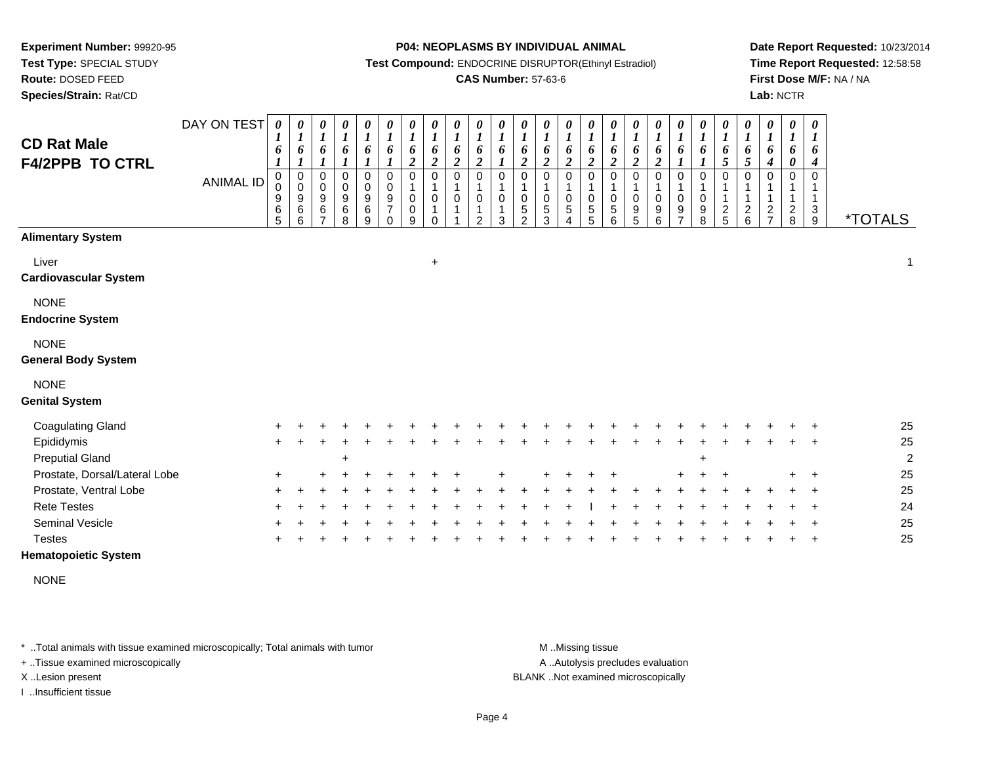**Test Type:** SPECIAL STUDY

**Route:** DOSED FEED

**Species/Strain:** Rat/CD

### **P04: NEOPLASMS BY INDIVIDUAL ANIMAL**

**Test Compound:** ENDOCRINE DISRUPTOR(Ethinyl Estradiol)

### **CAS Number:** 57-63-6

**Date Report Requested:** 10/23/2014**Time Report Requested:** 12:58:58**First Dose M/F:** NA / NA**Lab:** NCTR

| <b>CD Rat Male</b><br><b>F4/2PPB TO CTRL</b> | DAY ON TEST<br><b>ANIMAL ID</b> | $\boldsymbol{\theta}$<br>$\boldsymbol{l}$<br>6<br>$\pmb{0}$<br>0<br>9<br>6<br>5 | 0<br>1<br>6<br>1<br>0<br>$\mathbf 0$<br>9<br>6<br>6 | 0<br>$\boldsymbol{l}$<br>6<br>0<br>$\mathbf 0$<br>9<br>$\,6$<br>$\overline{ }$ | 0<br>$\boldsymbol{l}$<br>6<br>0<br>0<br>$9\,$<br>$\,6$<br>8 | 0<br>$\boldsymbol{l}$<br>6<br>1<br>0<br>0<br>$\boldsymbol{9}$<br>$\,6\,$<br>9 | $\pmb{\theta}$<br>1<br>6<br>1<br>$\pmb{0}$<br>$\pmb{0}$<br>$\boldsymbol{9}$<br>$\overline{7}$<br>$\Omega$ | 0<br>$\boldsymbol{l}$<br>6<br>$\boldsymbol{2}$<br>0<br>$\pmb{0}$<br>$\pmb{0}$<br>9 | 0<br>$\boldsymbol{l}$<br>6<br>$\overline{a}$<br>0<br>1<br>0<br>1<br>$\Omega$ | $\boldsymbol{\theta}$<br>$\boldsymbol{l}$<br>6<br>$\boldsymbol{2}$<br>$\mathbf 0$<br>0 | $\boldsymbol{\theta}$<br>$\boldsymbol{l}$<br>6<br>$\overline{2}$<br>$\overline{0}$<br>$\mathbf 0$<br>1<br>$\mathfrak{p}$ | $\pmb{\theta}$<br>$\boldsymbol{l}$<br>6<br>$\mathbf 0$<br>$\mathbf 0$<br>1<br>3 | $\boldsymbol{\theta}$<br>$\boldsymbol{l}$<br>6<br>$\overline{c}$<br>0<br>0<br>$\frac{5}{2}$ | 0<br>$\boldsymbol{l}$<br>6<br>$\overline{\mathbf{c}}$<br>0<br>$\pmb{0}$<br>$\frac{5}{3}$ | $\boldsymbol{\theta}$<br>$\boldsymbol{l}$<br>6<br>$\boldsymbol{2}$<br>0<br>$\mathbf 1$<br>$\pmb{0}$<br>5<br>4 | 0<br>1<br>6<br>$\boldsymbol{2}$<br>0<br>0<br>$\frac{5}{5}$ | $\boldsymbol{\theta}$<br>$\boldsymbol{l}$<br>6<br>$\overline{2}$<br>0<br>$\mathbf 0$<br>$\mathbf 5$<br>6 | 0<br>$\boldsymbol{l}$<br>6<br>$\boldsymbol{2}$<br>$\pmb{0}$<br>0<br>9<br>5 | $\boldsymbol{\theta}$<br>$\boldsymbol{l}$<br>6<br>$\boldsymbol{2}$<br>$\mathbf 0$<br>$\mathbf 0$<br>9<br>6 | $\pmb{\theta}$<br>$\boldsymbol{l}$<br>6<br>0<br>$\pmb{0}$<br>9<br>$\overline{ }$ | $\pmb{\theta}$<br>$\boldsymbol{l}$<br>6<br>1<br>0<br>$\pmb{0}$<br>$\begin{array}{c} 9 \\ 8 \end{array}$ | $\pmb{\theta}$<br>$\boldsymbol{l}$<br>6<br>5<br>$\mathbf 0$<br>$\mathbf{1}$<br>$\mathbf{1}$<br>$\frac{2}{5}$ | $\pmb{\theta}$<br>$\boldsymbol{l}$<br>6<br>5<br>$\mathbf 0$<br>$\mathbf 1$<br>$^2$ 6 | 0<br>$\boldsymbol{l}$<br>6<br>4<br>0<br>$\frac{2}{7}$ | $\pmb{\theta}$<br>$\boldsymbol{l}$<br>6<br>0<br>0<br>1<br>$_{\rm 8}^2$ | $\boldsymbol{\theta}$<br>$\boldsymbol{l}$<br>6<br>$\boldsymbol{4}$<br>$\mathbf 0$<br>-1<br>$\mathbf{1}$<br>$\frac{3}{9}$ | <i><b>*TOTALS</b></i> |
|----------------------------------------------|---------------------------------|---------------------------------------------------------------------------------|-----------------------------------------------------|--------------------------------------------------------------------------------|-------------------------------------------------------------|-------------------------------------------------------------------------------|-----------------------------------------------------------------------------------------------------------|------------------------------------------------------------------------------------|------------------------------------------------------------------------------|----------------------------------------------------------------------------------------|--------------------------------------------------------------------------------------------------------------------------|---------------------------------------------------------------------------------|---------------------------------------------------------------------------------------------|------------------------------------------------------------------------------------------|---------------------------------------------------------------------------------------------------------------|------------------------------------------------------------|----------------------------------------------------------------------------------------------------------|----------------------------------------------------------------------------|------------------------------------------------------------------------------------------------------------|----------------------------------------------------------------------------------|---------------------------------------------------------------------------------------------------------|--------------------------------------------------------------------------------------------------------------|--------------------------------------------------------------------------------------|-------------------------------------------------------|------------------------------------------------------------------------|--------------------------------------------------------------------------------------------------------------------------|-----------------------|
| <b>Alimentary System</b>                     |                                 |                                                                                 |                                                     |                                                                                |                                                             |                                                                               |                                                                                                           |                                                                                    |                                                                              |                                                                                        |                                                                                                                          |                                                                                 |                                                                                             |                                                                                          |                                                                                                               |                                                            |                                                                                                          |                                                                            |                                                                                                            |                                                                                  |                                                                                                         |                                                                                                              |                                                                                      |                                                       |                                                                        |                                                                                                                          |                       |
| Liver<br><b>Cardiovascular System</b>        |                                 |                                                                                 |                                                     |                                                                                |                                                             |                                                                               |                                                                                                           |                                                                                    | $\ddot{}$                                                                    |                                                                                        |                                                                                                                          |                                                                                 |                                                                                             |                                                                                          |                                                                                                               |                                                            |                                                                                                          |                                                                            |                                                                                                            |                                                                                  |                                                                                                         |                                                                                                              |                                                                                      |                                                       |                                                                        |                                                                                                                          | $\mathbf 1$           |
| <b>NONE</b><br><b>Endocrine System</b>       |                                 |                                                                                 |                                                     |                                                                                |                                                             |                                                                               |                                                                                                           |                                                                                    |                                                                              |                                                                                        |                                                                                                                          |                                                                                 |                                                                                             |                                                                                          |                                                                                                               |                                                            |                                                                                                          |                                                                            |                                                                                                            |                                                                                  |                                                                                                         |                                                                                                              |                                                                                      |                                                       |                                                                        |                                                                                                                          |                       |
| <b>NONE</b><br><b>General Body System</b>    |                                 |                                                                                 |                                                     |                                                                                |                                                             |                                                                               |                                                                                                           |                                                                                    |                                                                              |                                                                                        |                                                                                                                          |                                                                                 |                                                                                             |                                                                                          |                                                                                                               |                                                            |                                                                                                          |                                                                            |                                                                                                            |                                                                                  |                                                                                                         |                                                                                                              |                                                                                      |                                                       |                                                                        |                                                                                                                          |                       |
| <b>NONE</b>                                  |                                 |                                                                                 |                                                     |                                                                                |                                                             |                                                                               |                                                                                                           |                                                                                    |                                                                              |                                                                                        |                                                                                                                          |                                                                                 |                                                                                             |                                                                                          |                                                                                                               |                                                            |                                                                                                          |                                                                            |                                                                                                            |                                                                                  |                                                                                                         |                                                                                                              |                                                                                      |                                                       |                                                                        |                                                                                                                          |                       |
| <b>Genital System</b>                        |                                 |                                                                                 |                                                     |                                                                                |                                                             |                                                                               |                                                                                                           |                                                                                    |                                                                              |                                                                                        |                                                                                                                          |                                                                                 |                                                                                             |                                                                                          |                                                                                                               |                                                            |                                                                                                          |                                                                            |                                                                                                            |                                                                                  |                                                                                                         |                                                                                                              |                                                                                      |                                                       |                                                                        |                                                                                                                          |                       |
| <b>Coagulating Gland</b>                     |                                 |                                                                                 |                                                     |                                                                                |                                                             |                                                                               |                                                                                                           |                                                                                    |                                                                              |                                                                                        |                                                                                                                          |                                                                                 |                                                                                             |                                                                                          |                                                                                                               |                                                            |                                                                                                          |                                                                            |                                                                                                            |                                                                                  |                                                                                                         |                                                                                                              |                                                                                      |                                                       |                                                                        |                                                                                                                          | 25                    |
| Epididymis                                   |                                 | $\ddot{}$                                                                       |                                                     |                                                                                |                                                             |                                                                               |                                                                                                           |                                                                                    |                                                                              |                                                                                        |                                                                                                                          |                                                                                 |                                                                                             |                                                                                          |                                                                                                               |                                                            |                                                                                                          |                                                                            |                                                                                                            |                                                                                  |                                                                                                         |                                                                                                              |                                                                                      |                                                       |                                                                        |                                                                                                                          | 25                    |
| <b>Preputial Gland</b>                       |                                 |                                                                                 |                                                     |                                                                                |                                                             |                                                                               |                                                                                                           |                                                                                    |                                                                              |                                                                                        |                                                                                                                          |                                                                                 |                                                                                             |                                                                                          |                                                                                                               |                                                            |                                                                                                          |                                                                            |                                                                                                            |                                                                                  |                                                                                                         |                                                                                                              |                                                                                      |                                                       |                                                                        |                                                                                                                          | $\overline{2}$        |
| Prostate, Dorsal/Lateral Lobe                |                                 |                                                                                 |                                                     |                                                                                |                                                             |                                                                               |                                                                                                           |                                                                                    |                                                                              |                                                                                        |                                                                                                                          |                                                                                 |                                                                                             |                                                                                          |                                                                                                               |                                                            |                                                                                                          |                                                                            |                                                                                                            |                                                                                  |                                                                                                         |                                                                                                              |                                                                                      |                                                       |                                                                        |                                                                                                                          | 25                    |
| Prostate, Ventral Lobe                       |                                 |                                                                                 |                                                     |                                                                                |                                                             |                                                                               |                                                                                                           |                                                                                    |                                                                              |                                                                                        |                                                                                                                          |                                                                                 |                                                                                             |                                                                                          |                                                                                                               |                                                            |                                                                                                          |                                                                            |                                                                                                            |                                                                                  |                                                                                                         |                                                                                                              |                                                                                      |                                                       |                                                                        |                                                                                                                          | 25                    |
| <b>Rete Testes</b>                           |                                 |                                                                                 |                                                     |                                                                                |                                                             |                                                                               |                                                                                                           |                                                                                    |                                                                              |                                                                                        |                                                                                                                          |                                                                                 |                                                                                             |                                                                                          |                                                                                                               |                                                            |                                                                                                          |                                                                            |                                                                                                            |                                                                                  |                                                                                                         |                                                                                                              |                                                                                      |                                                       |                                                                        |                                                                                                                          | 24                    |
| Seminal Vesicle                              |                                 |                                                                                 |                                                     |                                                                                |                                                             |                                                                               |                                                                                                           |                                                                                    |                                                                              |                                                                                        |                                                                                                                          |                                                                                 |                                                                                             |                                                                                          |                                                                                                               |                                                            |                                                                                                          |                                                                            |                                                                                                            |                                                                                  |                                                                                                         |                                                                                                              |                                                                                      |                                                       |                                                                        |                                                                                                                          | 25                    |
| <b>Testes</b>                                |                                 |                                                                                 |                                                     |                                                                                |                                                             |                                                                               |                                                                                                           |                                                                                    |                                                                              |                                                                                        |                                                                                                                          |                                                                                 |                                                                                             |                                                                                          |                                                                                                               |                                                            |                                                                                                          |                                                                            |                                                                                                            |                                                                                  |                                                                                                         |                                                                                                              |                                                                                      |                                                       |                                                                        |                                                                                                                          | 25                    |

### **Hematopoietic System**

NONE

\* ..Total animals with tissue examined microscopically; Total animals with tumor **M** . Missing tissue M ..Missing tissue

+ ..Tissue examined microscopically

I ..Insufficient tissue

A ..Autolysis precludes evaluation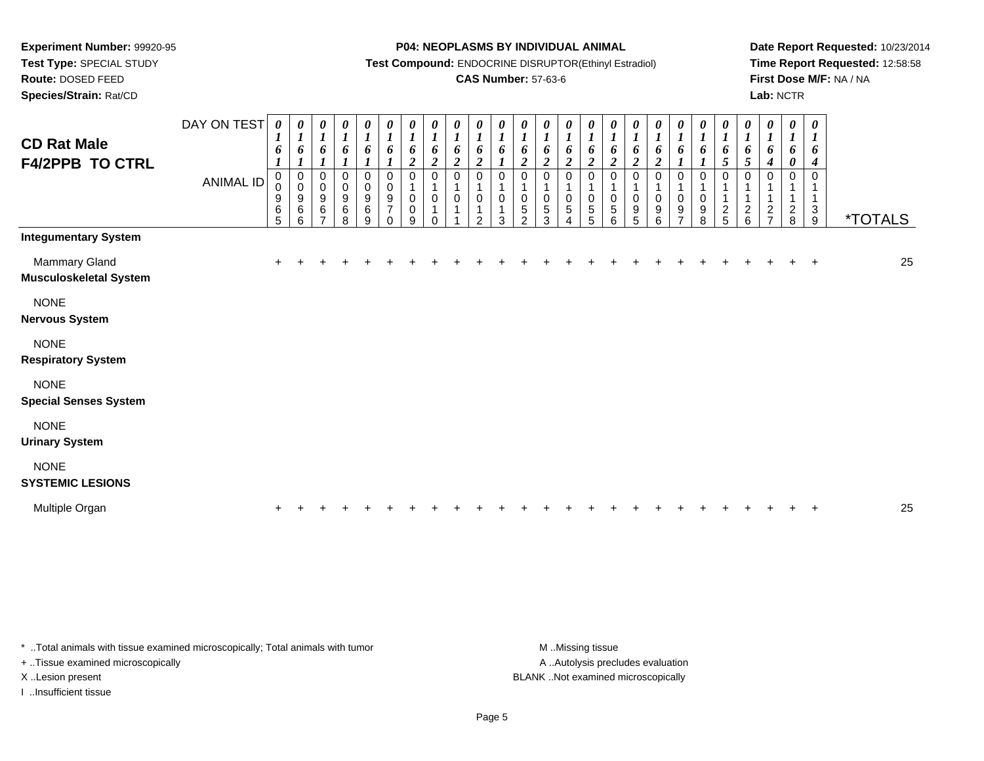**Test Type:** SPECIAL STUDY

**Route:** DOSED FEED

**Species/Strain:** Rat/CD

#### **P04: NEOPLASMS BY INDIVIDUAL ANIMAL**

**Test Compound:** ENDOCRINE DISRUPTOR(Ethinyl Estradiol)

### **CAS Number:** 57-63-6

**Date Report Requested:** 10/23/2014**Time Report Requested:** 12:58:58**First Dose M/F:** NA / NA**Lab:** NCTR

| <b>CD Rat Male</b><br><b>F4/2PPB TO CTRL</b>   | DAY ON TEST<br><b>ANIMAL ID</b> | 0<br>$\boldsymbol{l}$<br>6<br>0<br>$\pmb{0}$<br>9<br>6<br>$\overline{5}$ | $\boldsymbol{\theta}$<br>$\boldsymbol{l}$<br>6<br>$\boldsymbol{l}$<br>0<br>$\pmb{0}$<br>9<br>6<br>6 | 0<br>$\boldsymbol{l}$<br>6<br>$\boldsymbol{l}$<br>0<br>$\pmb{0}$<br>9<br>6<br>$\overline{7}$ | $\frac{\theta}{I}$<br>6<br>$\boldsymbol{l}$<br>0<br>$\pmb{0}$<br>$\boldsymbol{9}$<br>6<br>8 | $\begin{matrix} 0 \\ 1 \end{matrix}$<br>6<br>1<br>$\pmb{0}$<br>$\begin{array}{c} 0 \\ 9 \\ 6 \end{array}$<br>$\boldsymbol{9}$ | $\frac{\theta}{I}$<br>$\boldsymbol{6}$<br>0<br>$\mathsf 0$<br>$\overline{9}$<br>$\overline{7}$<br>$\Omega$ | $\frac{\theta}{I}$<br>$\boldsymbol{6}$<br>$\boldsymbol{2}$<br>0<br>$\mathbf{1}$<br>$\pmb{0}$<br>$\pmb{0}$<br>9 | $\boldsymbol{\theta}$<br>$\boldsymbol{l}$<br>6<br>$\boldsymbol{2}$<br>0<br>1<br>$\pmb{0}$<br>1<br>$\Omega$ | $\frac{\theta}{I}$<br>6<br>$\boldsymbol{2}$<br>0<br>0 | $\boldsymbol{\theta}$<br>$\boldsymbol{l}$<br>6<br>$\boldsymbol{2}$<br>$\Omega$<br>0<br>$\mathfrak{p}$ | 0<br>$\boldsymbol{l}$<br>6<br>$\Omega$<br>0<br>3 | 0<br>$\boldsymbol{l}$<br>6<br>$\boldsymbol{2}$<br>$\Omega$<br>$\Omega$<br>5<br>$\mathfrak{p}$ | 0<br>$\boldsymbol{l}$<br>6<br>$\boldsymbol{2}$<br>$\Omega$<br>0<br>$\sqrt{5}$<br>3 | 0<br>$\boldsymbol{l}$<br>6<br>$\overline{\mathbf{c}}$<br>0<br>0<br>5<br>4 | 0<br>$\boldsymbol{l}$<br>6<br>$\boldsymbol{2}$<br>0<br>1<br>$\pmb{0}$<br>5<br>5 | 0<br>$\boldsymbol{l}$<br>6<br>$\overline{c}$<br>0<br>$\pmb{0}$<br>$\mathbf 5$<br>6 | 0<br>$\boldsymbol{I}$<br>6<br>$\boldsymbol{2}$<br>0<br>1<br>$\pmb{0}$<br>9<br>5 | 0<br>$\boldsymbol{l}$<br>6<br>$\boldsymbol{2}$<br>$\mathbf 0$<br>$\mathbf 1$<br>$\pmb{0}$<br>9<br>6 | $\boldsymbol{l}$<br>6<br>$\boldsymbol{l}$<br>0<br>1<br>$\mathbf 0$<br>9<br>7 | 0<br>$\boldsymbol{l}$<br>6<br>0<br>1<br>$\pmb{0}$<br>$\boldsymbol{9}$<br>8 | $\frac{\theta}{I}$<br>6<br>5<br>0<br>$\mathbf{1}$<br>$\mathbf{1}$<br>$rac{2}{5}$ | 0<br>$\boldsymbol{l}$<br>6<br>$\mathfrak{s}$<br>0<br>$\overline{1}$<br>$\frac{2}{6}$ | $\boldsymbol{\theta}$<br>$\boldsymbol{l}$<br>6<br>$\boldsymbol{4}$<br>0<br>$\mathbf{1}$<br>$\mathbf{1}$<br>$rac{2}{7}$ | $\boldsymbol{\theta}$<br>$\boldsymbol{l}$<br>6<br>$\pmb{\theta}$<br>0<br>$\mathbf 1$<br>$\frac{2}{8}$ | 0<br>$\boldsymbol{l}$<br>6<br>4<br>$\Omega$<br>1<br>3<br>9 | <i><b>*TOTALS</b></i> |
|------------------------------------------------|---------------------------------|--------------------------------------------------------------------------|-----------------------------------------------------------------------------------------------------|----------------------------------------------------------------------------------------------|---------------------------------------------------------------------------------------------|-------------------------------------------------------------------------------------------------------------------------------|------------------------------------------------------------------------------------------------------------|----------------------------------------------------------------------------------------------------------------|------------------------------------------------------------------------------------------------------------|-------------------------------------------------------|-------------------------------------------------------------------------------------------------------|--------------------------------------------------|-----------------------------------------------------------------------------------------------|------------------------------------------------------------------------------------|---------------------------------------------------------------------------|---------------------------------------------------------------------------------|------------------------------------------------------------------------------------|---------------------------------------------------------------------------------|-----------------------------------------------------------------------------------------------------|------------------------------------------------------------------------------|----------------------------------------------------------------------------|----------------------------------------------------------------------------------|--------------------------------------------------------------------------------------|------------------------------------------------------------------------------------------------------------------------|-------------------------------------------------------------------------------------------------------|------------------------------------------------------------|-----------------------|
| <b>Integumentary System</b>                    |                                 |                                                                          |                                                                                                     |                                                                                              |                                                                                             |                                                                                                                               |                                                                                                            |                                                                                                                |                                                                                                            |                                                       |                                                                                                       |                                                  |                                                                                               |                                                                                    |                                                                           |                                                                                 |                                                                                    |                                                                                 |                                                                                                     |                                                                              |                                                                            |                                                                                  |                                                                                      |                                                                                                                        |                                                                                                       |                                                            |                       |
| Mammary Gland<br><b>Musculoskeletal System</b> |                                 | $\pm$                                                                    |                                                                                                     |                                                                                              |                                                                                             |                                                                                                                               |                                                                                                            |                                                                                                                |                                                                                                            |                                                       |                                                                                                       |                                                  |                                                                                               |                                                                                    |                                                                           |                                                                                 |                                                                                    |                                                                                 |                                                                                                     |                                                                              |                                                                            |                                                                                  |                                                                                      |                                                                                                                        |                                                                                                       |                                                            | 25                    |
| <b>NONE</b><br><b>Nervous System</b>           |                                 |                                                                          |                                                                                                     |                                                                                              |                                                                                             |                                                                                                                               |                                                                                                            |                                                                                                                |                                                                                                            |                                                       |                                                                                                       |                                                  |                                                                                               |                                                                                    |                                                                           |                                                                                 |                                                                                    |                                                                                 |                                                                                                     |                                                                              |                                                                            |                                                                                  |                                                                                      |                                                                                                                        |                                                                                                       |                                                            |                       |
| <b>NONE</b><br><b>Respiratory System</b>       |                                 |                                                                          |                                                                                                     |                                                                                              |                                                                                             |                                                                                                                               |                                                                                                            |                                                                                                                |                                                                                                            |                                                       |                                                                                                       |                                                  |                                                                                               |                                                                                    |                                                                           |                                                                                 |                                                                                    |                                                                                 |                                                                                                     |                                                                              |                                                                            |                                                                                  |                                                                                      |                                                                                                                        |                                                                                                       |                                                            |                       |
| <b>NONE</b><br><b>Special Senses System</b>    |                                 |                                                                          |                                                                                                     |                                                                                              |                                                                                             |                                                                                                                               |                                                                                                            |                                                                                                                |                                                                                                            |                                                       |                                                                                                       |                                                  |                                                                                               |                                                                                    |                                                                           |                                                                                 |                                                                                    |                                                                                 |                                                                                                     |                                                                              |                                                                            |                                                                                  |                                                                                      |                                                                                                                        |                                                                                                       |                                                            |                       |
| <b>NONE</b><br><b>Urinary System</b>           |                                 |                                                                          |                                                                                                     |                                                                                              |                                                                                             |                                                                                                                               |                                                                                                            |                                                                                                                |                                                                                                            |                                                       |                                                                                                       |                                                  |                                                                                               |                                                                                    |                                                                           |                                                                                 |                                                                                    |                                                                                 |                                                                                                     |                                                                              |                                                                            |                                                                                  |                                                                                      |                                                                                                                        |                                                                                                       |                                                            |                       |
| <b>NONE</b><br><b>SYSTEMIC LESIONS</b>         |                                 |                                                                          |                                                                                                     |                                                                                              |                                                                                             |                                                                                                                               |                                                                                                            |                                                                                                                |                                                                                                            |                                                       |                                                                                                       |                                                  |                                                                                               |                                                                                    |                                                                           |                                                                                 |                                                                                    |                                                                                 |                                                                                                     |                                                                              |                                                                            |                                                                                  |                                                                                      |                                                                                                                        |                                                                                                       |                                                            |                       |
| Multiple Organ                                 |                                 |                                                                          |                                                                                                     |                                                                                              |                                                                                             |                                                                                                                               |                                                                                                            |                                                                                                                |                                                                                                            |                                                       |                                                                                                       |                                                  |                                                                                               |                                                                                    |                                                                           |                                                                                 |                                                                                    |                                                                                 |                                                                                                     |                                                                              |                                                                            |                                                                                  |                                                                                      |                                                                                                                        |                                                                                                       |                                                            | 25                    |

\* ..Total animals with tissue examined microscopically; Total animals with tumor **M** . Missing tissue M ..Missing tissue

+ ..Tissue examined microscopically

I ..Insufficient tissue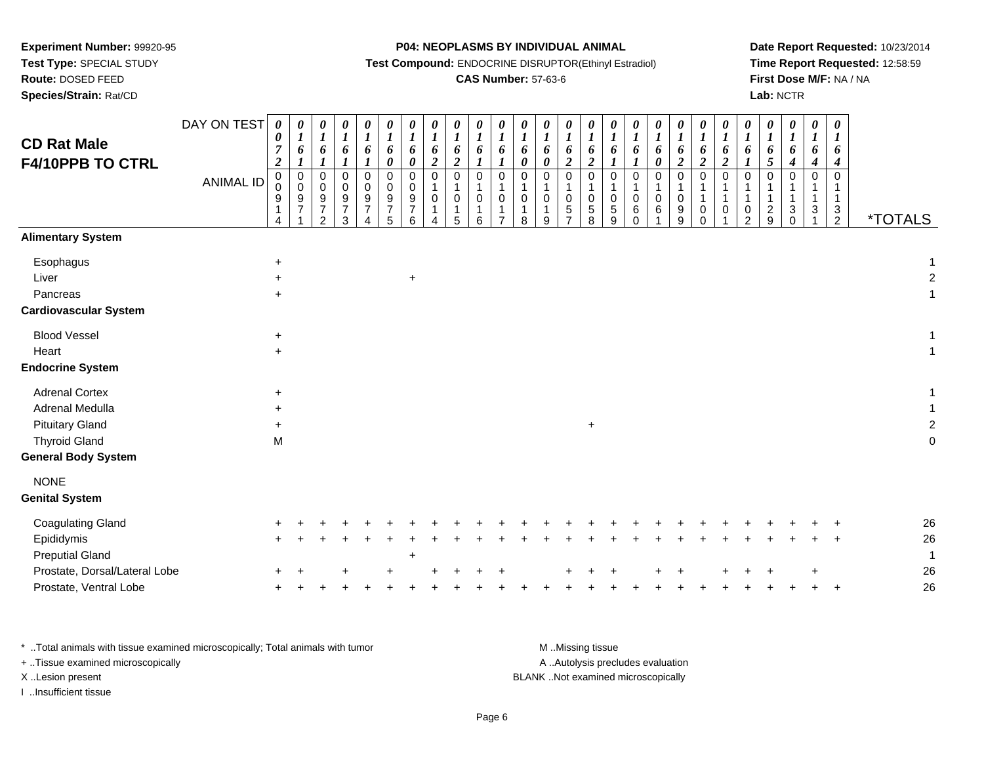**Test Type:** SPECIAL STUDY

## **Route:** DOSED FEED

**Species/Strain:** Rat/CD

**P04: NEOPLASMS BY INDIVIDUAL ANIMAL**

**Test Compound:** ENDOCRINE DISRUPTOR(Ethinyl Estradiol)

## **CAS Number:** 57-63-6

**Date Report Requested:** 10/23/2014**Time Report Requested:** 12:58:59**First Dose M/F:** NA / NA**Lab:** NCTR

| <b>CD Rat Male</b><br><b>F4/10PPB TO CTRL</b>                      | DAY ON TEST<br><b>ANIMAL ID</b> | 0<br>0<br>$\overline{7}$<br>$\boldsymbol{2}$<br>$\mathbf 0$<br>$\mathbf 0$<br>9<br>$\mathbf{1}$<br>4 | 0<br>$\boldsymbol{I}$<br>6<br>$\boldsymbol{l}$<br>$\pmb{0}$<br>$\pmb{0}$<br>$\frac{9}{7}$ | 0<br>$\boldsymbol{I}$<br>6<br>$\boldsymbol{l}$<br>0<br>0<br>$\boldsymbol{9}$<br>$\boldsymbol{7}$<br>$\overline{2}$ | 0<br>$\boldsymbol{l}$<br>6<br>$\boldsymbol{l}$<br>$\mathbf 0$<br>0<br>$\boldsymbol{9}$<br>$\overline{7}$<br>3 | $\boldsymbol{\theta}$<br>$\boldsymbol{l}$<br>6<br>$\boldsymbol{l}$<br>$\mathbf 0$<br>$\mathbf 0$<br>$\boldsymbol{9}$<br>$\overline{7}$<br>4 | $\boldsymbol{\theta}$<br>$\boldsymbol{l}$<br>6<br>$\boldsymbol{\theta}$<br>$\mathbf 0$<br>$\mathbf 0$<br>9<br>$\boldsymbol{7}$<br>5 | 0<br>$\boldsymbol{l}$<br>6<br>$\pmb{\theta}$<br>$\pmb{0}$<br>0<br>$\frac{9}{7}$<br>6 | $\pmb{\theta}$<br>$\boldsymbol{l}$<br>6<br>$\boldsymbol{2}$<br>$\mathbf 0$<br>$\mathbf 0$<br>1<br>4 | 0<br>$\boldsymbol{l}$<br>6<br>$\boldsymbol{2}$<br>$\mathbf 0$<br>$\overline{\mathbf{1}}$<br>$\mathbf 0$<br>$\mathbf{1}$<br>5 | 0<br>$\boldsymbol{l}$<br>6<br>$\boldsymbol{l}$<br>0<br>$\mathbf{1}$<br>0<br>$\mathbf{1}$<br>6 | 0<br>$\boldsymbol{l}$<br>6<br>$\boldsymbol{l}$<br>$\pmb{0}$<br>$\mathbf{1}$<br>0<br>1<br>$\overline{ }$ | $\boldsymbol{\theta}$<br>$\boldsymbol{l}$<br>6<br>$\pmb{\theta}$<br>$\mathbf 0$<br>$\mathbf{1}$<br>$\mathbf 0$<br>$\mathbf{1}$<br>8 | 0<br>$\boldsymbol{l}$<br>6<br>$\pmb{\theta}$<br>0<br>$\mathbf{1}$<br>$\mathbf 0$<br>$\mathbf{1}$<br>9 | $\boldsymbol{\theta}$<br>$\boldsymbol{l}$<br>6<br>$\boldsymbol{2}$<br>$\pmb{0}$<br>$\mathbf 0$<br>$\,$ 5 $\,$<br>$\overline{z}$ | $\boldsymbol{\theta}$<br>$\boldsymbol{l}$<br>6<br>$\boldsymbol{2}$<br>$\mathsf 0$<br>$\mathbf{1}$<br>$\mathbf 0$<br>$\sqrt{5}$<br>8 | 0<br>$\boldsymbol{l}$<br>6<br>$\mathbf 0$<br>1<br>$\mathbf 0$<br>5<br>9 | $\boldsymbol{\theta}$<br>$\boldsymbol{l}$<br>6<br>$\boldsymbol{l}$<br>$\mathbf 0$<br>-1<br>$\mathbf 0$<br>6<br>$\Omega$ | 0<br>$\boldsymbol{l}$<br>6<br>$\boldsymbol{\theta}$<br>$\Omega$<br>$\mathbf 0$<br>6 | $\boldsymbol{\theta}$<br>$\boldsymbol{l}$<br>6<br>$\boldsymbol{2}$<br>$\mathbf 0$<br>$\mathbf 0$<br>9<br>9 | 0<br>$\boldsymbol{l}$<br>6<br>$\overline{\mathbf{c}}$<br>0<br>$\mathbf{1}$<br>$\mathbf{1}$<br>0<br>$\Omega$ | 0<br>$\boldsymbol{l}$<br>6<br>$\boldsymbol{2}$<br>$\mathbf 0$<br>$\mathbf{1}$<br>0 | $\boldsymbol{\theta}$<br>$\boldsymbol{l}$<br>6<br>$\boldsymbol{l}$<br>0<br>1<br>1<br>0<br>$\overline{2}$ | 0<br>$\boldsymbol{l}$<br>6<br>5<br>$\Omega$<br>-1<br>$\overline{c}$<br>9 | 0<br>$\boldsymbol{l}$<br>6<br>$\boldsymbol{4}$<br>$\mathbf 0$<br>$\mathbf{3}$<br>$\Omega$ | 0<br>$\boldsymbol{l}$<br>6<br>$\boldsymbol{4}$<br>$\pmb{0}$<br>$\mathbf{1}$<br>$\mathbf{1}$<br>3 | 0<br>$\boldsymbol{l}$<br>6<br>$\boldsymbol{4}$<br>$\mathbf 0$<br>$\mathbf{1}$<br>$\mathbf{1}$<br>$\mathbf{3}$<br>$\overline{2}$ | <i><b>*TOTALS</b></i> |          |
|--------------------------------------------------------------------|---------------------------------|------------------------------------------------------------------------------------------------------|-------------------------------------------------------------------------------------------|--------------------------------------------------------------------------------------------------------------------|---------------------------------------------------------------------------------------------------------------|---------------------------------------------------------------------------------------------------------------------------------------------|-------------------------------------------------------------------------------------------------------------------------------------|--------------------------------------------------------------------------------------|-----------------------------------------------------------------------------------------------------|------------------------------------------------------------------------------------------------------------------------------|-----------------------------------------------------------------------------------------------|---------------------------------------------------------------------------------------------------------|-------------------------------------------------------------------------------------------------------------------------------------|-------------------------------------------------------------------------------------------------------|---------------------------------------------------------------------------------------------------------------------------------|-------------------------------------------------------------------------------------------------------------------------------------|-------------------------------------------------------------------------|-------------------------------------------------------------------------------------------------------------------------|-------------------------------------------------------------------------------------|------------------------------------------------------------------------------------------------------------|-------------------------------------------------------------------------------------------------------------|------------------------------------------------------------------------------------|----------------------------------------------------------------------------------------------------------|--------------------------------------------------------------------------|-------------------------------------------------------------------------------------------|--------------------------------------------------------------------------------------------------|---------------------------------------------------------------------------------------------------------------------------------|-----------------------|----------|
| <b>Alimentary System</b>                                           |                                 |                                                                                                      |                                                                                           |                                                                                                                    |                                                                                                               |                                                                                                                                             |                                                                                                                                     |                                                                                      |                                                                                                     |                                                                                                                              |                                                                                               |                                                                                                         |                                                                                                                                     |                                                                                                       |                                                                                                                                 |                                                                                                                                     |                                                                         |                                                                                                                         |                                                                                     |                                                                                                            |                                                                                                             |                                                                                    |                                                                                                          |                                                                          |                                                                                           |                                                                                                  |                                                                                                                                 |                       |          |
| Esophagus<br>Liver<br>Pancreas<br><b>Cardiovascular System</b>     |                                 | $\ddot{}$<br>$\ddot{}$<br>$\ddot{}$                                                                  |                                                                                           |                                                                                                                    |                                                                                                               |                                                                                                                                             |                                                                                                                                     | $\ddot{}$                                                                            |                                                                                                     |                                                                                                                              |                                                                                               |                                                                                                         |                                                                                                                                     |                                                                                                       |                                                                                                                                 |                                                                                                                                     |                                                                         |                                                                                                                         |                                                                                     |                                                                                                            |                                                                                                             |                                                                                    |                                                                                                          |                                                                          |                                                                                           |                                                                                                  |                                                                                                                                 |                       |          |
| <b>Blood Vessel</b>                                                |                                 | $\ddot{}$                                                                                            |                                                                                           |                                                                                                                    |                                                                                                               |                                                                                                                                             |                                                                                                                                     |                                                                                      |                                                                                                     |                                                                                                                              |                                                                                               |                                                                                                         |                                                                                                                                     |                                                                                                       |                                                                                                                                 |                                                                                                                                     |                                                                         |                                                                                                                         |                                                                                     |                                                                                                            |                                                                                                             |                                                                                    |                                                                                                          |                                                                          |                                                                                           |                                                                                                  |                                                                                                                                 |                       |          |
| Heart                                                              |                                 | $\ddot{}$                                                                                            |                                                                                           |                                                                                                                    |                                                                                                               |                                                                                                                                             |                                                                                                                                     |                                                                                      |                                                                                                     |                                                                                                                              |                                                                                               |                                                                                                         |                                                                                                                                     |                                                                                                       |                                                                                                                                 |                                                                                                                                     |                                                                         |                                                                                                                         |                                                                                     |                                                                                                            |                                                                                                             |                                                                                    |                                                                                                          |                                                                          |                                                                                           |                                                                                                  |                                                                                                                                 |                       |          |
| <b>Endocrine System</b>                                            |                                 |                                                                                                      |                                                                                           |                                                                                                                    |                                                                                                               |                                                                                                                                             |                                                                                                                                     |                                                                                      |                                                                                                     |                                                                                                                              |                                                                                               |                                                                                                         |                                                                                                                                     |                                                                                                       |                                                                                                                                 |                                                                                                                                     |                                                                         |                                                                                                                         |                                                                                     |                                                                                                            |                                                                                                             |                                                                                    |                                                                                                          |                                                                          |                                                                                           |                                                                                                  |                                                                                                                                 |                       |          |
| <b>Adrenal Cortex</b><br>Adrenal Medulla<br><b>Pituitary Gland</b> |                                 | $\ddot{}$<br>$\ddot{}$                                                                               |                                                                                           |                                                                                                                    |                                                                                                               |                                                                                                                                             |                                                                                                                                     |                                                                                      |                                                                                                     |                                                                                                                              |                                                                                               |                                                                                                         |                                                                                                                                     |                                                                                                       |                                                                                                                                 | $+$                                                                                                                                 |                                                                         |                                                                                                                         |                                                                                     |                                                                                                            |                                                                                                             |                                                                                    |                                                                                                          |                                                                          |                                                                                           |                                                                                                  |                                                                                                                                 |                       |          |
| <b>Thyroid Gland</b>                                               |                                 | M                                                                                                    |                                                                                           |                                                                                                                    |                                                                                                               |                                                                                                                                             |                                                                                                                                     |                                                                                      |                                                                                                     |                                                                                                                              |                                                                                               |                                                                                                         |                                                                                                                                     |                                                                                                       |                                                                                                                                 |                                                                                                                                     |                                                                         |                                                                                                                         |                                                                                     |                                                                                                            |                                                                                                             |                                                                                    |                                                                                                          |                                                                          |                                                                                           |                                                                                                  |                                                                                                                                 |                       |          |
| <b>General Body System</b>                                         |                                 |                                                                                                      |                                                                                           |                                                                                                                    |                                                                                                               |                                                                                                                                             |                                                                                                                                     |                                                                                      |                                                                                                     |                                                                                                                              |                                                                                               |                                                                                                         |                                                                                                                                     |                                                                                                       |                                                                                                                                 |                                                                                                                                     |                                                                         |                                                                                                                         |                                                                                     |                                                                                                            |                                                                                                             |                                                                                    |                                                                                                          |                                                                          |                                                                                           |                                                                                                  |                                                                                                                                 |                       |          |
| <b>NONE</b><br><b>Genital System</b>                               |                                 |                                                                                                      |                                                                                           |                                                                                                                    |                                                                                                               |                                                                                                                                             |                                                                                                                                     |                                                                                      |                                                                                                     |                                                                                                                              |                                                                                               |                                                                                                         |                                                                                                                                     |                                                                                                       |                                                                                                                                 |                                                                                                                                     |                                                                         |                                                                                                                         |                                                                                     |                                                                                                            |                                                                                                             |                                                                                    |                                                                                                          |                                                                          |                                                                                           |                                                                                                  |                                                                                                                                 |                       |          |
| <b>Coagulating Gland</b>                                           |                                 |                                                                                                      |                                                                                           |                                                                                                                    |                                                                                                               |                                                                                                                                             |                                                                                                                                     |                                                                                      |                                                                                                     |                                                                                                                              |                                                                                               |                                                                                                         |                                                                                                                                     |                                                                                                       |                                                                                                                                 |                                                                                                                                     |                                                                         |                                                                                                                         |                                                                                     |                                                                                                            |                                                                                                             |                                                                                    |                                                                                                          |                                                                          |                                                                                           |                                                                                                  |                                                                                                                                 |                       | 26       |
| Epididymis                                                         |                                 |                                                                                                      |                                                                                           |                                                                                                                    |                                                                                                               |                                                                                                                                             |                                                                                                                                     |                                                                                      |                                                                                                     |                                                                                                                              |                                                                                               |                                                                                                         |                                                                                                                                     |                                                                                                       |                                                                                                                                 |                                                                                                                                     |                                                                         |                                                                                                                         |                                                                                     |                                                                                                            |                                                                                                             |                                                                                    |                                                                                                          |                                                                          |                                                                                           |                                                                                                  |                                                                                                                                 |                       | 26       |
| <b>Preputial Gland</b>                                             |                                 |                                                                                                      |                                                                                           |                                                                                                                    |                                                                                                               |                                                                                                                                             |                                                                                                                                     | $\ddot{}$                                                                            |                                                                                                     |                                                                                                                              |                                                                                               |                                                                                                         |                                                                                                                                     |                                                                                                       |                                                                                                                                 |                                                                                                                                     |                                                                         |                                                                                                                         |                                                                                     |                                                                                                            |                                                                                                             |                                                                                    |                                                                                                          |                                                                          |                                                                                           |                                                                                                  |                                                                                                                                 |                       | 1        |
| Prostate, Dorsal/Lateral Lobe<br>Prostate, Ventral Lobe            |                                 |                                                                                                      |                                                                                           |                                                                                                                    |                                                                                                               |                                                                                                                                             |                                                                                                                                     |                                                                                      |                                                                                                     |                                                                                                                              |                                                                                               |                                                                                                         |                                                                                                                                     |                                                                                                       |                                                                                                                                 |                                                                                                                                     |                                                                         |                                                                                                                         |                                                                                     |                                                                                                            |                                                                                                             |                                                                                    |                                                                                                          |                                                                          |                                                                                           |                                                                                                  |                                                                                                                                 |                       | 26<br>26 |
|                                                                    |                                 |                                                                                                      |                                                                                           |                                                                                                                    |                                                                                                               |                                                                                                                                             |                                                                                                                                     |                                                                                      |                                                                                                     |                                                                                                                              |                                                                                               |                                                                                                         |                                                                                                                                     |                                                                                                       |                                                                                                                                 |                                                                                                                                     |                                                                         |                                                                                                                         |                                                                                     |                                                                                                            |                                                                                                             |                                                                                    |                                                                                                          |                                                                          |                                                                                           |                                                                                                  |                                                                                                                                 |                       |          |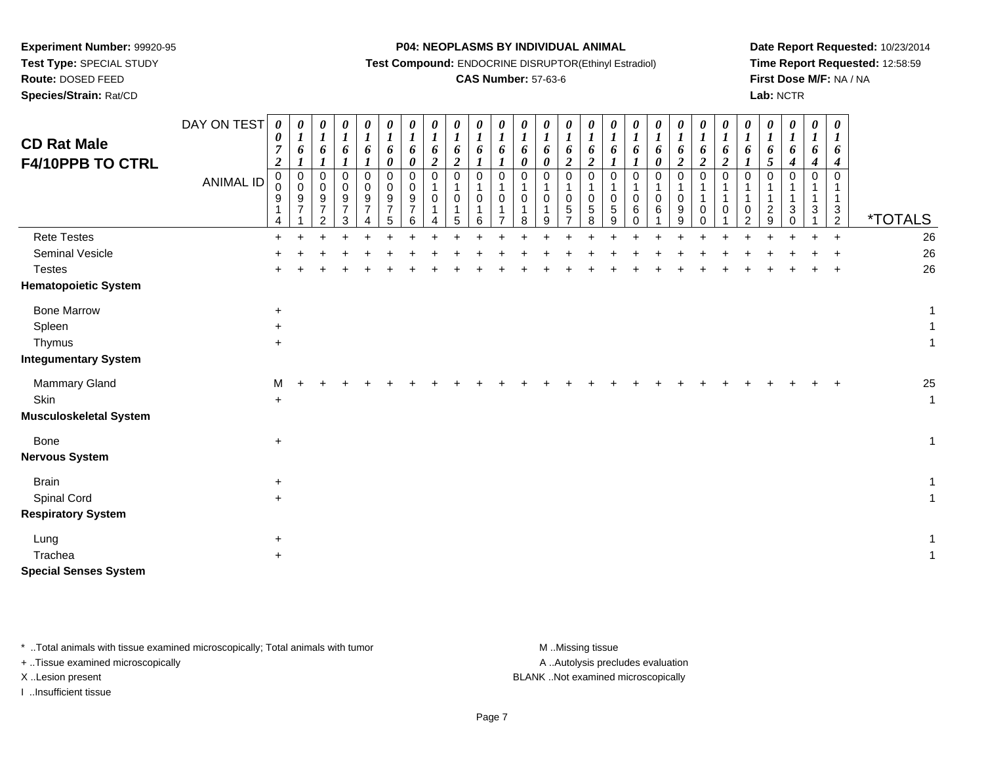**Test Type:** SPECIAL STUDY

# **Route:** DOSED FEED

**Species/Strain:** Rat/CD

### **P04: NEOPLASMS BY INDIVIDUAL ANIMAL**

**Test Compound:** ENDOCRINE DISRUPTOR(Ethinyl Estradiol)

### **CAS Number:** 57-63-6

**Date Report Requested:** 10/23/2014**Time Report Requested:** 12:58:59**First Dose M/F:** NA / NA**Lab:** NCTR

| <b>CD Rat Male</b><br>F4/10PPB TO CTRL | DAY ON TEST<br><b>ANIMAL ID</b> | $\boldsymbol{\theta}$<br>0<br>$\overline{7}$<br>$\overline{c}$<br>$\mathbf 0$<br>$\mathbf 0$<br>9<br>1<br>4 | $\pmb{\theta}$<br>$\boldsymbol{l}$<br>6<br>1<br>$\mathbf 0$<br>$\mathsf 0$<br>9<br>$\overline{7}$ | $\pmb{\theta}$<br>$\boldsymbol{l}$<br>6<br>$\mathbf{I}$<br>$\pmb{0}$<br>0<br>$\frac{9}{7}$<br>2 | 0<br>$\boldsymbol{l}$<br>6<br>$\mathbf 0$<br>0<br>9<br>$\overline{7}$<br>3 | 0<br>$\boldsymbol{l}$<br>6<br>1<br>$\pmb{0}$<br>0<br>9<br>$\overline{7}$ | 0<br>6<br>0<br>0<br>0<br>9<br>5 | 0<br>$\boldsymbol{l}$<br>6<br>0<br>0<br>0<br>9<br>$\overline{7}$<br>6 | 0<br>$\boldsymbol{l}$<br>6<br>$\overline{2}$<br>$\pmb{0}$<br>1<br>$\mathbf 0$ | 0<br>$\boldsymbol{l}$<br>6<br>$\overline{2}$<br>$\mathsf 0$<br>1<br>0<br>1<br>5 | 0<br>$\boldsymbol{l}$<br>6<br>$\boldsymbol{l}$<br>$\mathbf 0$<br>0<br>6 | 0<br>$\boldsymbol{l}$<br>6<br>$\pmb{0}$<br>$\mathbf 0$ | $\boldsymbol{\theta}$<br>$\boldsymbol{l}$<br>6<br>$\boldsymbol{\theta}$<br>$\mathbf 0$<br>$\overline{1}$<br>$\mathbf 0$<br>$\overline{1}$<br>8 | $\begin{matrix} 0 \\ 1 \end{matrix}$<br>6<br>$\boldsymbol{\theta}$<br>$\pmb{0}$<br>$\mathbf{1}$<br>$\mathbf 0$<br>$\overline{1}$<br>9 | $\frac{\boldsymbol{\theta}}{\boldsymbol{I}}$<br>6<br>$\overline{\mathbf{c}}$<br>0<br>$\mathbf{1}$<br>0<br>5<br>$\overline{ }$ | 0<br>$\boldsymbol{l}$<br>6<br>$\overline{2}$<br>$\mathbf 0$<br>$\mathbf 0$<br>$\,$ 5 $\,$<br>8 | 0<br>$\boldsymbol{l}$<br>6<br>$\mathbf 0$<br>$\mathbf 0$<br>$\sqrt{5}$<br>9 | 0<br>6<br>0<br>0<br>6<br>$\Omega$ | 0<br>$\boldsymbol{l}$<br>6<br>0<br>0<br>$\mathbf{1}$<br>$\boldsymbol{0}$<br>6 | 0<br>$\boldsymbol{l}$<br>6<br>$\boldsymbol{2}$<br>$\pmb{0}$<br>$\mathbf{1}$<br>$\mathbf 0$<br>$\boldsymbol{9}$<br>9 | 0<br>$\boldsymbol{l}$<br>6<br>$\overline{2}$<br>0<br>1<br>1<br>$\mathbf 0$<br>0 | $\boldsymbol{l}$<br>6<br>$\overline{2}$<br>$\mathbf 0$<br>1<br>0 | $\boldsymbol{\theta}$<br>$\boldsymbol{l}$<br>6<br>$\mathbf 0$<br>1<br>$\,0\,$<br>2 | 0<br>$\boldsymbol{l}$<br>6<br>5<br>$\mathbf 0$<br>1<br>$\overline{c}$<br>9 | 0<br>$\boldsymbol{l}$<br>6<br>$\boldsymbol{4}$<br>$\pmb{0}$<br>$\mathbf 1$<br>$\mathbf{1}$<br>$\mathbf{3}$<br>$\Omega$ | 0<br>$\boldsymbol{l}$<br>6<br>$\boldsymbol{4}$<br>$\mathbf 0$<br>1<br>3 | $\pmb{\theta}$<br>$\boldsymbol{l}$<br>6<br>4<br>$\mathbf 0$<br>$\mathbf{1}$<br>$\mathbf{3}$<br>$\overline{2}$ | <i><b>*TOTALS</b></i> |
|----------------------------------------|---------------------------------|-------------------------------------------------------------------------------------------------------------|---------------------------------------------------------------------------------------------------|-------------------------------------------------------------------------------------------------|----------------------------------------------------------------------------|--------------------------------------------------------------------------|---------------------------------|-----------------------------------------------------------------------|-------------------------------------------------------------------------------|---------------------------------------------------------------------------------|-------------------------------------------------------------------------|--------------------------------------------------------|------------------------------------------------------------------------------------------------------------------------------------------------|---------------------------------------------------------------------------------------------------------------------------------------|-------------------------------------------------------------------------------------------------------------------------------|------------------------------------------------------------------------------------------------|-----------------------------------------------------------------------------|-----------------------------------|-------------------------------------------------------------------------------|---------------------------------------------------------------------------------------------------------------------|---------------------------------------------------------------------------------|------------------------------------------------------------------|------------------------------------------------------------------------------------|----------------------------------------------------------------------------|------------------------------------------------------------------------------------------------------------------------|-------------------------------------------------------------------------|---------------------------------------------------------------------------------------------------------------|-----------------------|
| <b>Rete Testes</b>                     |                                 | $+$                                                                                                         |                                                                                                   |                                                                                                 |                                                                            |                                                                          |                                 |                                                                       |                                                                               |                                                                                 |                                                                         |                                                        |                                                                                                                                                |                                                                                                                                       |                                                                                                                               |                                                                                                |                                                                             |                                   |                                                                               |                                                                                                                     |                                                                                 |                                                                  |                                                                                    |                                                                            |                                                                                                                        |                                                                         | $\ddot{}$                                                                                                     | 26                    |
| <b>Seminal Vesicle</b>                 |                                 |                                                                                                             |                                                                                                   |                                                                                                 |                                                                            |                                                                          |                                 |                                                                       |                                                                               |                                                                                 |                                                                         |                                                        |                                                                                                                                                |                                                                                                                                       |                                                                                                                               |                                                                                                |                                                                             |                                   |                                                                               |                                                                                                                     |                                                                                 |                                                                  |                                                                                    |                                                                            |                                                                                                                        |                                                                         |                                                                                                               | 26                    |
| <b>Testes</b>                          |                                 |                                                                                                             |                                                                                                   |                                                                                                 |                                                                            |                                                                          |                                 |                                                                       |                                                                               |                                                                                 |                                                                         |                                                        |                                                                                                                                                |                                                                                                                                       |                                                                                                                               |                                                                                                |                                                                             |                                   |                                                                               |                                                                                                                     |                                                                                 |                                                                  |                                                                                    |                                                                            |                                                                                                                        |                                                                         |                                                                                                               | 26                    |
| <b>Hematopoietic System</b>            |                                 |                                                                                                             |                                                                                                   |                                                                                                 |                                                                            |                                                                          |                                 |                                                                       |                                                                               |                                                                                 |                                                                         |                                                        |                                                                                                                                                |                                                                                                                                       |                                                                                                                               |                                                                                                |                                                                             |                                   |                                                                               |                                                                                                                     |                                                                                 |                                                                  |                                                                                    |                                                                            |                                                                                                                        |                                                                         |                                                                                                               |                       |
| <b>Bone Marrow</b>                     |                                 | $\ddot{}$                                                                                                   |                                                                                                   |                                                                                                 |                                                                            |                                                                          |                                 |                                                                       |                                                                               |                                                                                 |                                                                         |                                                        |                                                                                                                                                |                                                                                                                                       |                                                                                                                               |                                                                                                |                                                                             |                                   |                                                                               |                                                                                                                     |                                                                                 |                                                                  |                                                                                    |                                                                            |                                                                                                                        |                                                                         |                                                                                                               | $\mathbf{1}$          |
| Spleen                                 |                                 | $\ddot{}$                                                                                                   |                                                                                                   |                                                                                                 |                                                                            |                                                                          |                                 |                                                                       |                                                                               |                                                                                 |                                                                         |                                                        |                                                                                                                                                |                                                                                                                                       |                                                                                                                               |                                                                                                |                                                                             |                                   |                                                                               |                                                                                                                     |                                                                                 |                                                                  |                                                                                    |                                                                            |                                                                                                                        |                                                                         |                                                                                                               | $\mathbf{1}$          |
| Thymus                                 |                                 | $\ddot{}$                                                                                                   |                                                                                                   |                                                                                                 |                                                                            |                                                                          |                                 |                                                                       |                                                                               |                                                                                 |                                                                         |                                                        |                                                                                                                                                |                                                                                                                                       |                                                                                                                               |                                                                                                |                                                                             |                                   |                                                                               |                                                                                                                     |                                                                                 |                                                                  |                                                                                    |                                                                            |                                                                                                                        |                                                                         |                                                                                                               | $\mathbf{1}$          |
| <b>Integumentary System</b>            |                                 |                                                                                                             |                                                                                                   |                                                                                                 |                                                                            |                                                                          |                                 |                                                                       |                                                                               |                                                                                 |                                                                         |                                                        |                                                                                                                                                |                                                                                                                                       |                                                                                                                               |                                                                                                |                                                                             |                                   |                                                                               |                                                                                                                     |                                                                                 |                                                                  |                                                                                    |                                                                            |                                                                                                                        |                                                                         |                                                                                                               |                       |
| Mammary Gland                          |                                 | м                                                                                                           |                                                                                                   |                                                                                                 |                                                                            |                                                                          |                                 |                                                                       |                                                                               |                                                                                 |                                                                         |                                                        |                                                                                                                                                |                                                                                                                                       |                                                                                                                               |                                                                                                |                                                                             |                                   |                                                                               |                                                                                                                     |                                                                                 |                                                                  |                                                                                    |                                                                            |                                                                                                                        |                                                                         |                                                                                                               | 25                    |
| Skin                                   |                                 | $\ddot{}$                                                                                                   |                                                                                                   |                                                                                                 |                                                                            |                                                                          |                                 |                                                                       |                                                                               |                                                                                 |                                                                         |                                                        |                                                                                                                                                |                                                                                                                                       |                                                                                                                               |                                                                                                |                                                                             |                                   |                                                                               |                                                                                                                     |                                                                                 |                                                                  |                                                                                    |                                                                            |                                                                                                                        |                                                                         |                                                                                                               | $\mathbf{1}$          |
| <b>Musculoskeletal System</b>          |                                 |                                                                                                             |                                                                                                   |                                                                                                 |                                                                            |                                                                          |                                 |                                                                       |                                                                               |                                                                                 |                                                                         |                                                        |                                                                                                                                                |                                                                                                                                       |                                                                                                                               |                                                                                                |                                                                             |                                   |                                                                               |                                                                                                                     |                                                                                 |                                                                  |                                                                                    |                                                                            |                                                                                                                        |                                                                         |                                                                                                               |                       |
| Bone                                   |                                 | $\ddot{}$                                                                                                   |                                                                                                   |                                                                                                 |                                                                            |                                                                          |                                 |                                                                       |                                                                               |                                                                                 |                                                                         |                                                        |                                                                                                                                                |                                                                                                                                       |                                                                                                                               |                                                                                                |                                                                             |                                   |                                                                               |                                                                                                                     |                                                                                 |                                                                  |                                                                                    |                                                                            |                                                                                                                        |                                                                         |                                                                                                               | $\mathbf{1}$          |
| <b>Nervous System</b>                  |                                 |                                                                                                             |                                                                                                   |                                                                                                 |                                                                            |                                                                          |                                 |                                                                       |                                                                               |                                                                                 |                                                                         |                                                        |                                                                                                                                                |                                                                                                                                       |                                                                                                                               |                                                                                                |                                                                             |                                   |                                                                               |                                                                                                                     |                                                                                 |                                                                  |                                                                                    |                                                                            |                                                                                                                        |                                                                         |                                                                                                               |                       |
| <b>Brain</b>                           |                                 | $\ddot{}$                                                                                                   |                                                                                                   |                                                                                                 |                                                                            |                                                                          |                                 |                                                                       |                                                                               |                                                                                 |                                                                         |                                                        |                                                                                                                                                |                                                                                                                                       |                                                                                                                               |                                                                                                |                                                                             |                                   |                                                                               |                                                                                                                     |                                                                                 |                                                                  |                                                                                    |                                                                            |                                                                                                                        |                                                                         |                                                                                                               | $\mathbf{1}$          |
| Spinal Cord                            |                                 | $\ddot{}$                                                                                                   |                                                                                                   |                                                                                                 |                                                                            |                                                                          |                                 |                                                                       |                                                                               |                                                                                 |                                                                         |                                                        |                                                                                                                                                |                                                                                                                                       |                                                                                                                               |                                                                                                |                                                                             |                                   |                                                                               |                                                                                                                     |                                                                                 |                                                                  |                                                                                    |                                                                            |                                                                                                                        |                                                                         |                                                                                                               | $\mathbf{1}$          |
| <b>Respiratory System</b>              |                                 |                                                                                                             |                                                                                                   |                                                                                                 |                                                                            |                                                                          |                                 |                                                                       |                                                                               |                                                                                 |                                                                         |                                                        |                                                                                                                                                |                                                                                                                                       |                                                                                                                               |                                                                                                |                                                                             |                                   |                                                                               |                                                                                                                     |                                                                                 |                                                                  |                                                                                    |                                                                            |                                                                                                                        |                                                                         |                                                                                                               |                       |
| Lung                                   |                                 | $\ddot{}$                                                                                                   |                                                                                                   |                                                                                                 |                                                                            |                                                                          |                                 |                                                                       |                                                                               |                                                                                 |                                                                         |                                                        |                                                                                                                                                |                                                                                                                                       |                                                                                                                               |                                                                                                |                                                                             |                                   |                                                                               |                                                                                                                     |                                                                                 |                                                                  |                                                                                    |                                                                            |                                                                                                                        |                                                                         |                                                                                                               | $\mathbf{1}$          |
| Trachea                                |                                 | $\ddot{}$                                                                                                   |                                                                                                   |                                                                                                 |                                                                            |                                                                          |                                 |                                                                       |                                                                               |                                                                                 |                                                                         |                                                        |                                                                                                                                                |                                                                                                                                       |                                                                                                                               |                                                                                                |                                                                             |                                   |                                                                               |                                                                                                                     |                                                                                 |                                                                  |                                                                                    |                                                                            |                                                                                                                        |                                                                         |                                                                                                               | $\mathbf{1}$          |
| <b>Special Senses System</b>           |                                 |                                                                                                             |                                                                                                   |                                                                                                 |                                                                            |                                                                          |                                 |                                                                       |                                                                               |                                                                                 |                                                                         |                                                        |                                                                                                                                                |                                                                                                                                       |                                                                                                                               |                                                                                                |                                                                             |                                   |                                                                               |                                                                                                                     |                                                                                 |                                                                  |                                                                                    |                                                                            |                                                                                                                        |                                                                         |                                                                                                               |                       |

\* ..Total animals with tissue examined microscopically; Total animals with tumor **M** . Missing tissue M ..Missing tissue

+ ..Tissue examined microscopically

I ..Insufficient tissue

A ..Autolysis precludes evaluation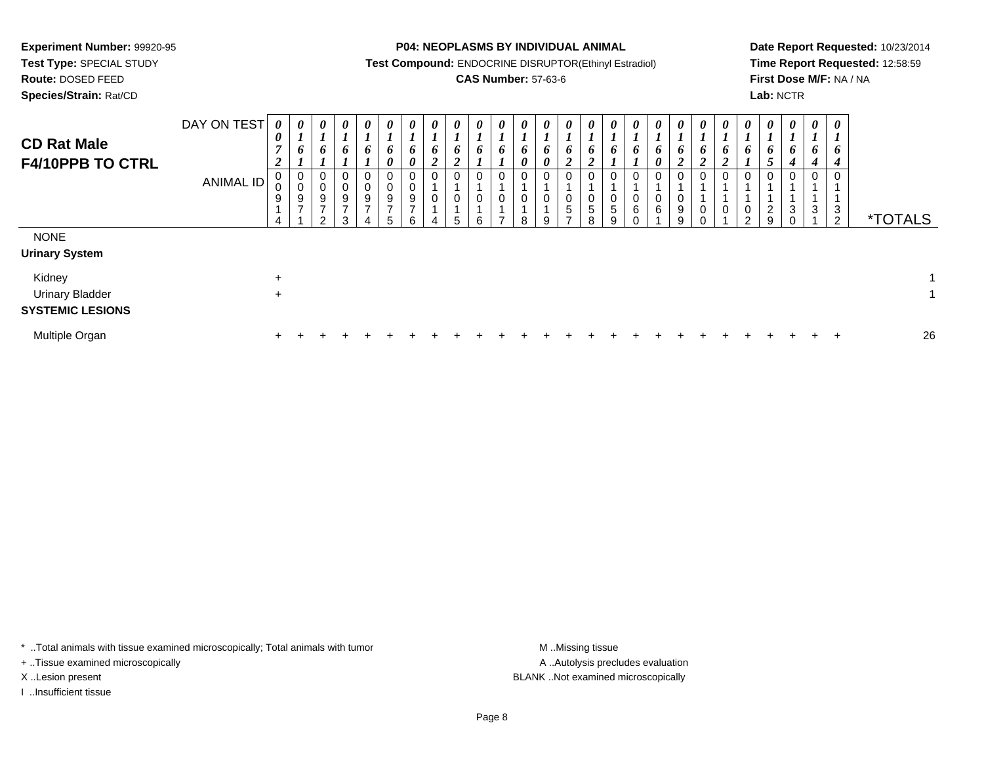**Test Type:** SPECIAL STUDY

**Route:** DOSED FEED

**Species/Strain:** Rat/CD

**P04: NEOPLASMS BY INDIVIDUAL ANIMAL**

**Test Compound:** ENDOCRINE DISRUPTOR(Ethinyl Estradiol)

## **CAS Number:** 57-63-6

**Date Report Requested:** 10/23/2014**Time Report Requested:** 12:58:59**First Dose M/F:** NA / NA**Lab:** NCTR

| <b>CD Rat Male</b><br>F4/10PPB TO CTRL                              | DAY ON TEST<br><b>ANIMAL ID</b> | 0<br>0<br>$\overline{ }$<br>$\overline{2}$<br>0<br>0<br>$\boldsymbol{9}$ | $\boldsymbol{\theta}$<br>$\mathbf{I}$<br>6<br>0<br>0<br>9<br>$\overline{z}$ | 0<br>6<br>$\mathbf 0$<br>$\pmb{0}$<br>$\boldsymbol{9}$<br>$\overline{ }$<br>$\mathcal{D}$ | 0<br>6<br>0<br>9<br>⇁<br>ঽ | $\boldsymbol{\theta}$<br>6<br>O<br>$\mathbf 0$<br>$\boldsymbol{9}$<br>- | $\boldsymbol{\theta}$<br>6<br>$\boldsymbol{\theta}$<br>0<br>$\pmb{0}$<br>$\boldsymbol{9}$<br>⇁<br>5 | 0<br>6<br>0<br>0<br>0<br>9<br>$\overline{ }$<br>6 | 0<br>6<br>2 | 0<br>6<br>$\mathbf{\Omega}$<br>∠<br>0<br>0<br>5 | 0<br>6<br>0<br>0<br>6 | 0<br>$\mathbf{I}$<br>6<br>$\pmb{0}$<br>$\mathbf 0$<br>$\overline{ }$ | $\boldsymbol{\theta}$<br>6<br>0<br>0<br>$\mathbf 0$<br>8 | $\boldsymbol{\theta}$<br>$\overline{ }$<br>6<br>$\boldsymbol{\theta}$<br>0<br>0<br>9 | 0<br>0<br>$\mathbf{\Omega}$<br>◢<br>0<br>0<br>$\sqrt{5}$<br>$\rightarrow$ | 0<br>$\mathbf{I}$<br>6<br>$\boldsymbol{2}$<br>0<br>0<br>$\,$ 5 $\,$<br>8 | $\boldsymbol{\theta}$<br>6<br>$\mathbf 0$<br>5<br>g | $\boldsymbol{\theta}$<br>6<br>0<br>0<br>6<br>C | 0<br>6<br>0<br>0<br>0<br>6 | $\boldsymbol{\theta}$<br>6<br>◠<br>0<br>0<br>$\boldsymbol{9}$<br>9 | $\boldsymbol{\theta}$<br>L,<br>6<br>$\overline{2}$<br>0<br>$\pmb{0}$<br>$\Omega$ | $\boldsymbol{\theta}$<br>6<br>$\mathbf 0$ | 0<br>6<br>$\mathbf 0$<br>$\boldsymbol{0}$<br>$\sim$ | $\boldsymbol{\theta}$<br>6<br>$\mathfrak{s}$<br>0<br>$\overline{c}$<br>9 | 0<br>$\bm{b}$<br>$\boldsymbol{4}$<br>$\mathbf 0$<br>$\mathbf{3}$<br>$\Omega$ | $\boldsymbol{\theta}$<br>6<br>0<br>3 | $\boldsymbol{\theta}$<br>$\boldsymbol{l}$<br>6<br>$\boldsymbol{4}$<br>$\mathbf 0$<br>3<br>$\overline{2}$ | <i><b>*TOTALS</b></i> |    |
|---------------------------------------------------------------------|---------------------------------|--------------------------------------------------------------------------|-----------------------------------------------------------------------------|-------------------------------------------------------------------------------------------|----------------------------|-------------------------------------------------------------------------|-----------------------------------------------------------------------------------------------------|---------------------------------------------------|-------------|-------------------------------------------------|-----------------------|----------------------------------------------------------------------|----------------------------------------------------------|--------------------------------------------------------------------------------------|---------------------------------------------------------------------------|--------------------------------------------------------------------------|-----------------------------------------------------|------------------------------------------------|----------------------------|--------------------------------------------------------------------|----------------------------------------------------------------------------------|-------------------------------------------|-----------------------------------------------------|--------------------------------------------------------------------------|------------------------------------------------------------------------------|--------------------------------------|----------------------------------------------------------------------------------------------------------|-----------------------|----|
| <b>NONE</b><br><b>Urinary System</b><br>Kidney                      |                                 | $\ddot{}$                                                                |                                                                             |                                                                                           |                            |                                                                         |                                                                                                     |                                                   |             |                                                 |                       |                                                                      |                                                          |                                                                                      |                                                                           |                                                                          |                                                     |                                                |                            |                                                                    |                                                                                  |                                           |                                                     |                                                                          |                                                                              |                                      |                                                                                                          |                       |    |
| <b>Urinary Bladder</b><br><b>SYSTEMIC LESIONS</b><br>Multiple Organ |                                 | $\ddot{}$<br>$+$                                                         | $\pm$                                                                       | $\div$                                                                                    |                            |                                                                         |                                                                                                     |                                                   |             |                                                 |                       |                                                                      |                                                          |                                                                                      |                                                                           |                                                                          |                                                     |                                                |                            |                                                                    |                                                                                  |                                           |                                                     | ÷.                                                                       |                                                                              |                                      | $\pm$                                                                                                    |                       | 26 |

\* ..Total animals with tissue examined microscopically; Total animals with tumor **M** . Missing tissue M ..Missing tissue

+ ..Tissue examined microscopically

I ..Insufficient tissue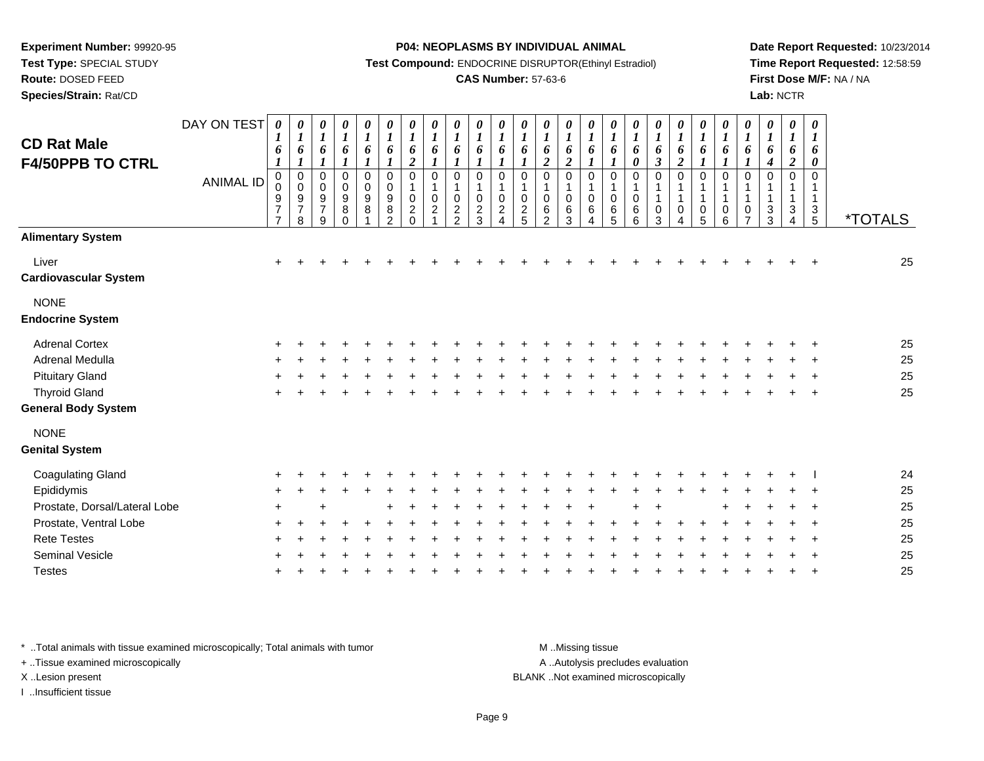**Test Type:** SPECIAL STUDY

## **Route:** DOSED FEED

**Species/Strain:** Rat/CD

### **P04: NEOPLASMS BY INDIVIDUAL ANIMAL**

**Test Compound:** ENDOCRINE DISRUPTOR(Ethinyl Estradiol)

## **CAS Number:** 57-63-6

**Date Report Requested:** 10/23/2014**Time Report Requested:** 12:58:59**First Dose M/F:** NA / NA**Lab:** NCTR

| <b>CD Rat Male</b>                     | DAY ON TEST      | $\boldsymbol{l}$<br>6                           | $\boldsymbol{l}$<br>6                                | 0<br>$\boldsymbol{l}$<br>6                 | 0<br>$\boldsymbol{l}$<br>6                          | 0<br>$\boldsymbol{l}$<br>6 | $\boldsymbol{\theta}$<br>$\boldsymbol{l}$<br>6         | $\boldsymbol{\theta}$<br>$\boldsymbol{l}$<br>6                | $\boldsymbol{\theta}$<br>$\boldsymbol{l}$<br>6                          | $\boldsymbol{l}$<br>6                               | $\boldsymbol{l}$<br>6                          | $\boldsymbol{\theta}$<br>$\boldsymbol{l}$<br>6 | $\boldsymbol{\theta}$<br>$\boldsymbol{l}$<br>6 | 0<br>$\boldsymbol{l}$<br>6                         | $\boldsymbol{\theta}$<br>$\boldsymbol{l}$<br>6 | $\boldsymbol{\theta}$<br>$\boldsymbol{l}$<br>6 | $\boldsymbol{\theta}$<br>$\boldsymbol{l}$<br>$\pmb{6}$ | $\boldsymbol{\theta}$<br>$\boldsymbol{l}$<br>$\pmb{6}$ | $\boldsymbol{\theta}$<br>$\boldsymbol{l}$<br>6 | 0<br>$\boldsymbol{l}$<br>6                      | 0<br>$\boldsymbol{l}$<br>$\pmb{6}$          | 0<br>$\boldsymbol{l}$<br>6                  | 0<br>$\boldsymbol{l}$<br>6                                         | 0<br>$\boldsymbol{l}$<br>6                        | 0<br>$\boldsymbol{l}$<br>6                  | 0<br>$\boldsymbol{l}$<br>6                |                       |
|----------------------------------------|------------------|-------------------------------------------------|------------------------------------------------------|--------------------------------------------|-----------------------------------------------------|----------------------------|--------------------------------------------------------|---------------------------------------------------------------|-------------------------------------------------------------------------|-----------------------------------------------------|------------------------------------------------|------------------------------------------------|------------------------------------------------|----------------------------------------------------|------------------------------------------------|------------------------------------------------|--------------------------------------------------------|--------------------------------------------------------|------------------------------------------------|-------------------------------------------------|---------------------------------------------|---------------------------------------------|--------------------------------------------------------------------|---------------------------------------------------|---------------------------------------------|-------------------------------------------|-----------------------|
| <b>F4/50PPB TO CTRL</b>                |                  | 1                                               | 1                                                    | $\boldsymbol{l}$                           | $\boldsymbol{l}$                                    | 1                          | $\boldsymbol{l}$                                       | $\overline{c}$                                                | $\boldsymbol{l}$                                                        | $\boldsymbol{I}$                                    | $\boldsymbol{I}$                               | 1                                              | 1                                              | $\overline{\mathbf{c}}$                            | $\boldsymbol{2}$                               |                                                | $\boldsymbol{l}$                                       | $\pmb{\theta}$                                         | $\mathfrak{z}$                                 | $\overline{2}$                                  | $\boldsymbol{l}$                            | $\boldsymbol{l}$                            | $\boldsymbol{l}$                                                   | $\boldsymbol{4}$                                  | $\overline{2}$                              | 0                                         |                       |
|                                        | <b>ANIMAL ID</b> | 0<br>0<br>9<br>$\overline{7}$<br>$\overline{7}$ | $\pmb{0}$<br>$\mathbf 0$<br>9<br>$\overline{7}$<br>8 | 0<br>$\pmb{0}$<br>9<br>$\overline{7}$<br>9 | 0<br>$\pmb{0}$<br>$\boldsymbol{9}$<br>8<br>$\Omega$ | 0<br>$\pmb{0}$<br>9<br>8   | $\mathbf 0$<br>$\mathbf 0$<br>9<br>8<br>$\mathfrak{D}$ | $\mathbf 0$<br>1<br>$\mathbf 0$<br>$\overline{c}$<br>$\Omega$ | $\mathbf 0$<br>$\overline{\mathbf{1}}$<br>$\mathbf 0$<br>$\overline{2}$ | $\mathbf 0$<br>1<br>0<br>$\overline{2}$<br>$\Omega$ | $\mathbf 0$<br>$\Omega$<br>$\overline{c}$<br>વ | 0<br>1<br>0<br>$\overline{c}$                  | 0<br>1<br>$\mathbf 0$<br>$\overline{2}$<br>5   | 0<br>$\mathbf 1$<br>0<br>$\,6\,$<br>$\mathfrak{p}$ | $\mathbf 0$<br>$\mathbf 1$<br>0<br>6<br>3      | 0<br>$\mathbf 1$<br>0<br>6                     | 0<br>$\overline{1}$<br>0<br>$6\phantom{1}6$<br>5       | 0<br>$\mathbf 1$<br>0<br>6<br>6                        | $\mathbf 0$<br>$\mathbf{1}$<br>0<br>3          | $\pmb{0}$<br>$\mathbf{1}$<br>1<br>0<br>$\Delta$ | 0<br>$\mathbf{1}$<br>$\mathbf{1}$<br>0<br>5 | 0<br>$\mathbf{1}$<br>$\mathbf{1}$<br>0<br>6 | $\mathbf 0$<br>$\mathbf{1}$<br>$\mathbf{1}$<br>0<br>$\overline{7}$ | 0<br>$\mathbf{1}$<br>$\mathbf 1$<br>$\frac{3}{3}$ | 0<br>$\mathbf{1}$<br>$\mathbf{1}$<br>3<br>4 | $\Omega$<br>$\mathbf{1}$<br>$\frac{3}{5}$ | <i><b>*TOTALS</b></i> |
| <b>Alimentary System</b>               |                  |                                                 |                                                      |                                            |                                                     |                            |                                                        |                                                               |                                                                         |                                                     |                                                |                                                |                                                |                                                    |                                                |                                                |                                                        |                                                        |                                                |                                                 |                                             |                                             |                                                                    |                                                   |                                             |                                           |                       |
| Liver<br>Cardiovascular System         |                  | $\ddot{}$                                       |                                                      |                                            |                                                     |                            |                                                        |                                                               |                                                                         |                                                     |                                                |                                                |                                                |                                                    |                                                |                                                |                                                        |                                                        |                                                |                                                 |                                             |                                             |                                                                    |                                                   |                                             |                                           | 25                    |
| <b>NONE</b><br><b>Endocrine System</b> |                  |                                                 |                                                      |                                            |                                                     |                            |                                                        |                                                               |                                                                         |                                                     |                                                |                                                |                                                |                                                    |                                                |                                                |                                                        |                                                        |                                                |                                                 |                                             |                                             |                                                                    |                                                   |                                             |                                           |                       |
|                                        |                  |                                                 |                                                      |                                            |                                                     |                            |                                                        |                                                               |                                                                         |                                                     |                                                |                                                |                                                |                                                    |                                                |                                                |                                                        |                                                        |                                                |                                                 |                                             |                                             |                                                                    |                                                   |                                             |                                           |                       |
| <b>Adrenal Cortex</b>                  |                  |                                                 |                                                      |                                            |                                                     |                            |                                                        |                                                               |                                                                         |                                                     |                                                |                                                |                                                |                                                    |                                                |                                                |                                                        |                                                        |                                                |                                                 |                                             |                                             |                                                                    |                                                   |                                             |                                           | 25                    |
| Adrenal Medulla                        |                  |                                                 |                                                      |                                            |                                                     |                            |                                                        |                                                               |                                                                         |                                                     |                                                |                                                |                                                |                                                    |                                                |                                                |                                                        |                                                        |                                                |                                                 |                                             |                                             |                                                                    |                                                   |                                             |                                           | 25                    |
| <b>Pituitary Gland</b>                 |                  |                                                 |                                                      |                                            |                                                     |                            |                                                        |                                                               |                                                                         |                                                     |                                                |                                                |                                                |                                                    |                                                |                                                |                                                        |                                                        |                                                |                                                 |                                             |                                             |                                                                    |                                                   |                                             |                                           | 25                    |
| <b>Thyroid Gland</b>                   |                  |                                                 |                                                      |                                            |                                                     |                            |                                                        |                                                               |                                                                         |                                                     |                                                |                                                |                                                |                                                    |                                                |                                                |                                                        |                                                        |                                                |                                                 |                                             |                                             |                                                                    |                                                   |                                             |                                           | 25                    |
| <b>General Body System</b>             |                  |                                                 |                                                      |                                            |                                                     |                            |                                                        |                                                               |                                                                         |                                                     |                                                |                                                |                                                |                                                    |                                                |                                                |                                                        |                                                        |                                                |                                                 |                                             |                                             |                                                                    |                                                   |                                             |                                           |                       |
| <b>NONE</b><br><b>Genital System</b>   |                  |                                                 |                                                      |                                            |                                                     |                            |                                                        |                                                               |                                                                         |                                                     |                                                |                                                |                                                |                                                    |                                                |                                                |                                                        |                                                        |                                                |                                                 |                                             |                                             |                                                                    |                                                   |                                             |                                           |                       |
| <b>Coagulating Gland</b>               |                  |                                                 |                                                      |                                            |                                                     |                            |                                                        |                                                               |                                                                         |                                                     |                                                |                                                |                                                |                                                    |                                                |                                                |                                                        |                                                        |                                                |                                                 |                                             |                                             |                                                                    |                                                   |                                             |                                           | 24                    |
| Epididymis                             |                  |                                                 |                                                      |                                            |                                                     |                            |                                                        |                                                               |                                                                         |                                                     |                                                |                                                |                                                |                                                    |                                                |                                                |                                                        |                                                        |                                                |                                                 |                                             |                                             |                                                                    |                                                   |                                             |                                           | 25                    |
| Prostate, Dorsal/Lateral Lobe          |                  |                                                 |                                                      |                                            |                                                     |                            |                                                        |                                                               |                                                                         |                                                     |                                                |                                                |                                                |                                                    |                                                |                                                |                                                        |                                                        |                                                |                                                 |                                             |                                             |                                                                    |                                                   |                                             |                                           | 25                    |
| Prostate, Ventral Lobe                 |                  |                                                 |                                                      |                                            |                                                     |                            |                                                        |                                                               |                                                                         |                                                     |                                                |                                                |                                                |                                                    |                                                |                                                |                                                        |                                                        |                                                |                                                 |                                             |                                             |                                                                    |                                                   |                                             |                                           | 25                    |
| <b>Rete Testes</b>                     |                  |                                                 |                                                      |                                            |                                                     |                            |                                                        |                                                               |                                                                         |                                                     |                                                |                                                |                                                |                                                    |                                                |                                                |                                                        |                                                        |                                                |                                                 |                                             |                                             |                                                                    |                                                   |                                             |                                           | 25                    |
| Seminal Vesicle                        |                  |                                                 |                                                      |                                            |                                                     |                            |                                                        |                                                               |                                                                         |                                                     |                                                |                                                |                                                |                                                    |                                                |                                                |                                                        |                                                        |                                                |                                                 |                                             |                                             |                                                                    |                                                   |                                             |                                           | 25                    |
| <b>Testes</b>                          |                  |                                                 |                                                      |                                            |                                                     |                            |                                                        |                                                               |                                                                         |                                                     |                                                |                                                |                                                |                                                    |                                                |                                                |                                                        |                                                        |                                                |                                                 |                                             |                                             |                                                                    |                                                   |                                             |                                           | 25                    |
|                                        |                  |                                                 |                                                      |                                            |                                                     |                            |                                                        |                                                               |                                                                         |                                                     |                                                |                                                |                                                |                                                    |                                                |                                                |                                                        |                                                        |                                                |                                                 |                                             |                                             |                                                                    |                                                   |                                             |                                           |                       |

\* ..Total animals with tissue examined microscopically; Total animals with tumor **M** . Missing tissue M ..Missing tissue

+ ..Tissue examined microscopically

I ..Insufficient tissue

A ..Autolysis precludes evaluation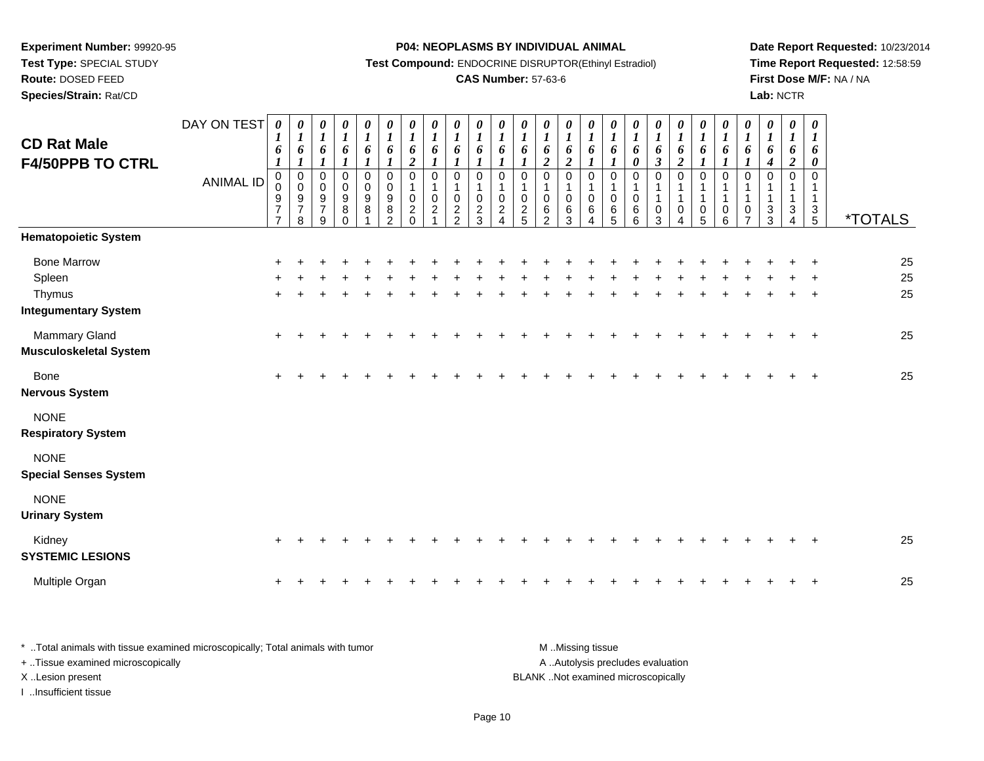**Test Type:** SPECIAL STUDY

# **Route:** DOSED FEED

**Species/Strain:** Rat/CD

### **P04: NEOPLASMS BY INDIVIDUAL ANIMAL**

**Test Compound:** ENDOCRINE DISRUPTOR(Ethinyl Estradiol)

## **CAS Number:** 57-63-6

**Date Report Requested:** 10/23/2014**Time Report Requested:** 12:58:59**First Dose M/F:** NA / NA**Lab:** NCTR

| <b>CD Rat Male</b><br><b>F4/50PPB TO CTRL</b>                         | DAY ON TEST<br><b>ANIMAL ID</b> | $\boldsymbol{\theta}$<br>$\boldsymbol{l}$<br>6<br>1<br>$\mathbf 0$<br>$\mathbf 0$<br>9<br>$\overline{7}$<br>$\overline{7}$ | 0<br>$\boldsymbol{l}$<br>6<br>$\boldsymbol{l}$<br>$\pmb{0}$<br>$\mathbf 0$<br>9<br>$\overline{7}$<br>8 | 0<br>$\boldsymbol{l}$<br>6<br>$\boldsymbol{l}$<br>$\pmb{0}$<br>$\mathbf 0$<br>$\boldsymbol{9}$<br>$\overline{7}$<br>9 | 0<br>$\boldsymbol{l}$<br>6<br>$\mathbf{I}$<br>$\pmb{0}$<br>0<br>$\begin{array}{c} 9 \\ 8 \end{array}$<br>$\Omega$ | $\boldsymbol{\theta}$<br>$\boldsymbol{l}$<br>6<br>$\mathbf{I}$<br>0<br>$\mathbf 0$<br>$\boldsymbol{9}$<br>$\bf 8$ | 0<br>$\boldsymbol{l}$<br>6<br>$\boldsymbol{\eta}$<br>$\mathbf 0$<br>$\mathbf 0$<br>$\boldsymbol{9}$<br>8<br>$\overline{2}$ | 0<br>$\boldsymbol{l}$<br>6<br>$\overline{2}$<br>$\pmb{0}$<br>1<br>$\pmb{0}$<br>$\frac{2}{0}$ | 0<br>$\boldsymbol{l}$<br>6<br>$\mathbf 0$<br>0<br>$\overline{2}$ | 0<br>$\boldsymbol{l}$<br>6<br>$\mathbf 0$<br>0<br>$\frac{2}{2}$ | $\boldsymbol{\theta}$<br>$\boldsymbol{l}$<br>6<br>$\boldsymbol{l}$<br>$\pmb{0}$<br>$\mathbf{1}$<br>$\mathbf 0$<br>$\overline{c}$<br>3 | 0<br>$\boldsymbol{l}$<br>6<br>$\mathbf 0$<br>0<br>$\boldsymbol{2}$<br>$\boldsymbol{\Lambda}$ | 0<br>$\boldsymbol{l}$<br>6<br>$\mathbf 0$<br>0<br>$\frac{2}{5}$ | 0<br>$\boldsymbol{l}$<br>6<br>$\overline{c}$<br>$\mathbf 0$<br>1<br>0<br>6<br>2 | 0<br>$\boldsymbol{l}$<br>6<br>$\overline{2}$<br>$\mathbf 0$<br>$\pmb{0}$<br>$\,6\,$<br>3 | 0<br>$\boldsymbol{l}$<br>6<br>$\mathbf 0$<br>1<br>0<br>6<br>4 | 0<br>$\boldsymbol{l}$<br>6<br>$\boldsymbol{l}$<br>$\mathbf 0$<br>$\mathbf 0$<br>6<br>5 | $\boldsymbol{\theta}$<br>$\boldsymbol{l}$<br>6<br>$\boldsymbol{\theta}$<br>$\pmb{0}$<br>$\mathbf{1}$<br>$\mathbf 0$<br>6<br>6 | 0<br>$\boldsymbol{l}$<br>6<br>$\boldsymbol{\mathfrak{z}}$<br>$\pmb{0}$<br>1<br>$\mathbf{1}$<br>$\pmb{0}$<br>$\overline{3}$ | 0<br>$\boldsymbol{l}$<br>6<br>$\boldsymbol{2}$<br>0<br>$\mathbf{1}$<br>$\mathbf 0$<br>4 | 0<br>$\boldsymbol{l}$<br>6<br>$\mathbf 0$<br>1<br>$\mathbf{1}$<br>$\boldsymbol{0}$<br>5 | 0<br>$\boldsymbol{l}$<br>6<br>$\mathbf{I}$<br>$\mathbf 0$<br>$\mathbf{1}$<br>$\pmb{0}$<br>6 | 0<br>$\boldsymbol{l}$<br>6<br>$\mathbf 0$<br>1<br>0<br>$\overline{7}$ | 0<br>$\boldsymbol{l}$<br>6<br>4<br>$\Omega$<br>$\sqrt{3}$<br>$\overline{3}$ | $\boldsymbol{\theta}$<br>$\boldsymbol{l}$<br>6<br>$\boldsymbol{2}$<br>$\mathbf 0$<br>1<br>$\mathbf{1}$<br>3<br>4 | $\boldsymbol{\theta}$<br>$\boldsymbol{l}$<br>6<br>$\pmb{\theta}$<br>$\pmb{0}$<br>$\mathbf{1}$<br>$\mathbf{1}$<br>$\frac{3}{5}$ | *TOTALS        |
|-----------------------------------------------------------------------|---------------------------------|----------------------------------------------------------------------------------------------------------------------------|--------------------------------------------------------------------------------------------------------|-----------------------------------------------------------------------------------------------------------------------|-------------------------------------------------------------------------------------------------------------------|-------------------------------------------------------------------------------------------------------------------|----------------------------------------------------------------------------------------------------------------------------|----------------------------------------------------------------------------------------------|------------------------------------------------------------------|-----------------------------------------------------------------|---------------------------------------------------------------------------------------------------------------------------------------|----------------------------------------------------------------------------------------------|-----------------------------------------------------------------|---------------------------------------------------------------------------------|------------------------------------------------------------------------------------------|---------------------------------------------------------------|----------------------------------------------------------------------------------------|-------------------------------------------------------------------------------------------------------------------------------|----------------------------------------------------------------------------------------------------------------------------|-----------------------------------------------------------------------------------------|-----------------------------------------------------------------------------------------|---------------------------------------------------------------------------------------------|-----------------------------------------------------------------------|-----------------------------------------------------------------------------|------------------------------------------------------------------------------------------------------------------|--------------------------------------------------------------------------------------------------------------------------------|----------------|
| <b>Hematopoietic System</b>                                           |                                 |                                                                                                                            |                                                                                                        |                                                                                                                       |                                                                                                                   |                                                                                                                   |                                                                                                                            |                                                                                              |                                                                  |                                                                 |                                                                                                                                       |                                                                                              |                                                                 |                                                                                 |                                                                                          |                                                               |                                                                                        |                                                                                                                               |                                                                                                                            |                                                                                         |                                                                                         |                                                                                             |                                                                       |                                                                             |                                                                                                                  |                                                                                                                                |                |
| <b>Bone Marrow</b><br>Spleen<br>Thymus<br><b>Integumentary System</b> |                                 | ÷<br>÷                                                                                                                     |                                                                                                        |                                                                                                                       |                                                                                                                   |                                                                                                                   |                                                                                                                            |                                                                                              |                                                                  |                                                                 |                                                                                                                                       |                                                                                              |                                                                 |                                                                                 |                                                                                          |                                                               |                                                                                        |                                                                                                                               |                                                                                                                            |                                                                                         |                                                                                         |                                                                                             |                                                                       |                                                                             |                                                                                                                  | $\ddot{}$<br>$\overline{1}$                                                                                                    | 25<br>25<br>25 |
| <b>Mammary Gland</b><br><b>Musculoskeletal System</b>                 |                                 | ÷                                                                                                                          |                                                                                                        |                                                                                                                       |                                                                                                                   |                                                                                                                   |                                                                                                                            |                                                                                              |                                                                  |                                                                 |                                                                                                                                       |                                                                                              |                                                                 |                                                                                 |                                                                                          |                                                               |                                                                                        |                                                                                                                               |                                                                                                                            |                                                                                         |                                                                                         |                                                                                             |                                                                       |                                                                             |                                                                                                                  | $\ddot{}$                                                                                                                      | 25             |
| Bone<br><b>Nervous System</b>                                         |                                 | ÷                                                                                                                          |                                                                                                        |                                                                                                                       |                                                                                                                   |                                                                                                                   |                                                                                                                            |                                                                                              |                                                                  |                                                                 |                                                                                                                                       |                                                                                              |                                                                 |                                                                                 |                                                                                          |                                                               |                                                                                        |                                                                                                                               |                                                                                                                            |                                                                                         |                                                                                         |                                                                                             |                                                                       |                                                                             |                                                                                                                  | $\overline{ }$                                                                                                                 | 25             |
| <b>NONE</b><br><b>Respiratory System</b>                              |                                 |                                                                                                                            |                                                                                                        |                                                                                                                       |                                                                                                                   |                                                                                                                   |                                                                                                                            |                                                                                              |                                                                  |                                                                 |                                                                                                                                       |                                                                                              |                                                                 |                                                                                 |                                                                                          |                                                               |                                                                                        |                                                                                                                               |                                                                                                                            |                                                                                         |                                                                                         |                                                                                             |                                                                       |                                                                             |                                                                                                                  |                                                                                                                                |                |
| <b>NONE</b><br><b>Special Senses System</b>                           |                                 |                                                                                                                            |                                                                                                        |                                                                                                                       |                                                                                                                   |                                                                                                                   |                                                                                                                            |                                                                                              |                                                                  |                                                                 |                                                                                                                                       |                                                                                              |                                                                 |                                                                                 |                                                                                          |                                                               |                                                                                        |                                                                                                                               |                                                                                                                            |                                                                                         |                                                                                         |                                                                                             |                                                                       |                                                                             |                                                                                                                  |                                                                                                                                |                |
| <b>NONE</b><br><b>Urinary System</b>                                  |                                 |                                                                                                                            |                                                                                                        |                                                                                                                       |                                                                                                                   |                                                                                                                   |                                                                                                                            |                                                                                              |                                                                  |                                                                 |                                                                                                                                       |                                                                                              |                                                                 |                                                                                 |                                                                                          |                                                               |                                                                                        |                                                                                                                               |                                                                                                                            |                                                                                         |                                                                                         |                                                                                             |                                                                       |                                                                             |                                                                                                                  |                                                                                                                                |                |
| Kidney<br><b>SYSTEMIC LESIONS</b>                                     |                                 |                                                                                                                            |                                                                                                        |                                                                                                                       |                                                                                                                   |                                                                                                                   |                                                                                                                            |                                                                                              |                                                                  |                                                                 |                                                                                                                                       |                                                                                              |                                                                 |                                                                                 |                                                                                          |                                                               |                                                                                        |                                                                                                                               |                                                                                                                            |                                                                                         |                                                                                         |                                                                                             |                                                                       |                                                                             |                                                                                                                  |                                                                                                                                | 25             |
| Multiple Organ                                                        |                                 | +                                                                                                                          |                                                                                                        |                                                                                                                       |                                                                                                                   |                                                                                                                   |                                                                                                                            |                                                                                              |                                                                  |                                                                 |                                                                                                                                       |                                                                                              |                                                                 |                                                                                 |                                                                                          |                                                               |                                                                                        |                                                                                                                               |                                                                                                                            |                                                                                         |                                                                                         |                                                                                             |                                                                       |                                                                             |                                                                                                                  | $\overline{ }$                                                                                                                 | 25             |

| Total animals with tissue examined microscopically; Total animals with tumor | M Missing tissue                   |
|------------------------------------------------------------------------------|------------------------------------|
| + Tissue examined microscopically                                            | A Autolysis precludes evaluation   |
| X Lesion present                                                             | BLANK Not examined microscopically |
| Insufficient tissue                                                          |                                    |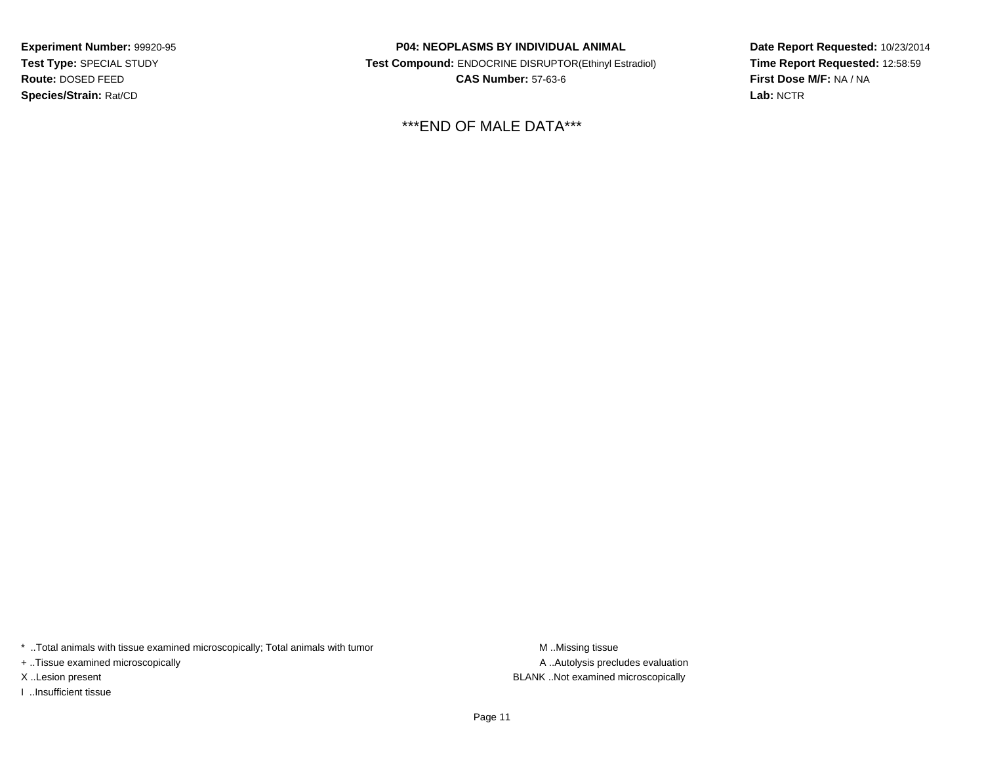**Experiment Number:** 99920-95**Test Type:** SPECIAL STUDY**Route:** DOSED FEED**Species/Strain:** Rat/CD

**P04: NEOPLASMS BY INDIVIDUAL ANIMAL Test Compound:** ENDOCRINE DISRUPTOR(Ethinyl Estradiol)**CAS Number:** 57-63-6

\*\*\*END OF MALE DATA\*\*\*

**Date Report Requested:** 10/23/2014**Time Report Requested:** 12:58:59**First Dose M/F:** NA / NA**Lab:** NCTR

\* ..Total animals with tissue examined microscopically; Total animals with tumor **M** . Missing tissue M ..Missing tissue

+ ..Tissue examined microscopically

I ..Insufficient tissue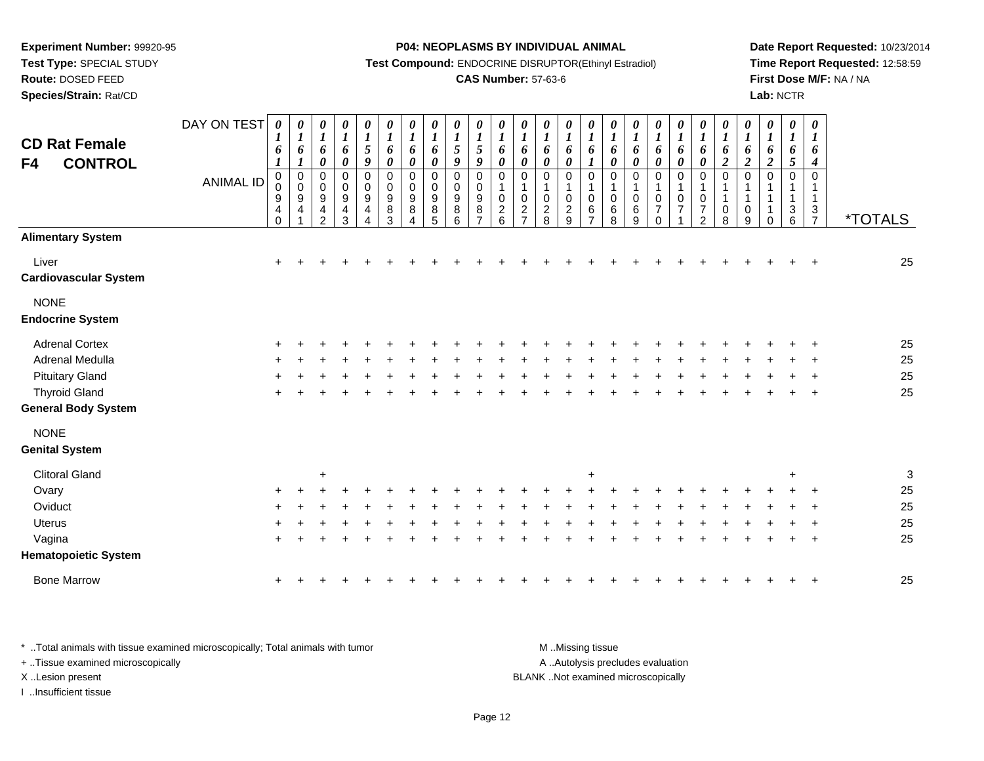**Test Type:** SPECIAL STUDY

## **Route:** DOSED FEED

**Species/Strain:** Rat/CD

### **P04: NEOPLASMS BY INDIVIDUAL ANIMAL**

**Test Compound:** ENDOCRINE DISRUPTOR(Ethinyl Estradiol)

### **CAS Number:** 57-63-6

**Date Report Requested:** 10/23/2014**Time Report Requested:** 12:58:59**First Dose M/F:** NA / NA**Lab:** NCTR

| <b>CD Rat Female</b><br><b>CONTROL</b><br>F4 | DAY ON TEST<br><b>ANIMAL ID</b> | $\boldsymbol{\theta}$<br>1<br>6<br>$\pmb{0}$<br>0<br>$\boldsymbol{9}$<br>$\overline{4}$<br>$\Omega$ | 0<br>$\boldsymbol{l}$<br>6<br>1<br>$\pmb{0}$<br>$\pmb{0}$<br>$\boldsymbol{9}$<br>$\overline{4}$ | 0<br>$\boldsymbol{l}$<br>6<br>$\boldsymbol{\theta}$<br>$\boldsymbol{0}$<br>$\pmb{0}$<br>$\boldsymbol{9}$<br>4<br>$\overline{2}$ | $\pmb{\theta}$<br>$\boldsymbol{l}$<br>6<br>$\pmb{\theta}$<br>$\mathbf 0$<br>$\mathbf 0$<br>$\boldsymbol{9}$<br>$\overline{\mathbf{4}}$<br>3 | $\begin{array}{c} \n0 \\ \n1 \\ \n5 \n\end{array}$<br>$\boldsymbol{g}$<br>0<br>$\pmb{0}$<br>$\boldsymbol{9}$<br>4<br>Δ | $\pmb{\theta}$<br>$\boldsymbol{l}$<br>6<br>$\pmb{\theta}$<br>0<br>$\pmb{0}$<br>$\boldsymbol{9}$<br>$\bf 8$<br>3 | $\pmb{\theta}$<br>$\boldsymbol{l}$<br>6<br>$\boldsymbol{\theta}$<br>$\pmb{0}$<br>$\pmb{0}$<br>$\boldsymbol{9}$<br>8<br>Δ | 0<br>$\boldsymbol{l}$<br>6<br>0<br>$\mathbf 0$<br>$\mathbf 0$<br>$\boldsymbol{9}$<br>8<br>5 | 0<br>$\boldsymbol{l}$<br>$5\overline{)}$<br>9<br>$\pmb{0}$<br>0<br>$\boldsymbol{9}$<br>8<br>6 | $\boldsymbol{\theta}$<br>$\boldsymbol{l}$<br>5<br>9<br>$\mathbf 0$<br>$\mathbf 0$<br>9<br>8<br>$\overline{7}$ | $\pmb{\theta}$<br>$\boldsymbol{l}$<br>6<br>$\pmb{\theta}$<br>$\mathsf 0$<br>$\mathsf 0$<br>$\overline{2}$<br>6 | $\frac{\boldsymbol{\theta}}{\boldsymbol{I}}$<br>6<br>0<br>0<br>1<br>$\pmb{0}$<br>$\overline{c}$<br>$\overline{7}$ | 0<br>$\boldsymbol{l}$<br>6<br>$\pmb{\theta}$<br>0<br>$\mathbf 1$<br>$\pmb{0}$<br>$\sqrt{2}$<br>8 | $\boldsymbol{\theta}$<br>$\boldsymbol{l}$<br>6<br>$\boldsymbol{\theta}$<br>0<br>1<br>$\mathbf 0$<br>$\sqrt{2}$<br>9 | 0<br>$\boldsymbol{l}$<br>6<br>$\boldsymbol{l}$<br>$\mathbf 0$<br>1<br>$\mathsf 0$<br>6<br>⇁ | $\boldsymbol{\theta}$<br>$\boldsymbol{l}$<br>6<br>$\pmb{\theta}$<br>0<br>0<br>6<br>8 | $\boldsymbol{\theta}$<br>$\boldsymbol{l}$<br>6<br>$\boldsymbol{\theta}$<br>$\mathbf 0$<br>1<br>$\pmb{0}$<br>6<br>9 | $\pmb{\theta}$<br>$\boldsymbol{l}$<br>6<br>$\boldsymbol{\theta}$<br>$\mathsf 0$<br>$\pmb{0}$<br>$\overline{7}$<br>$\Omega$ | $\frac{\boldsymbol{\theta}}{\boldsymbol{I}}$<br>6<br>$\boldsymbol{\theta}$<br>$\pmb{0}$<br>1<br>$\pmb{0}$<br>$\overline{7}$ | 0<br>$\boldsymbol{l}$<br>6<br>$\pmb{\theta}$<br>0<br>$\mathbf{1}$<br>$\pmb{0}$<br>$\overline{7}$<br>$\overline{2}$ | $\pmb{\theta}$<br>$\boldsymbol{l}$<br>6<br>$\boldsymbol{2}$<br>$\mathsf 0$<br>1<br>$\mathbf{1}$<br>$\mathbf 0$<br>8 | 0<br>$\boldsymbol{l}$<br>6<br>$\overline{2}$<br>0<br>$\mathbf{1}$<br>$\mathbf 0$<br>9 | 0<br>$\boldsymbol{l}$<br>6<br>$\boldsymbol{2}$<br>0<br>0 | $\boldsymbol{\theta}$<br>$\boldsymbol{l}$<br>6<br>5<br>$\mathbf 0$<br>1<br>$\ensuremath{\mathsf{3}}$<br>6 | 0<br>$\boldsymbol{l}$<br>6<br>4<br>$\mathbf 0$<br>$\mathbf{1}$<br>$\ensuremath{\mathsf{3}}$<br>$\overline{7}$ | <i><b>*TOTALS</b></i> |
|----------------------------------------------|---------------------------------|-----------------------------------------------------------------------------------------------------|-------------------------------------------------------------------------------------------------|---------------------------------------------------------------------------------------------------------------------------------|---------------------------------------------------------------------------------------------------------------------------------------------|------------------------------------------------------------------------------------------------------------------------|-----------------------------------------------------------------------------------------------------------------|--------------------------------------------------------------------------------------------------------------------------|---------------------------------------------------------------------------------------------|-----------------------------------------------------------------------------------------------|---------------------------------------------------------------------------------------------------------------|----------------------------------------------------------------------------------------------------------------|-------------------------------------------------------------------------------------------------------------------|--------------------------------------------------------------------------------------------------|---------------------------------------------------------------------------------------------------------------------|---------------------------------------------------------------------------------------------|--------------------------------------------------------------------------------------|--------------------------------------------------------------------------------------------------------------------|----------------------------------------------------------------------------------------------------------------------------|-----------------------------------------------------------------------------------------------------------------------------|--------------------------------------------------------------------------------------------------------------------|---------------------------------------------------------------------------------------------------------------------|---------------------------------------------------------------------------------------|----------------------------------------------------------|-----------------------------------------------------------------------------------------------------------|---------------------------------------------------------------------------------------------------------------|-----------------------|
| <b>Alimentary System</b>                     |                                 |                                                                                                     |                                                                                                 |                                                                                                                                 |                                                                                                                                             |                                                                                                                        |                                                                                                                 |                                                                                                                          |                                                                                             |                                                                                               |                                                                                                               |                                                                                                                |                                                                                                                   |                                                                                                  |                                                                                                                     |                                                                                             |                                                                                      |                                                                                                                    |                                                                                                                            |                                                                                                                             |                                                                                                                    |                                                                                                                     |                                                                                       |                                                          |                                                                                                           |                                                                                                               |                       |
| Liver<br><b>Cardiovascular System</b>        |                                 | $\ddot{}$                                                                                           |                                                                                                 |                                                                                                                                 |                                                                                                                                             |                                                                                                                        |                                                                                                                 |                                                                                                                          |                                                                                             |                                                                                               |                                                                                                               |                                                                                                                |                                                                                                                   |                                                                                                  |                                                                                                                     |                                                                                             |                                                                                      |                                                                                                                    |                                                                                                                            |                                                                                                                             |                                                                                                                    |                                                                                                                     |                                                                                       |                                                          |                                                                                                           |                                                                                                               | 25                    |
| <b>NONE</b><br><b>Endocrine System</b>       |                                 |                                                                                                     |                                                                                                 |                                                                                                                                 |                                                                                                                                             |                                                                                                                        |                                                                                                                 |                                                                                                                          |                                                                                             |                                                                                               |                                                                                                               |                                                                                                                |                                                                                                                   |                                                                                                  |                                                                                                                     |                                                                                             |                                                                                      |                                                                                                                    |                                                                                                                            |                                                                                                                             |                                                                                                                    |                                                                                                                     |                                                                                       |                                                          |                                                                                                           |                                                                                                               |                       |
| <b>Adrenal Cortex</b>                        |                                 |                                                                                                     |                                                                                                 |                                                                                                                                 |                                                                                                                                             |                                                                                                                        |                                                                                                                 |                                                                                                                          |                                                                                             |                                                                                               |                                                                                                               |                                                                                                                |                                                                                                                   |                                                                                                  |                                                                                                                     |                                                                                             |                                                                                      |                                                                                                                    |                                                                                                                            |                                                                                                                             |                                                                                                                    |                                                                                                                     |                                                                                       |                                                          |                                                                                                           |                                                                                                               | 25                    |
| Adrenal Medulla                              |                                 |                                                                                                     |                                                                                                 |                                                                                                                                 |                                                                                                                                             |                                                                                                                        |                                                                                                                 |                                                                                                                          |                                                                                             |                                                                                               |                                                                                                               |                                                                                                                |                                                                                                                   |                                                                                                  |                                                                                                                     |                                                                                             |                                                                                      |                                                                                                                    |                                                                                                                            |                                                                                                                             |                                                                                                                    |                                                                                                                     |                                                                                       |                                                          |                                                                                                           |                                                                                                               | 25                    |
| <b>Pituitary Gland</b>                       |                                 |                                                                                                     |                                                                                                 |                                                                                                                                 |                                                                                                                                             |                                                                                                                        |                                                                                                                 |                                                                                                                          |                                                                                             |                                                                                               |                                                                                                               |                                                                                                                |                                                                                                                   |                                                                                                  |                                                                                                                     |                                                                                             |                                                                                      |                                                                                                                    |                                                                                                                            |                                                                                                                             |                                                                                                                    |                                                                                                                     |                                                                                       |                                                          |                                                                                                           |                                                                                                               | 25                    |
| <b>Thyroid Gland</b>                         |                                 |                                                                                                     |                                                                                                 |                                                                                                                                 |                                                                                                                                             |                                                                                                                        |                                                                                                                 |                                                                                                                          |                                                                                             |                                                                                               |                                                                                                               |                                                                                                                |                                                                                                                   |                                                                                                  |                                                                                                                     |                                                                                             |                                                                                      |                                                                                                                    |                                                                                                                            |                                                                                                                             |                                                                                                                    |                                                                                                                     |                                                                                       |                                                          |                                                                                                           | $\ddot{}$                                                                                                     | 25                    |
| <b>General Body System</b>                   |                                 |                                                                                                     |                                                                                                 |                                                                                                                                 |                                                                                                                                             |                                                                                                                        |                                                                                                                 |                                                                                                                          |                                                                                             |                                                                                               |                                                                                                               |                                                                                                                |                                                                                                                   |                                                                                                  |                                                                                                                     |                                                                                             |                                                                                      |                                                                                                                    |                                                                                                                            |                                                                                                                             |                                                                                                                    |                                                                                                                     |                                                                                       |                                                          |                                                                                                           |                                                                                                               |                       |
| <b>NONE</b>                                  |                                 |                                                                                                     |                                                                                                 |                                                                                                                                 |                                                                                                                                             |                                                                                                                        |                                                                                                                 |                                                                                                                          |                                                                                             |                                                                                               |                                                                                                               |                                                                                                                |                                                                                                                   |                                                                                                  |                                                                                                                     |                                                                                             |                                                                                      |                                                                                                                    |                                                                                                                            |                                                                                                                             |                                                                                                                    |                                                                                                                     |                                                                                       |                                                          |                                                                                                           |                                                                                                               |                       |
| <b>Genital System</b>                        |                                 |                                                                                                     |                                                                                                 |                                                                                                                                 |                                                                                                                                             |                                                                                                                        |                                                                                                                 |                                                                                                                          |                                                                                             |                                                                                               |                                                                                                               |                                                                                                                |                                                                                                                   |                                                                                                  |                                                                                                                     |                                                                                             |                                                                                      |                                                                                                                    |                                                                                                                            |                                                                                                                             |                                                                                                                    |                                                                                                                     |                                                                                       |                                                          |                                                                                                           |                                                                                                               |                       |
| <b>Clitoral Gland</b>                        |                                 |                                                                                                     |                                                                                                 | ÷                                                                                                                               |                                                                                                                                             |                                                                                                                        |                                                                                                                 |                                                                                                                          |                                                                                             |                                                                                               |                                                                                                               |                                                                                                                |                                                                                                                   |                                                                                                  |                                                                                                                     | $\ddot{}$                                                                                   |                                                                                      |                                                                                                                    |                                                                                                                            |                                                                                                                             |                                                                                                                    |                                                                                                                     |                                                                                       |                                                          |                                                                                                           |                                                                                                               | $\sqrt{3}$            |
| Ovary                                        |                                 |                                                                                                     |                                                                                                 |                                                                                                                                 |                                                                                                                                             |                                                                                                                        |                                                                                                                 |                                                                                                                          |                                                                                             |                                                                                               |                                                                                                               |                                                                                                                |                                                                                                                   |                                                                                                  |                                                                                                                     |                                                                                             |                                                                                      |                                                                                                                    |                                                                                                                            |                                                                                                                             |                                                                                                                    |                                                                                                                     |                                                                                       |                                                          |                                                                                                           |                                                                                                               | 25                    |
| Oviduct                                      |                                 |                                                                                                     |                                                                                                 |                                                                                                                                 |                                                                                                                                             |                                                                                                                        |                                                                                                                 |                                                                                                                          |                                                                                             |                                                                                               |                                                                                                               |                                                                                                                |                                                                                                                   |                                                                                                  |                                                                                                                     |                                                                                             |                                                                                      |                                                                                                                    |                                                                                                                            |                                                                                                                             |                                                                                                                    |                                                                                                                     |                                                                                       |                                                          |                                                                                                           |                                                                                                               | 25                    |
| <b>Uterus</b>                                |                                 |                                                                                                     |                                                                                                 |                                                                                                                                 |                                                                                                                                             |                                                                                                                        |                                                                                                                 |                                                                                                                          |                                                                                             |                                                                                               |                                                                                                               |                                                                                                                |                                                                                                                   |                                                                                                  |                                                                                                                     |                                                                                             |                                                                                      |                                                                                                                    |                                                                                                                            |                                                                                                                             |                                                                                                                    |                                                                                                                     |                                                                                       |                                                          |                                                                                                           |                                                                                                               | 25                    |
| Vagina                                       |                                 |                                                                                                     |                                                                                                 |                                                                                                                                 |                                                                                                                                             |                                                                                                                        |                                                                                                                 |                                                                                                                          |                                                                                             |                                                                                               |                                                                                                               |                                                                                                                |                                                                                                                   |                                                                                                  |                                                                                                                     |                                                                                             |                                                                                      |                                                                                                                    |                                                                                                                            |                                                                                                                             |                                                                                                                    |                                                                                                                     |                                                                                       |                                                          |                                                                                                           |                                                                                                               | 25                    |
| <b>Hematopoietic System</b>                  |                                 |                                                                                                     |                                                                                                 |                                                                                                                                 |                                                                                                                                             |                                                                                                                        |                                                                                                                 |                                                                                                                          |                                                                                             |                                                                                               |                                                                                                               |                                                                                                                |                                                                                                                   |                                                                                                  |                                                                                                                     |                                                                                             |                                                                                      |                                                                                                                    |                                                                                                                            |                                                                                                                             |                                                                                                                    |                                                                                                                     |                                                                                       |                                                          |                                                                                                           |                                                                                                               |                       |
| <b>Bone Marrow</b>                           |                                 |                                                                                                     |                                                                                                 |                                                                                                                                 |                                                                                                                                             |                                                                                                                        |                                                                                                                 |                                                                                                                          |                                                                                             |                                                                                               |                                                                                                               |                                                                                                                |                                                                                                                   |                                                                                                  |                                                                                                                     |                                                                                             |                                                                                      |                                                                                                                    |                                                                                                                            |                                                                                                                             |                                                                                                                    |                                                                                                                     |                                                                                       |                                                          |                                                                                                           |                                                                                                               | 25                    |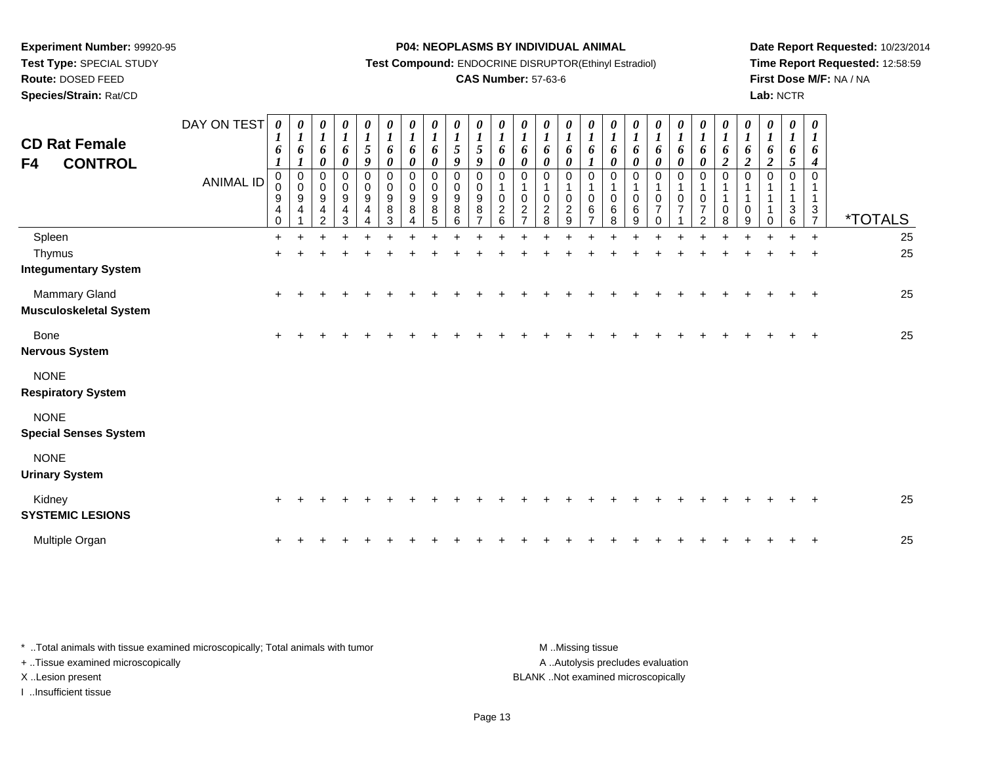**Test Type:** SPECIAL STUDY

**Route:** DOSED FEED

**Species/Strain:** Rat/CD

**P04: NEOPLASMS BY INDIVIDUAL ANIMAL**

**Test Compound:** ENDOCRINE DISRUPTOR(Ethinyl Estradiol)

## **CAS Number:** 57-63-6

**Date Report Requested:** 10/23/2014**Time Report Requested:** 12:58:59**First Dose M/F:** NA / NA**Lab:** NCTR

| <b>CD Rat Female</b><br><b>CONTROL</b><br>F4 | DAY ON TEST<br><b>ANIMAL ID</b> | $\theta$<br>6<br>$\boldsymbol{l}$<br>0<br>0<br>9<br>4<br>$\Omega$ | $\boldsymbol{\theta}$<br>$\boldsymbol{l}$<br>6<br>$\boldsymbol{l}$<br>$\pmb{0}$<br>$\pmb{0}$<br>9<br>4 | 0<br>6<br>$\boldsymbol{\theta}$<br>0<br>$\pmb{0}$<br>$\boldsymbol{9}$<br>4<br>2 | 0<br>$\boldsymbol{l}$<br>6<br>$\boldsymbol{\theta}$<br>0<br>$\mathsf{O}$<br>9<br>4<br>3 | 0<br>$\boldsymbol{l}$<br>$\mathfrak{s}$<br>9<br>0<br>$\pmb{0}$<br>9<br>$\overline{4}$ | 0<br>$\boldsymbol{l}$<br>6<br>$\boldsymbol{\theta}$<br>$\mathbf 0$<br>$\mathsf 0$<br>9<br>$\bf 8$<br>3 | 0<br>$\boldsymbol{l}$<br>6<br>0<br>0<br>$\mathbf 0$<br>9<br>8 | 0<br>$\boldsymbol{l}$<br>6<br>$\pmb{\theta}$<br>0<br>$\mathbf 0$<br>9<br>8<br>5 | $\boldsymbol{\theta}$<br>$\boldsymbol{l}$<br>$\mathfrak{s}$<br>9<br>$\Omega$<br>$\Omega$<br>9<br>8<br>6 | $\boldsymbol{\theta}$<br>$\mathfrak{s}$<br>$\boldsymbol{g}$<br>$\mathbf 0$<br>0<br>$\boldsymbol{9}$<br>$\,8\,$ | $\boldsymbol{\theta}$<br>$\boldsymbol{l}$<br>6<br>$\pmb{\theta}$<br>$\Omega$<br>$\mathbf 0$<br>$\overline{c}$<br>6 | 0<br>$\boldsymbol{l}$<br>6<br>$\boldsymbol{\theta}$<br>0<br>$\mathbf 1$<br>$\pmb{0}$<br>$\boldsymbol{2}$<br>7 | $\boldsymbol{\theta}$<br>$\boldsymbol{l}$<br>6<br>$\boldsymbol{\theta}$<br>0<br>1<br>$\mathbf 0$<br>$\sqrt{2}$<br>8 | 0<br>$\boldsymbol{l}$<br>6<br>$\pmb{\theta}$<br>0<br>$\mathbf{1}$<br>0<br>$\frac{2}{9}$ | $\theta$<br>$\boldsymbol{l}$<br>6<br>$\boldsymbol{l}$<br>$\Omega$<br>$\mathbf 0$<br>6 | $\boldsymbol{\theta}$<br>$\boldsymbol{l}$<br>6<br>$\boldsymbol{\theta}$<br>0<br>1<br>$\mathbf 0$<br>6<br>8 | 0<br>6<br>$\boldsymbol{\theta}$<br>0<br>$\mathbf 0$<br>$\,6\,$<br>9 | $\frac{\theta}{I}$<br>6<br>$\pmb{\theta}$<br>0<br>$\mathbf{1}$<br>0<br>$\overline{7}$<br>$\Omega$ | 0<br>$\boldsymbol{l}$<br>6<br>$\pmb{\theta}$<br>0<br>$\mathbf{1}$<br>$\pmb{0}$<br>$\overline{7}$ | 0<br>$\boldsymbol{l}$<br>6<br>$\boldsymbol{\theta}$<br>0<br>1<br>$\pmb{0}$<br>$\overline{7}$<br>$\overline{2}$ | 0<br>$\boldsymbol{l}$<br>6<br>$\overline{a}$<br>$\Omega$<br>$\mathbf{1}$<br>$\mathbf 0$<br>8 | 0<br>$\boldsymbol{l}$<br>6<br>$\boldsymbol{2}$<br>0<br>0<br>9 | $\boldsymbol{\theta}$<br>$\boldsymbol{l}$<br>6<br>$\boldsymbol{2}$ | 0<br>6<br>5<br>$\Omega$<br>3<br>6 | $\boldsymbol{\theta}$<br>$\boldsymbol{l}$<br>6<br>$\boldsymbol{4}$<br>0<br>$\mathbf{1}$<br>$\frac{3}{7}$ | <i><b>*TOTALS</b></i> |
|----------------------------------------------|---------------------------------|-------------------------------------------------------------------|--------------------------------------------------------------------------------------------------------|---------------------------------------------------------------------------------|-----------------------------------------------------------------------------------------|---------------------------------------------------------------------------------------|--------------------------------------------------------------------------------------------------------|---------------------------------------------------------------|---------------------------------------------------------------------------------|---------------------------------------------------------------------------------------------------------|----------------------------------------------------------------------------------------------------------------|--------------------------------------------------------------------------------------------------------------------|---------------------------------------------------------------------------------------------------------------|---------------------------------------------------------------------------------------------------------------------|-----------------------------------------------------------------------------------------|---------------------------------------------------------------------------------------|------------------------------------------------------------------------------------------------------------|---------------------------------------------------------------------|---------------------------------------------------------------------------------------------------|--------------------------------------------------------------------------------------------------|----------------------------------------------------------------------------------------------------------------|----------------------------------------------------------------------------------------------|---------------------------------------------------------------|--------------------------------------------------------------------|-----------------------------------|----------------------------------------------------------------------------------------------------------|-----------------------|
| Spleen                                       |                                 | $+$                                                               |                                                                                                        |                                                                                 |                                                                                         |                                                                                       |                                                                                                        |                                                               |                                                                                 |                                                                                                         |                                                                                                                |                                                                                                                    |                                                                                                               |                                                                                                                     |                                                                                         |                                                                                       |                                                                                                            |                                                                     |                                                                                                   |                                                                                                  |                                                                                                                |                                                                                              |                                                               |                                                                    |                                   | $\ddot{}$                                                                                                | 25                    |
| Thymus                                       |                                 | $\ddot{}$                                                         |                                                                                                        |                                                                                 |                                                                                         |                                                                                       |                                                                                                        |                                                               |                                                                                 |                                                                                                         |                                                                                                                |                                                                                                                    |                                                                                                               |                                                                                                                     |                                                                                         |                                                                                       |                                                                                                            |                                                                     |                                                                                                   |                                                                                                  |                                                                                                                |                                                                                              |                                                               |                                                                    |                                   | $\ddot{}$                                                                                                | 25                    |
| <b>Integumentary System</b>                  |                                 |                                                                   |                                                                                                        |                                                                                 |                                                                                         |                                                                                       |                                                                                                        |                                                               |                                                                                 |                                                                                                         |                                                                                                                |                                                                                                                    |                                                                                                               |                                                                                                                     |                                                                                         |                                                                                       |                                                                                                            |                                                                     |                                                                                                   |                                                                                                  |                                                                                                                |                                                                                              |                                                               |                                                                    |                                   |                                                                                                          |                       |
| Mammary Gland                                |                                 |                                                                   |                                                                                                        |                                                                                 |                                                                                         |                                                                                       |                                                                                                        |                                                               |                                                                                 |                                                                                                         |                                                                                                                |                                                                                                                    |                                                                                                               |                                                                                                                     |                                                                                         |                                                                                       |                                                                                                            |                                                                     |                                                                                                   |                                                                                                  |                                                                                                                |                                                                                              |                                                               |                                                                    |                                   | $\pm$                                                                                                    | 25                    |
| <b>Musculoskeletal System</b>                |                                 |                                                                   |                                                                                                        |                                                                                 |                                                                                         |                                                                                       |                                                                                                        |                                                               |                                                                                 |                                                                                                         |                                                                                                                |                                                                                                                    |                                                                                                               |                                                                                                                     |                                                                                         |                                                                                       |                                                                                                            |                                                                     |                                                                                                   |                                                                                                  |                                                                                                                |                                                                                              |                                                               |                                                                    |                                   |                                                                                                          |                       |
| Bone<br><b>Nervous System</b>                |                                 | $\ddot{}$                                                         |                                                                                                        |                                                                                 |                                                                                         |                                                                                       |                                                                                                        |                                                               |                                                                                 |                                                                                                         |                                                                                                                |                                                                                                                    |                                                                                                               |                                                                                                                     |                                                                                         |                                                                                       |                                                                                                            |                                                                     |                                                                                                   |                                                                                                  |                                                                                                                |                                                                                              |                                                               |                                                                    |                                   |                                                                                                          | 25                    |
| <b>NONE</b><br><b>Respiratory System</b>     |                                 |                                                                   |                                                                                                        |                                                                                 |                                                                                         |                                                                                       |                                                                                                        |                                                               |                                                                                 |                                                                                                         |                                                                                                                |                                                                                                                    |                                                                                                               |                                                                                                                     |                                                                                         |                                                                                       |                                                                                                            |                                                                     |                                                                                                   |                                                                                                  |                                                                                                                |                                                                                              |                                                               |                                                                    |                                   |                                                                                                          |                       |
| <b>NONE</b><br><b>Special Senses System</b>  |                                 |                                                                   |                                                                                                        |                                                                                 |                                                                                         |                                                                                       |                                                                                                        |                                                               |                                                                                 |                                                                                                         |                                                                                                                |                                                                                                                    |                                                                                                               |                                                                                                                     |                                                                                         |                                                                                       |                                                                                                            |                                                                     |                                                                                                   |                                                                                                  |                                                                                                                |                                                                                              |                                                               |                                                                    |                                   |                                                                                                          |                       |
| <b>NONE</b><br><b>Urinary System</b>         |                                 |                                                                   |                                                                                                        |                                                                                 |                                                                                         |                                                                                       |                                                                                                        |                                                               |                                                                                 |                                                                                                         |                                                                                                                |                                                                                                                    |                                                                                                               |                                                                                                                     |                                                                                         |                                                                                       |                                                                                                            |                                                                     |                                                                                                   |                                                                                                  |                                                                                                                |                                                                                              |                                                               |                                                                    |                                   |                                                                                                          |                       |
| Kidney<br><b>SYSTEMIC LESIONS</b>            |                                 |                                                                   |                                                                                                        |                                                                                 |                                                                                         |                                                                                       |                                                                                                        |                                                               |                                                                                 |                                                                                                         |                                                                                                                |                                                                                                                    |                                                                                                               |                                                                                                                     |                                                                                         |                                                                                       |                                                                                                            |                                                                     |                                                                                                   |                                                                                                  |                                                                                                                |                                                                                              |                                                               |                                                                    |                                   |                                                                                                          | 25                    |
| Multiple Organ                               |                                 |                                                                   |                                                                                                        |                                                                                 |                                                                                         |                                                                                       |                                                                                                        |                                                               |                                                                                 |                                                                                                         |                                                                                                                |                                                                                                                    |                                                                                                               |                                                                                                                     |                                                                                         |                                                                                       |                                                                                                            |                                                                     |                                                                                                   |                                                                                                  |                                                                                                                |                                                                                              |                                                               |                                                                    |                                   | $\overline{+}$                                                                                           | 25                    |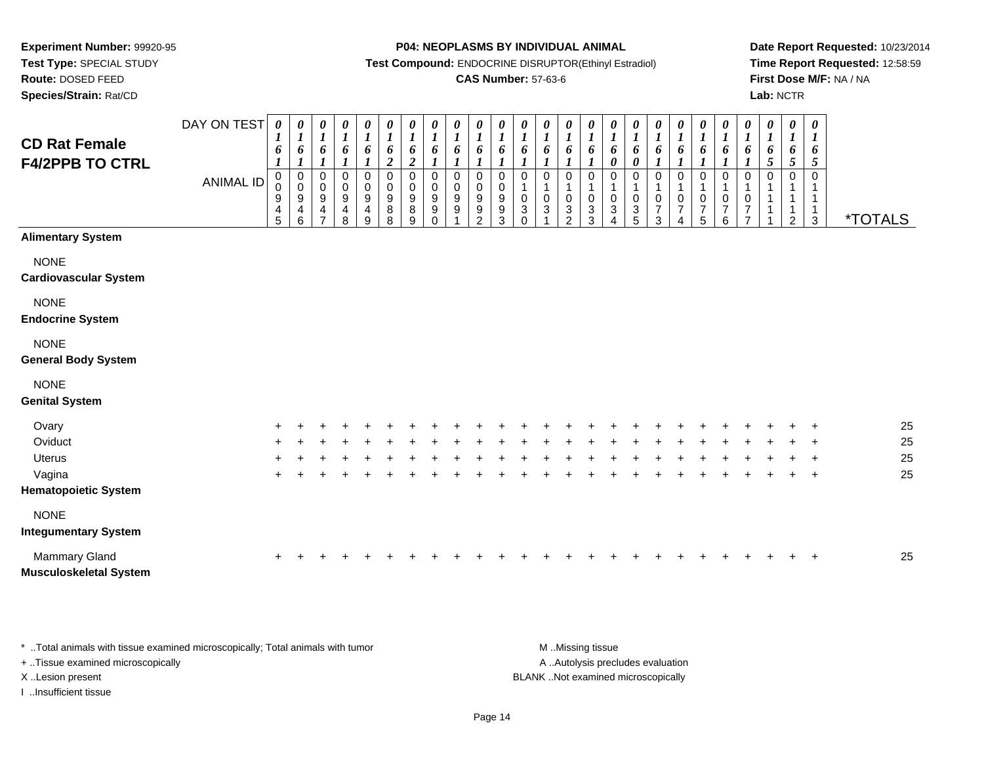**Experiment Number:** 99920-95**Test Type:** SPECIAL STUDY

**Route:** DOSED FEED

**Species/Strain:** Rat/CD

### **P04: NEOPLASMS BY INDIVIDUAL ANIMAL**

**Test Compound:** ENDOCRINE DISRUPTOR(Ethinyl Estradiol)

### **CAS Number:** 57-63-6

**Date Report Requested:** 10/23/2014**Time Report Requested:** 12:58:59**First Dose M/F:** NA / NA**Lab:** NCTR

| <b>CD Rat Female</b><br><b>F4/2PPB TO CTRL</b> | DAY ON TEST<br><b>ANIMAL ID</b> | $\pmb{\theta}$<br>$\bm{l}$<br>6<br>$\boldsymbol{l}$<br>0<br>0<br>$\boldsymbol{9}$<br>$\overline{4}$<br>5 | $\pmb{\theta}$<br>$\boldsymbol{l}$<br>6<br>1<br>0<br>$\pmb{0}$<br>9<br>4<br>6 | 0<br>$\boldsymbol{l}$<br>6<br>$\boldsymbol{l}$<br>0<br>$\mathbf 0$<br>9<br>4 | 0<br>$\boldsymbol{l}$<br>6<br>$\boldsymbol{l}$<br>0<br>$\mathbf 0$<br>$\frac{9}{4}$<br>8 | $\boldsymbol{\theta}$<br>$\boldsymbol{l}$<br>6<br>0<br>$\pmb{0}$<br>9<br>$\overline{\mathbf{4}}$<br>$\boldsymbol{9}$ | 0<br>$\boldsymbol{l}$<br>6<br>$\boldsymbol{2}$<br>$\mathbf 0$<br>$\mathbf 0$<br>$\boldsymbol{9}$<br>8<br>8 | $\pmb{\theta}$<br>$\boldsymbol{l}$<br>6<br>$\boldsymbol{2}$<br>$\mathbf 0$<br>$\,0\,$<br>9<br>8<br>9 | $\boldsymbol{\theta}$<br>$\boldsymbol{l}$<br>6<br>$\mathbf 0$<br>$\mathbf 0$<br>$9\,$<br>$\boldsymbol{9}$<br>$\Omega$ | 0<br>$\boldsymbol{l}$<br>6<br>1<br>$\mathbf 0$<br>$\mathbf 0$<br>9<br>$\boldsymbol{9}$ | 0<br>$\boldsymbol{l}$<br>6<br>$\Omega$<br>$\mathbf 0$<br>$9\,$<br>9<br>$\mathcal{P}$ | 0<br>$\boldsymbol{l}$<br>6<br>0<br>$\mathbf 0$<br>9<br>9<br>3 | 0<br>$\boldsymbol{l}$<br>6<br>0<br>$\mathbf{1}$<br>$\pmb{0}$<br>$\ensuremath{\mathsf{3}}$<br>$\Omega$ | 0<br>$\boldsymbol{l}$<br>6<br>$\mathbf 0$<br>$\mathbf{1}$<br>$\pmb{0}$<br>3 | 0<br>$\boldsymbol{l}$<br>6<br>0<br>$\mathbf{1}$<br>$\,0\,$<br>$\ensuremath{\mathsf{3}}$<br>$\overline{2}$ | $\boldsymbol{\theta}$<br>$\boldsymbol{l}$<br>6<br>$\boldsymbol{l}$<br>0<br>$\mathbf{1}$<br>$\pmb{0}$<br>$\mathbf 3$<br>3 | 0<br>$\boldsymbol{l}$<br>6<br>0<br>0<br>$\mathbf{1}$<br>0<br>$\ensuremath{\mathsf{3}}$ | 0<br>$\boldsymbol{l}$<br>6<br>$\boldsymbol{\theta}$<br>$\mathbf 0$<br>$\mathbf{1}$<br>$\pmb{0}$<br>$\sqrt{3}$<br>5 | 0<br>$\boldsymbol{l}$<br>6<br>0<br>$\mathbf{1}$<br>$\pmb{0}$<br>$\overline{7}$<br>3 | 0<br>$\boldsymbol{l}$<br>6<br>$\boldsymbol{l}$<br>0<br>$\mathbf{1}$<br>$\pmb{0}$<br>$\boldsymbol{7}$<br>4 | $\pmb{\theta}$<br>$\boldsymbol{l}$<br>6<br>$\boldsymbol{l}$<br>$\mathbf 0$<br>$\mathbf{1}$<br>$\pmb{0}$<br>$\overline{7}$<br>5 | 0<br>$\boldsymbol{l}$<br>6<br>$\mathbf{I}$<br>$\pmb{0}$<br>1<br>$\pmb{0}$<br>$\boldsymbol{7}$<br>$6\phantom{a}$ | $\boldsymbol{\theta}$<br>$\boldsymbol{l}$<br>6<br>0<br>$\mathbf{1}$<br>0<br>7<br>$\overline{ }$ | $\boldsymbol{l}$<br>6<br>$\mathfrak{s}$<br>0 | 0 | 0<br>$\boldsymbol{l}$<br>6<br>$\sqrt{5}$<br>$\Omega$<br>1<br>2 | 0<br>1<br>6<br>5<br>$\Omega$<br>1<br>3 | <i><b>*TOTALS</b></i> |
|------------------------------------------------|---------------------------------|----------------------------------------------------------------------------------------------------------|-------------------------------------------------------------------------------|------------------------------------------------------------------------------|------------------------------------------------------------------------------------------|----------------------------------------------------------------------------------------------------------------------|------------------------------------------------------------------------------------------------------------|------------------------------------------------------------------------------------------------------|-----------------------------------------------------------------------------------------------------------------------|----------------------------------------------------------------------------------------|--------------------------------------------------------------------------------------|---------------------------------------------------------------|-------------------------------------------------------------------------------------------------------|-----------------------------------------------------------------------------|-----------------------------------------------------------------------------------------------------------|--------------------------------------------------------------------------------------------------------------------------|----------------------------------------------------------------------------------------|--------------------------------------------------------------------------------------------------------------------|-------------------------------------------------------------------------------------|-----------------------------------------------------------------------------------------------------------|--------------------------------------------------------------------------------------------------------------------------------|-----------------------------------------------------------------------------------------------------------------|-------------------------------------------------------------------------------------------------|----------------------------------------------|---|----------------------------------------------------------------|----------------------------------------|-----------------------|
| <b>Alimentary System</b>                       |                                 |                                                                                                          |                                                                               |                                                                              |                                                                                          |                                                                                                                      |                                                                                                            |                                                                                                      |                                                                                                                       |                                                                                        |                                                                                      |                                                               |                                                                                                       |                                                                             |                                                                                                           |                                                                                                                          |                                                                                        |                                                                                                                    |                                                                                     |                                                                                                           |                                                                                                                                |                                                                                                                 |                                                                                                 |                                              |   |                                                                |                                        |                       |
| <b>NONE</b><br><b>Cardiovascular System</b>    |                                 |                                                                                                          |                                                                               |                                                                              |                                                                                          |                                                                                                                      |                                                                                                            |                                                                                                      |                                                                                                                       |                                                                                        |                                                                                      |                                                               |                                                                                                       |                                                                             |                                                                                                           |                                                                                                                          |                                                                                        |                                                                                                                    |                                                                                     |                                                                                                           |                                                                                                                                |                                                                                                                 |                                                                                                 |                                              |   |                                                                |                                        |                       |
| <b>NONE</b><br><b>Endocrine System</b>         |                                 |                                                                                                          |                                                                               |                                                                              |                                                                                          |                                                                                                                      |                                                                                                            |                                                                                                      |                                                                                                                       |                                                                                        |                                                                                      |                                                               |                                                                                                       |                                                                             |                                                                                                           |                                                                                                                          |                                                                                        |                                                                                                                    |                                                                                     |                                                                                                           |                                                                                                                                |                                                                                                                 |                                                                                                 |                                              |   |                                                                |                                        |                       |
| <b>NONE</b><br><b>General Body System</b>      |                                 |                                                                                                          |                                                                               |                                                                              |                                                                                          |                                                                                                                      |                                                                                                            |                                                                                                      |                                                                                                                       |                                                                                        |                                                                                      |                                                               |                                                                                                       |                                                                             |                                                                                                           |                                                                                                                          |                                                                                        |                                                                                                                    |                                                                                     |                                                                                                           |                                                                                                                                |                                                                                                                 |                                                                                                 |                                              |   |                                                                |                                        |                       |
| <b>NONE</b><br><b>Genital System</b>           |                                 |                                                                                                          |                                                                               |                                                                              |                                                                                          |                                                                                                                      |                                                                                                            |                                                                                                      |                                                                                                                       |                                                                                        |                                                                                      |                                                               |                                                                                                       |                                                                             |                                                                                                           |                                                                                                                          |                                                                                        |                                                                                                                    |                                                                                     |                                                                                                           |                                                                                                                                |                                                                                                                 |                                                                                                 |                                              |   |                                                                |                                        |                       |
| Ovary                                          |                                 |                                                                                                          |                                                                               |                                                                              |                                                                                          |                                                                                                                      |                                                                                                            |                                                                                                      |                                                                                                                       |                                                                                        |                                                                                      |                                                               |                                                                                                       |                                                                             |                                                                                                           |                                                                                                                          |                                                                                        |                                                                                                                    |                                                                                     |                                                                                                           |                                                                                                                                |                                                                                                                 |                                                                                                 |                                              |   |                                                                |                                        | 25                    |
| Oviduct                                        |                                 |                                                                                                          |                                                                               |                                                                              |                                                                                          |                                                                                                                      |                                                                                                            |                                                                                                      |                                                                                                                       |                                                                                        |                                                                                      |                                                               |                                                                                                       |                                                                             |                                                                                                           |                                                                                                                          |                                                                                        |                                                                                                                    |                                                                                     |                                                                                                           |                                                                                                                                |                                                                                                                 |                                                                                                 |                                              |   |                                                                |                                        | 25                    |
| <b>Uterus</b>                                  |                                 |                                                                                                          |                                                                               |                                                                              |                                                                                          |                                                                                                                      |                                                                                                            |                                                                                                      |                                                                                                                       |                                                                                        |                                                                                      |                                                               |                                                                                                       |                                                                             |                                                                                                           |                                                                                                                          |                                                                                        |                                                                                                                    |                                                                                     |                                                                                                           |                                                                                                                                |                                                                                                                 |                                                                                                 |                                              |   |                                                                | $\overline{ }$                         | 25                    |
| Vagina                                         |                                 |                                                                                                          |                                                                               |                                                                              |                                                                                          |                                                                                                                      |                                                                                                            |                                                                                                      |                                                                                                                       |                                                                                        |                                                                                      |                                                               |                                                                                                       |                                                                             |                                                                                                           |                                                                                                                          |                                                                                        |                                                                                                                    |                                                                                     |                                                                                                           |                                                                                                                                |                                                                                                                 |                                                                                                 |                                              |   |                                                                | $\ddot{}$                              | 25                    |
| <b>Hematopoietic System</b>                    |                                 |                                                                                                          |                                                                               |                                                                              |                                                                                          |                                                                                                                      |                                                                                                            |                                                                                                      |                                                                                                                       |                                                                                        |                                                                                      |                                                               |                                                                                                       |                                                                             |                                                                                                           |                                                                                                                          |                                                                                        |                                                                                                                    |                                                                                     |                                                                                                           |                                                                                                                                |                                                                                                                 |                                                                                                 |                                              |   |                                                                |                                        |                       |
| <b>NONE</b><br><b>Integumentary System</b>     |                                 |                                                                                                          |                                                                               |                                                                              |                                                                                          |                                                                                                                      |                                                                                                            |                                                                                                      |                                                                                                                       |                                                                                        |                                                                                      |                                                               |                                                                                                       |                                                                             |                                                                                                           |                                                                                                                          |                                                                                        |                                                                                                                    |                                                                                     |                                                                                                           |                                                                                                                                |                                                                                                                 |                                                                                                 |                                              |   |                                                                |                                        |                       |
| Mammary Gland<br><b>Musculoskeletal System</b> |                                 |                                                                                                          |                                                                               |                                                                              |                                                                                          |                                                                                                                      |                                                                                                            |                                                                                                      |                                                                                                                       |                                                                                        |                                                                                      |                                                               |                                                                                                       |                                                                             |                                                                                                           |                                                                                                                          |                                                                                        |                                                                                                                    |                                                                                     |                                                                                                           |                                                                                                                                |                                                                                                                 |                                                                                                 |                                              |   |                                                                | +                                      | 25                    |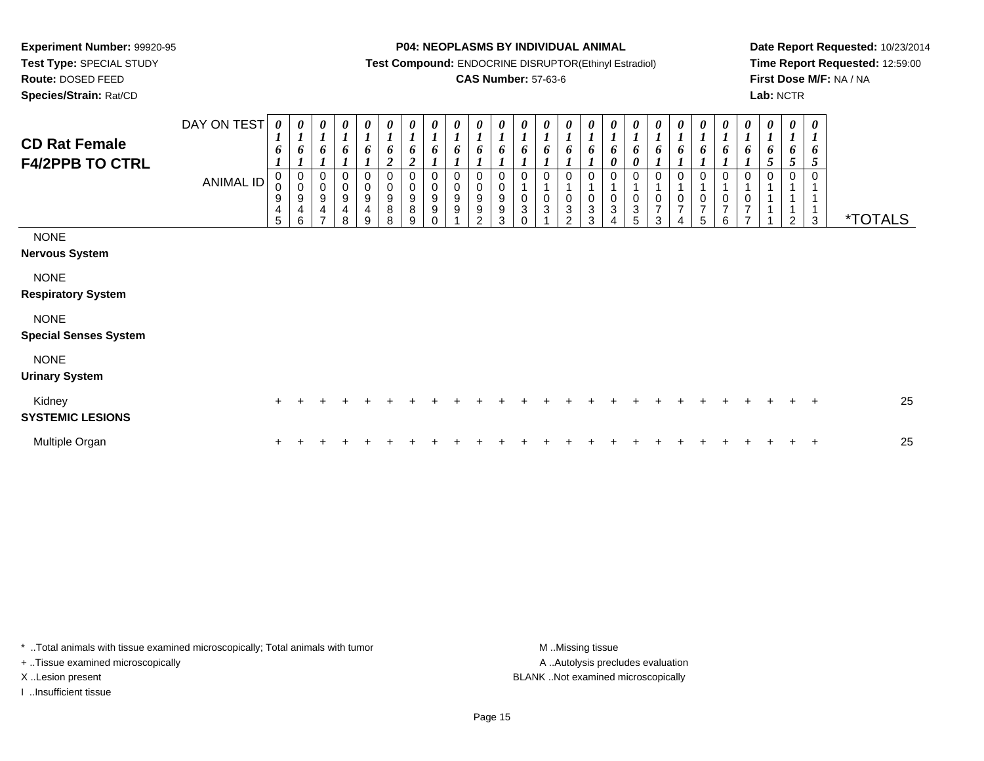**Experiment Number:** 99920-95**Test Type:** SPECIAL STUDY

**Route:** DOSED FEED

**Species/Strain:** Rat/CD

### **P04: NEOPLASMS BY INDIVIDUAL ANIMAL**

**Test Compound:** ENDOCRINE DISRUPTOR(Ethinyl Estradiol)

### **CAS Number:** 57-63-6

**Date Report Requested:** 10/23/2014**Time Report Requested:** 12:59:00**First Dose M/F:** NA / NA**Lab:** NCTR

| <b>CD Rat Female</b><br><b>F4/2PPB TO CTRL</b> | DAY ON TEST<br><b>ANIMAL ID</b> | $\boldsymbol{\theta}$<br>$\boldsymbol{l}$<br>6<br>-<br>$\pmb{0}$<br>9<br>4<br>5 | 0<br>$\overline{ }$<br>6<br>$\begin{smallmatrix}0\\0\end{smallmatrix}$<br>$\boldsymbol{9}$<br>$\overline{\mathbf{4}}$<br>6 | 0<br>$\boldsymbol{l}$<br>6<br>0<br>$\pmb{0}$<br>$\boldsymbol{9}$<br>$\overline{\mathbf{4}}$<br>$\overline{z}$ | 0<br>$\boldsymbol{l}$<br>$\boldsymbol{l}$<br>0<br>$\pmb{0}$<br>$\boldsymbol{9}$<br>$\overline{\mathbf{4}}$<br>8 | $\boldsymbol{\theta}$<br>6<br>0<br>$\,0\,$<br>$\boldsymbol{9}$<br>4<br>9 | $\boldsymbol{\theta}$<br>6<br>$\overline{2}$<br>0<br>$\mathbf 0$<br>$9\,$<br>$\,8\,$<br>8 | 0<br>$\mathbf{r}$<br>6<br>$\overline{2}$<br>0<br>$\boldsymbol{9}$<br>8<br>9 | 0<br>$\boldsymbol{l}$<br>6<br>0<br>$\pmb{0}$<br>$\boldsymbol{9}$<br>$\boldsymbol{9}$<br>$\Omega$ | 0<br>6<br>$\Omega$<br>$\,0\,$<br>9<br>9 | $\boldsymbol{\theta}$<br>$\boldsymbol{l}$<br>6<br>0<br>$\pmb{0}$<br>$\boldsymbol{9}$<br>$\boldsymbol{9}$<br>$\mathcal{P}$ | $\boldsymbol{\theta}$<br>$\boldsymbol{l}$<br>6<br>0<br>9<br>$\boldsymbol{9}$<br>3 | 0<br>$\mathbf{r}$<br>6<br>$\pmb{0}$<br>$\ensuremath{\mathsf{3}}$<br>$\Omega$ | $\boldsymbol{\theta}$<br>6<br>$\Omega$<br>$\pmb{0}$<br>$\sqrt{3}$ | 0<br>$\boldsymbol{l}$<br>6<br>$\Omega$<br>$\pmb{0}$<br>3<br>ົ | 0<br>6<br>0<br>$\pmb{0}$<br>$\ensuremath{\mathsf{3}}$<br>3 | 0<br>$\mathbf{I}$<br>6<br>0<br>0<br>0<br>3<br>4 | 0<br>$\boldsymbol{l}$<br>6<br>0<br>0<br>$\ensuremath{\mathsf{3}}$<br>5 | 0<br>6<br>$\Omega$<br>$\,0\,$<br>$\overline{ }$<br>3 | 0<br>6<br>$\mathbf 0$<br>$\overline{7}$<br>4 | 0<br>$\mathbf{r}$<br>6<br>$\frac{0}{7}$<br>5 | 0<br>$\boldsymbol{l}$<br>6<br>1<br>$\frac{0}{7}$<br>6 | 0<br>$\mathbf{I}$<br>6<br>$\Omega$<br>0<br>$\overline{7}$ | 0<br>5<br>0 | $\boldsymbol{\theta}$<br>$\boldsymbol{l}$<br>6<br>5<br>$\mathfrak{p}$ | $\boldsymbol{\theta}$<br>$\boldsymbol{l}$<br>6<br>5<br>$\mathbf 0$<br>$\mathbf{1}$<br>3 | <i><b>*TOTALS</b></i> |
|------------------------------------------------|---------------------------------|---------------------------------------------------------------------------------|----------------------------------------------------------------------------------------------------------------------------|---------------------------------------------------------------------------------------------------------------|-----------------------------------------------------------------------------------------------------------------|--------------------------------------------------------------------------|-------------------------------------------------------------------------------------------|-----------------------------------------------------------------------------|--------------------------------------------------------------------------------------------------|-----------------------------------------|---------------------------------------------------------------------------------------------------------------------------|-----------------------------------------------------------------------------------|------------------------------------------------------------------------------|-------------------------------------------------------------------|---------------------------------------------------------------|------------------------------------------------------------|-------------------------------------------------|------------------------------------------------------------------------|------------------------------------------------------|----------------------------------------------|----------------------------------------------|-------------------------------------------------------|-----------------------------------------------------------|-------------|-----------------------------------------------------------------------|-----------------------------------------------------------------------------------------|-----------------------|
| <b>NONE</b><br><b>Nervous System</b>           |                                 |                                                                                 |                                                                                                                            |                                                                                                               |                                                                                                                 |                                                                          |                                                                                           |                                                                             |                                                                                                  |                                         |                                                                                                                           |                                                                                   |                                                                              |                                                                   |                                                               |                                                            |                                                 |                                                                        |                                                      |                                              |                                              |                                                       |                                                           |             |                                                                       |                                                                                         |                       |
| <b>NONE</b><br><b>Respiratory System</b>       |                                 |                                                                                 |                                                                                                                            |                                                                                                               |                                                                                                                 |                                                                          |                                                                                           |                                                                             |                                                                                                  |                                         |                                                                                                                           |                                                                                   |                                                                              |                                                                   |                                                               |                                                            |                                                 |                                                                        |                                                      |                                              |                                              |                                                       |                                                           |             |                                                                       |                                                                                         |                       |
| <b>NONE</b><br><b>Special Senses System</b>    |                                 |                                                                                 |                                                                                                                            |                                                                                                               |                                                                                                                 |                                                                          |                                                                                           |                                                                             |                                                                                                  |                                         |                                                                                                                           |                                                                                   |                                                                              |                                                                   |                                                               |                                                            |                                                 |                                                                        |                                                      |                                              |                                              |                                                       |                                                           |             |                                                                       |                                                                                         |                       |
| <b>NONE</b><br><b>Urinary System</b>           |                                 |                                                                                 |                                                                                                                            |                                                                                                               |                                                                                                                 |                                                                          |                                                                                           |                                                                             |                                                                                                  |                                         |                                                                                                                           |                                                                                   |                                                                              |                                                                   |                                                               |                                                            |                                                 |                                                                        |                                                      |                                              |                                              |                                                       |                                                           |             |                                                                       |                                                                                         |                       |
| Kidney<br><b>SYSTEMIC LESIONS</b>              |                                 |                                                                                 |                                                                                                                            |                                                                                                               |                                                                                                                 |                                                                          |                                                                                           |                                                                             |                                                                                                  |                                         |                                                                                                                           |                                                                                   |                                                                              |                                                                   |                                                               |                                                            |                                                 |                                                                        |                                                      |                                              |                                              |                                                       |                                                           |             |                                                                       | $\overline{+}$                                                                          | 25                    |
| Multiple Organ                                 |                                 |                                                                                 |                                                                                                                            |                                                                                                               |                                                                                                                 |                                                                          |                                                                                           |                                                                             |                                                                                                  |                                         |                                                                                                                           |                                                                                   |                                                                              |                                                                   |                                                               |                                                            |                                                 |                                                                        |                                                      |                                              |                                              |                                                       |                                                           |             |                                                                       | $\pm$                                                                                   | 25                    |

\* ..Total animals with tissue examined microscopically; Total animals with tumor **M** . Missing tissue M ..Missing tissue

+ ..Tissue examined microscopically

I ..Insufficient tissue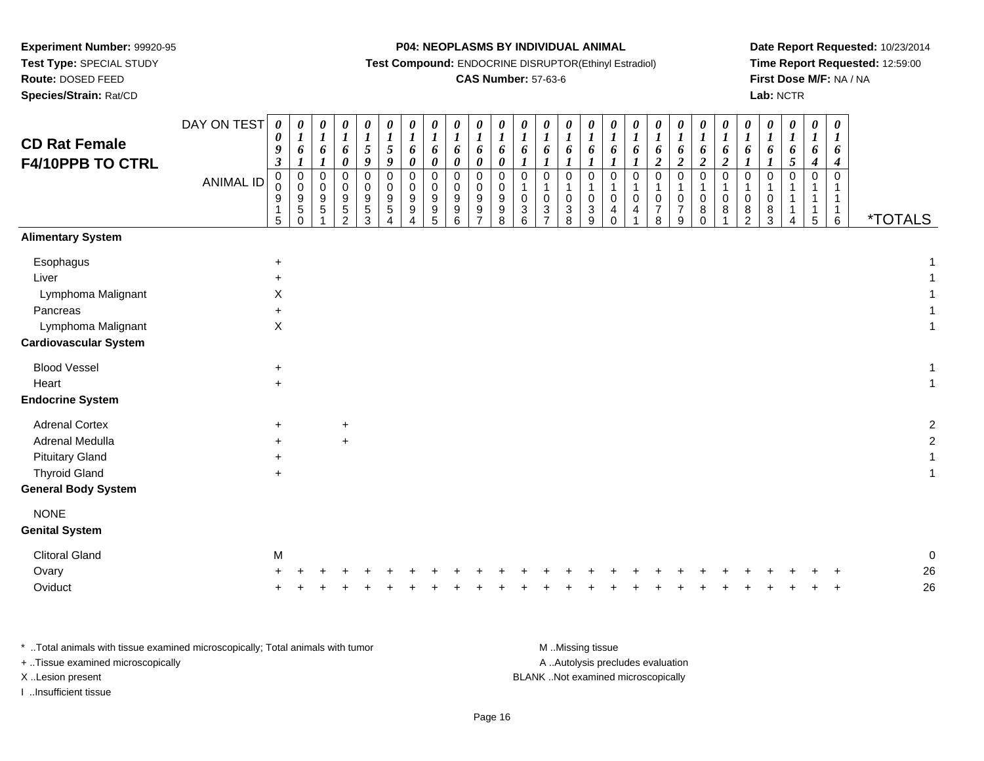**Test Type:** SPECIAL STUDY

**Route:** DOSED FEED

**Species/Strain:** Rat/CD

**P04: NEOPLASMS BY INDIVIDUAL ANIMAL**

**Test Compound:** ENDOCRINE DISRUPTOR(Ethinyl Estradiol)

## **CAS Number:** 57-63-6

**Date Report Requested:** 10/23/2014**Time Report Requested:** 12:59:00**First Dose M/F:** NA / NA**Lab:** NCTR

| <b>CD Rat Female</b><br><b>F4/10PPB TO CTRL</b>    | DAY ON TEST<br><b>ANIMAL ID</b> | 0<br>0<br>9<br>$\boldsymbol{\beta}$<br>$\pmb{0}$<br>$\overline{0}$<br>9 | $\boldsymbol{\theta}$<br>$\boldsymbol{l}$<br>6<br>$\boldsymbol{l}$<br>$\pmb{0}$<br>$\pmb{0}$<br>$\boldsymbol{9}$ | 0<br>$\boldsymbol{l}$<br>6<br>$\boldsymbol{l}$<br>$\mathbf 0$<br>$\mathbf 0$<br>$9\,$ | $\pmb{\theta}$<br>$\boldsymbol{l}$<br>6<br>$\pmb{\theta}$<br>$\mathbf 0$<br>0<br>9 | 0<br>$\boldsymbol{l}$<br>$\mathfrak{s}$<br>$\pmb{9}$<br>$\boldsymbol{0}$<br>0<br>$\boldsymbol{9}$ | $\boldsymbol{\theta}$<br>$\boldsymbol{l}$<br>$\mathfrak{s}$<br>9<br>$\mathbf 0$<br>$\Omega$<br>$9\,$ | 0<br>$\boldsymbol{l}$<br>6<br>0<br>0<br>0<br>$\boldsymbol{9}$ | $\pmb{\theta}$<br>$\boldsymbol{l}$<br>6<br>$\pmb{\theta}$<br>$\pmb{0}$<br>0<br>$\boldsymbol{9}$ | $\boldsymbol{\theta}$<br>$\boldsymbol{l}$<br>6<br>$\boldsymbol{\theta}$<br>$\mathbf 0$<br>0<br>$\boldsymbol{9}$ | 0<br>$\boldsymbol{l}$<br>6<br>$\pmb{\theta}$<br>$\mathbf 0$<br>0<br>9 | $\boldsymbol{\theta}$<br>$\boldsymbol{l}$<br>6<br>$\pmb{\theta}$<br>$\pmb{0}$<br>0<br>$9\,$ | $\boldsymbol{\theta}$<br>$\boldsymbol{l}$<br>6<br>$\boldsymbol{l}$<br>$\mathsf 0$<br>1<br>$\mathbf 0$ | 0<br>$\boldsymbol{l}$<br>6<br>$\pmb{0}$<br>1<br>$\mathbf 0$ | 0<br>$\boldsymbol{l}$<br>6<br>$\mathbf{0}$<br>$\pmb{0}$ | 0<br>$\boldsymbol{l}$<br>6<br>$\mathbf 0$<br>$\overline{1}$<br>$\mathbf 0$ | $\boldsymbol{\theta}$<br>$\boldsymbol{l}$<br>6<br>$\mathbf 0$<br>$\mathbf 0$ | $\boldsymbol{\theta}$<br>$\boldsymbol{l}$<br>6<br>$\boldsymbol{l}$<br>$\mathbf 0$<br>$\mathbf 0$ | 0<br>$\boldsymbol{l}$<br>6<br>$\boldsymbol{2}$<br>$\mathbf 0$<br>$\mathbf 0$ | 0<br>$\boldsymbol{l}$<br>6<br>$\boldsymbol{2}$<br>$\mathbf 0$<br>$\pmb{0}$ | 0<br>$\boldsymbol{l}$<br>6<br>$\boldsymbol{2}$<br>$\pmb{0}$<br>0 | 0<br>$\boldsymbol{l}$<br>6<br>$\boldsymbol{2}$<br>$\mathsf 0$<br>$\mathbf 0$ | 0<br>$\boldsymbol{l}$<br>6<br>$\boldsymbol{l}$<br>0<br>1<br>0 | 0<br>$\boldsymbol{l}$<br>6<br>$\boldsymbol{l}$<br>$\mathbf 0$<br>0 | 0<br>$\boldsymbol{l}$<br>$\frac{6}{5}$<br>$\pmb{0}$ | $\boldsymbol{\theta}$<br>$\boldsymbol{l}$<br>6<br>$\boldsymbol{4}$<br>$\pmb{0}$<br>1<br>$\mathbf{1}$ | $\pmb{\theta}$<br>$\boldsymbol{l}$<br>6<br>$\boldsymbol{4}$<br>$\mathbf 0$<br>1<br>$\mathbf{1}$ |                       |
|----------------------------------------------------|---------------------------------|-------------------------------------------------------------------------|------------------------------------------------------------------------------------------------------------------|---------------------------------------------------------------------------------------|------------------------------------------------------------------------------------|---------------------------------------------------------------------------------------------------|------------------------------------------------------------------------------------------------------|---------------------------------------------------------------|-------------------------------------------------------------------------------------------------|-----------------------------------------------------------------------------------------------------------------|-----------------------------------------------------------------------|---------------------------------------------------------------------------------------------|-------------------------------------------------------------------------------------------------------|-------------------------------------------------------------|---------------------------------------------------------|----------------------------------------------------------------------------|------------------------------------------------------------------------------|--------------------------------------------------------------------------------------------------|------------------------------------------------------------------------------|----------------------------------------------------------------------------|------------------------------------------------------------------|------------------------------------------------------------------------------|---------------------------------------------------------------|--------------------------------------------------------------------|-----------------------------------------------------|------------------------------------------------------------------------------------------------------|-------------------------------------------------------------------------------------------------|-----------------------|
|                                                    |                                 | 1<br>5                                                                  | $\sqrt{5}$<br>$\mathbf 0$                                                                                        | 5                                                                                     | $\,$ 5 $\,$<br>$\overline{2}$                                                      | $\sqrt{5}$<br>3                                                                                   | $\sqrt{5}$                                                                                           | $\boldsymbol{9}$                                              | 9<br>5                                                                                          | $9\,$<br>6                                                                                                      | 9<br>⇁                                                                | 9<br>$\,8\,$                                                                                | $\sqrt{3}$<br>$6\phantom{1}6$                                                                         | 3                                                           | $\ensuremath{\mathsf{3}}$<br>8                          | $\sqrt{3}$<br>9                                                            | 4<br>$\Omega$                                                                | 4                                                                                                | $\overline{7}$<br>8                                                          | $\overline{7}$<br>9                                                        | 8<br>$\mathbf 0$                                                 | 8                                                                            | 8<br>$\overline{2}$                                           | 8<br>3                                                             | 4                                                   | $\mathbf{1}$<br>$\sqrt{5}$                                                                           | $\mathbf{1}$<br>6                                                                               | <i><b>*TOTALS</b></i> |
| <b>Alimentary System</b>                           |                                 |                                                                         |                                                                                                                  |                                                                                       |                                                                                    |                                                                                                   |                                                                                                      |                                                               |                                                                                                 |                                                                                                                 |                                                                       |                                                                                             |                                                                                                       |                                                             |                                                         |                                                                            |                                                                              |                                                                                                  |                                                                              |                                                                            |                                                                  |                                                                              |                                                               |                                                                    |                                                     |                                                                                                      |                                                                                                 |                       |
| Esophagus                                          |                                 | $\ddot{}$                                                               |                                                                                                                  |                                                                                       |                                                                                    |                                                                                                   |                                                                                                      |                                                               |                                                                                                 |                                                                                                                 |                                                                       |                                                                                             |                                                                                                       |                                                             |                                                         |                                                                            |                                                                              |                                                                                                  |                                                                              |                                                                            |                                                                  |                                                                              |                                                               |                                                                    |                                                     |                                                                                                      |                                                                                                 |                       |
| Liver                                              |                                 | $\pm$                                                                   |                                                                                                                  |                                                                                       |                                                                                    |                                                                                                   |                                                                                                      |                                                               |                                                                                                 |                                                                                                                 |                                                                       |                                                                                             |                                                                                                       |                                                             |                                                         |                                                                            |                                                                              |                                                                                                  |                                                                              |                                                                            |                                                                  |                                                                              |                                                               |                                                                    |                                                     |                                                                                                      |                                                                                                 |                       |
| Lymphoma Malignant                                 |                                 | X                                                                       |                                                                                                                  |                                                                                       |                                                                                    |                                                                                                   |                                                                                                      |                                                               |                                                                                                 |                                                                                                                 |                                                                       |                                                                                             |                                                                                                       |                                                             |                                                         |                                                                            |                                                                              |                                                                                                  |                                                                              |                                                                            |                                                                  |                                                                              |                                                               |                                                                    |                                                     |                                                                                                      |                                                                                                 |                       |
| Pancreas                                           |                                 | $\ddot{}$                                                               |                                                                                                                  |                                                                                       |                                                                                    |                                                                                                   |                                                                                                      |                                                               |                                                                                                 |                                                                                                                 |                                                                       |                                                                                             |                                                                                                       |                                                             |                                                         |                                                                            |                                                                              |                                                                                                  |                                                                              |                                                                            |                                                                  |                                                                              |                                                               |                                                                    |                                                     |                                                                                                      |                                                                                                 |                       |
| Lymphoma Malignant<br><b>Cardiovascular System</b> |                                 | X                                                                       |                                                                                                                  |                                                                                       |                                                                                    |                                                                                                   |                                                                                                      |                                                               |                                                                                                 |                                                                                                                 |                                                                       |                                                                                             |                                                                                                       |                                                             |                                                         |                                                                            |                                                                              |                                                                                                  |                                                                              |                                                                            |                                                                  |                                                                              |                                                               |                                                                    |                                                     |                                                                                                      |                                                                                                 |                       |
| <b>Blood Vessel</b>                                |                                 | $\ddot{}$                                                               |                                                                                                                  |                                                                                       |                                                                                    |                                                                                                   |                                                                                                      |                                                               |                                                                                                 |                                                                                                                 |                                                                       |                                                                                             |                                                                                                       |                                                             |                                                         |                                                                            |                                                                              |                                                                                                  |                                                                              |                                                                            |                                                                  |                                                                              |                                                               |                                                                    |                                                     |                                                                                                      |                                                                                                 |                       |
| Heart                                              |                                 | $+$                                                                     |                                                                                                                  |                                                                                       |                                                                                    |                                                                                                   |                                                                                                      |                                                               |                                                                                                 |                                                                                                                 |                                                                       |                                                                                             |                                                                                                       |                                                             |                                                         |                                                                            |                                                                              |                                                                                                  |                                                                              |                                                                            |                                                                  |                                                                              |                                                               |                                                                    |                                                     |                                                                                                      |                                                                                                 |                       |
| <b>Endocrine System</b>                            |                                 |                                                                         |                                                                                                                  |                                                                                       |                                                                                    |                                                                                                   |                                                                                                      |                                                               |                                                                                                 |                                                                                                                 |                                                                       |                                                                                             |                                                                                                       |                                                             |                                                         |                                                                            |                                                                              |                                                                                                  |                                                                              |                                                                            |                                                                  |                                                                              |                                                               |                                                                    |                                                     |                                                                                                      |                                                                                                 |                       |
| <b>Adrenal Cortex</b>                              |                                 | $\ddot{}$                                                               |                                                                                                                  |                                                                                       | $\ddot{}$                                                                          |                                                                                                   |                                                                                                      |                                                               |                                                                                                 |                                                                                                                 |                                                                       |                                                                                             |                                                                                                       |                                                             |                                                         |                                                                            |                                                                              |                                                                                                  |                                                                              |                                                                            |                                                                  |                                                                              |                                                               |                                                                    |                                                     |                                                                                                      |                                                                                                 |                       |
| Adrenal Medulla                                    |                                 | $\ddot{}$                                                               |                                                                                                                  |                                                                                       | $+$                                                                                |                                                                                                   |                                                                                                      |                                                               |                                                                                                 |                                                                                                                 |                                                                       |                                                                                             |                                                                                                       |                                                             |                                                         |                                                                            |                                                                              |                                                                                                  |                                                                              |                                                                            |                                                                  |                                                                              |                                                               |                                                                    |                                                     |                                                                                                      |                                                                                                 |                       |
| <b>Pituitary Gland</b>                             |                                 | $\pm$                                                                   |                                                                                                                  |                                                                                       |                                                                                    |                                                                                                   |                                                                                                      |                                                               |                                                                                                 |                                                                                                                 |                                                                       |                                                                                             |                                                                                                       |                                                             |                                                         |                                                                            |                                                                              |                                                                                                  |                                                                              |                                                                            |                                                                  |                                                                              |                                                               |                                                                    |                                                     |                                                                                                      |                                                                                                 |                       |
| <b>Thyroid Gland</b>                               |                                 | $\ddot{}$                                                               |                                                                                                                  |                                                                                       |                                                                                    |                                                                                                   |                                                                                                      |                                                               |                                                                                                 |                                                                                                                 |                                                                       |                                                                                             |                                                                                                       |                                                             |                                                         |                                                                            |                                                                              |                                                                                                  |                                                                              |                                                                            |                                                                  |                                                                              |                                                               |                                                                    |                                                     |                                                                                                      |                                                                                                 |                       |
| <b>General Body System</b>                         |                                 |                                                                         |                                                                                                                  |                                                                                       |                                                                                    |                                                                                                   |                                                                                                      |                                                               |                                                                                                 |                                                                                                                 |                                                                       |                                                                                             |                                                                                                       |                                                             |                                                         |                                                                            |                                                                              |                                                                                                  |                                                                              |                                                                            |                                                                  |                                                                              |                                                               |                                                                    |                                                     |                                                                                                      |                                                                                                 |                       |
| <b>NONE</b>                                        |                                 |                                                                         |                                                                                                                  |                                                                                       |                                                                                    |                                                                                                   |                                                                                                      |                                                               |                                                                                                 |                                                                                                                 |                                                                       |                                                                                             |                                                                                                       |                                                             |                                                         |                                                                            |                                                                              |                                                                                                  |                                                                              |                                                                            |                                                                  |                                                                              |                                                               |                                                                    |                                                     |                                                                                                      |                                                                                                 |                       |
| <b>Genital System</b>                              |                                 |                                                                         |                                                                                                                  |                                                                                       |                                                                                    |                                                                                                   |                                                                                                      |                                                               |                                                                                                 |                                                                                                                 |                                                                       |                                                                                             |                                                                                                       |                                                             |                                                         |                                                                            |                                                                              |                                                                                                  |                                                                              |                                                                            |                                                                  |                                                                              |                                                               |                                                                    |                                                     |                                                                                                      |                                                                                                 |                       |
| <b>Clitoral Gland</b>                              |                                 | M                                                                       |                                                                                                                  |                                                                                       |                                                                                    |                                                                                                   |                                                                                                      |                                                               |                                                                                                 |                                                                                                                 |                                                                       |                                                                                             |                                                                                                       |                                                             |                                                         |                                                                            |                                                                              |                                                                                                  |                                                                              |                                                                            |                                                                  |                                                                              |                                                               |                                                                    |                                                     |                                                                                                      |                                                                                                 |                       |
| Ovary                                              |                                 |                                                                         |                                                                                                                  |                                                                                       |                                                                                    |                                                                                                   |                                                                                                      |                                                               |                                                                                                 |                                                                                                                 |                                                                       |                                                                                             |                                                                                                       |                                                             |                                                         |                                                                            |                                                                              |                                                                                                  |                                                                              |                                                                            |                                                                  |                                                                              |                                                               |                                                                    |                                                     |                                                                                                      |                                                                                                 | 26                    |
| Oviduct                                            |                                 |                                                                         |                                                                                                                  |                                                                                       |                                                                                    |                                                                                                   |                                                                                                      |                                                               |                                                                                                 |                                                                                                                 |                                                                       |                                                                                             |                                                                                                       |                                                             |                                                         |                                                                            |                                                                              |                                                                                                  |                                                                              |                                                                            |                                                                  |                                                                              |                                                               |                                                                    |                                                     |                                                                                                      |                                                                                                 | 26                    |

| Total animals with tissue examined microscopically; Total animals with tumor | M Missing tissue                   |
|------------------------------------------------------------------------------|------------------------------------|
| + Tissue examined microscopically                                            | A  Autolysis precludes evaluation  |
| X Lesion present                                                             | BLANK Not examined microscopically |
| Insufficient tissue                                                          |                                    |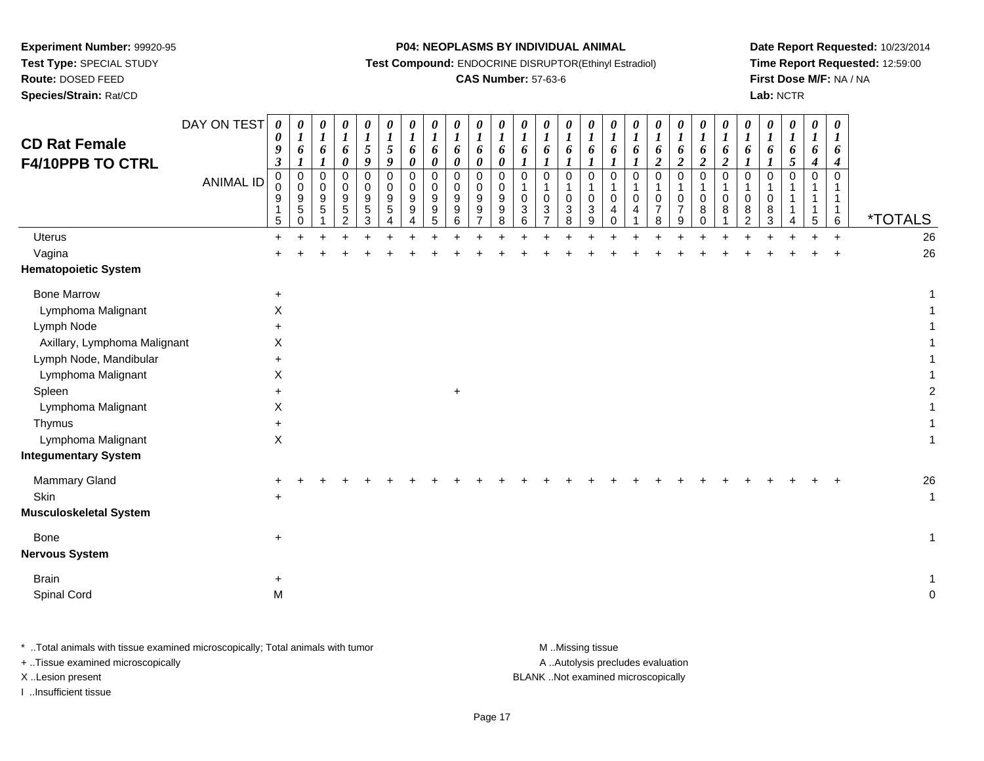**Test Type:** SPECIAL STUDY

# **Route:** DOSED FEED

**Species/Strain:** Rat/CD

### **P04: NEOPLASMS BY INDIVIDUAL ANIMAL**

**Test Compound:** ENDOCRINE DISRUPTOR(Ethinyl Estradiol)

### **CAS Number:** 57-63-6

**Date Report Requested:** 10/23/2014**Time Report Requested:** 12:59:00**First Dose M/F:** NA / NA**Lab:** NCTR

| $\pmb{0}$<br>0<br>$\mathbf 0$<br>$\pmb{0}$<br>$\mathbf 0$<br>$\pmb{0}$<br>$\mathbf 0$<br>$\Omega$<br>$\mathbf 0$<br>$\pmb{0}$<br>$\mathbf 0$<br>$\pmb{0}$<br>0<br>$\Omega$<br>$\mathbf 0$<br>0<br>$\mathbf 0$<br>0<br>$\pmb{0}$<br>$\mathbf 0$<br>0<br>$\mathbf 0$<br>$\mathbf 0$<br>$\mathbf 0$<br>$\mathbf 0$<br>0<br><b>ANIMAL ID</b><br>0<br>$\Omega$<br>$\mathbf 0$<br>$\mathbf 0$<br>$\Omega$<br>$\Omega$<br>0<br>$\mathbf 0$<br>$\mathbf 0$<br>$\Omega$<br>$\mathbf{1}$<br>1<br>$\mathbf{1}$<br>$\mathbf{1}$<br>$\Omega$<br>$\mathbf{1}$<br>1<br>-1<br>9<br>$9\,$<br>$\boldsymbol{9}$<br>$\boldsymbol{9}$<br>$\boldsymbol{9}$<br>$\boldsymbol{9}$<br>9<br>9<br>9<br>$\mathbf 0$<br>$\pmb{0}$<br>0<br>$\mathbf 0$<br>$\mathbf 0$<br>$\mathbf{1}$<br>9<br>9<br>$\mathbf 0$<br>0<br>0<br>0<br>0<br>0<br>0<br>$\frac{5}{3}$<br>$\begin{array}{c} 5 \\ 0 \end{array}$<br>$\sqrt{5}$<br>$\boldsymbol{9}$<br>$\boldsymbol{9}$<br>$\boldsymbol{9}$<br>$\ensuremath{\mathsf{3}}$<br>$\frac{3}{7}$<br>$\sqrt{3}$<br>$\ensuremath{\mathsf{3}}$<br>$\overline{7}$<br>$\overline{7}$<br>$\mathbf 5$<br>5<br>9<br>9<br>8<br>8<br>8<br>8<br>$\mathbf{1}$<br>$\overline{4}$<br>4<br>$\overline{5}$<br>$\overline{9}$<br>$\,6\,$<br>$\overline{7}$<br>$\,6\,$<br>5<br>8<br>8<br>$\,6\,$<br>$\overline{2}$<br>$\mathbf 0$<br>8<br>9<br>$\overline{2}$<br>3<br>0<br>5<br>4<br>4<br>Δ | <i><b>*TOTALS</b></i> |
|--------------------------------------------------------------------------------------------------------------------------------------------------------------------------------------------------------------------------------------------------------------------------------------------------------------------------------------------------------------------------------------------------------------------------------------------------------------------------------------------------------------------------------------------------------------------------------------------------------------------------------------------------------------------------------------------------------------------------------------------------------------------------------------------------------------------------------------------------------------------------------------------------------------------------------------------------------------------------------------------------------------------------------------------------------------------------------------------------------------------------------------------------------------------------------------------------------------------------------------------------------------------------------------------------------------------------------------------------------------------------|-----------------------|
| <b>Uterus</b><br>$+$<br>$+$                                                                                                                                                                                                                                                                                                                                                                                                                                                                                                                                                                                                                                                                                                                                                                                                                                                                                                                                                                                                                                                                                                                                                                                                                                                                                                                                              | 26                    |
| Vagina                                                                                                                                                                                                                                                                                                                                                                                                                                                                                                                                                                                                                                                                                                                                                                                                                                                                                                                                                                                                                                                                                                                                                                                                                                                                                                                                                                   | 26                    |
| <b>Hematopoietic System</b>                                                                                                                                                                                                                                                                                                                                                                                                                                                                                                                                                                                                                                                                                                                                                                                                                                                                                                                                                                                                                                                                                                                                                                                                                                                                                                                                              |                       |
| <b>Bone Marrow</b><br>$\ddot{}$                                                                                                                                                                                                                                                                                                                                                                                                                                                                                                                                                                                                                                                                                                                                                                                                                                                                                                                                                                                                                                                                                                                                                                                                                                                                                                                                          |                       |
| Lymphoma Malignant<br>X                                                                                                                                                                                                                                                                                                                                                                                                                                                                                                                                                                                                                                                                                                                                                                                                                                                                                                                                                                                                                                                                                                                                                                                                                                                                                                                                                  |                       |
| Lymph Node<br>÷                                                                                                                                                                                                                                                                                                                                                                                                                                                                                                                                                                                                                                                                                                                                                                                                                                                                                                                                                                                                                                                                                                                                                                                                                                                                                                                                                          |                       |
| Axillary, Lymphoma Malignant<br>X                                                                                                                                                                                                                                                                                                                                                                                                                                                                                                                                                                                                                                                                                                                                                                                                                                                                                                                                                                                                                                                                                                                                                                                                                                                                                                                                        |                       |
| Lymph Node, Mandibular<br>$\ddot{}$                                                                                                                                                                                                                                                                                                                                                                                                                                                                                                                                                                                                                                                                                                                                                                                                                                                                                                                                                                                                                                                                                                                                                                                                                                                                                                                                      |                       |
| Lymphoma Malignant<br>X                                                                                                                                                                                                                                                                                                                                                                                                                                                                                                                                                                                                                                                                                                                                                                                                                                                                                                                                                                                                                                                                                                                                                                                                                                                                                                                                                  |                       |
| Spleen<br>$\ddot{}$<br>$\ddot{}$                                                                                                                                                                                                                                                                                                                                                                                                                                                                                                                                                                                                                                                                                                                                                                                                                                                                                                                                                                                                                                                                                                                                                                                                                                                                                                                                         |                       |
| Lymphoma Malignant<br>Χ                                                                                                                                                                                                                                                                                                                                                                                                                                                                                                                                                                                                                                                                                                                                                                                                                                                                                                                                                                                                                                                                                                                                                                                                                                                                                                                                                  |                       |
| Thymus<br>+<br>Lymphoma Malignant<br>X.                                                                                                                                                                                                                                                                                                                                                                                                                                                                                                                                                                                                                                                                                                                                                                                                                                                                                                                                                                                                                                                                                                                                                                                                                                                                                                                                  |                       |
| <b>Integumentary System</b>                                                                                                                                                                                                                                                                                                                                                                                                                                                                                                                                                                                                                                                                                                                                                                                                                                                                                                                                                                                                                                                                                                                                                                                                                                                                                                                                              |                       |
| Mammary Gland                                                                                                                                                                                                                                                                                                                                                                                                                                                                                                                                                                                                                                                                                                                                                                                                                                                                                                                                                                                                                                                                                                                                                                                                                                                                                                                                                            | 26                    |
| Skin<br>$\ddot{}$                                                                                                                                                                                                                                                                                                                                                                                                                                                                                                                                                                                                                                                                                                                                                                                                                                                                                                                                                                                                                                                                                                                                                                                                                                                                                                                                                        | 1                     |
| <b>Musculoskeletal System</b>                                                                                                                                                                                                                                                                                                                                                                                                                                                                                                                                                                                                                                                                                                                                                                                                                                                                                                                                                                                                                                                                                                                                                                                                                                                                                                                                            |                       |
| Bone<br>$\ddot{}$                                                                                                                                                                                                                                                                                                                                                                                                                                                                                                                                                                                                                                                                                                                                                                                                                                                                                                                                                                                                                                                                                                                                                                                                                                                                                                                                                        | 1                     |
| <b>Nervous System</b>                                                                                                                                                                                                                                                                                                                                                                                                                                                                                                                                                                                                                                                                                                                                                                                                                                                                                                                                                                                                                                                                                                                                                                                                                                                                                                                                                    |                       |
| <b>Brain</b><br>+                                                                                                                                                                                                                                                                                                                                                                                                                                                                                                                                                                                                                                                                                                                                                                                                                                                                                                                                                                                                                                                                                                                                                                                                                                                                                                                                                        |                       |
| Spinal Cord<br>M                                                                                                                                                                                                                                                                                                                                                                                                                                                                                                                                                                                                                                                                                                                                                                                                                                                                                                                                                                                                                                                                                                                                                                                                                                                                                                                                                         |                       |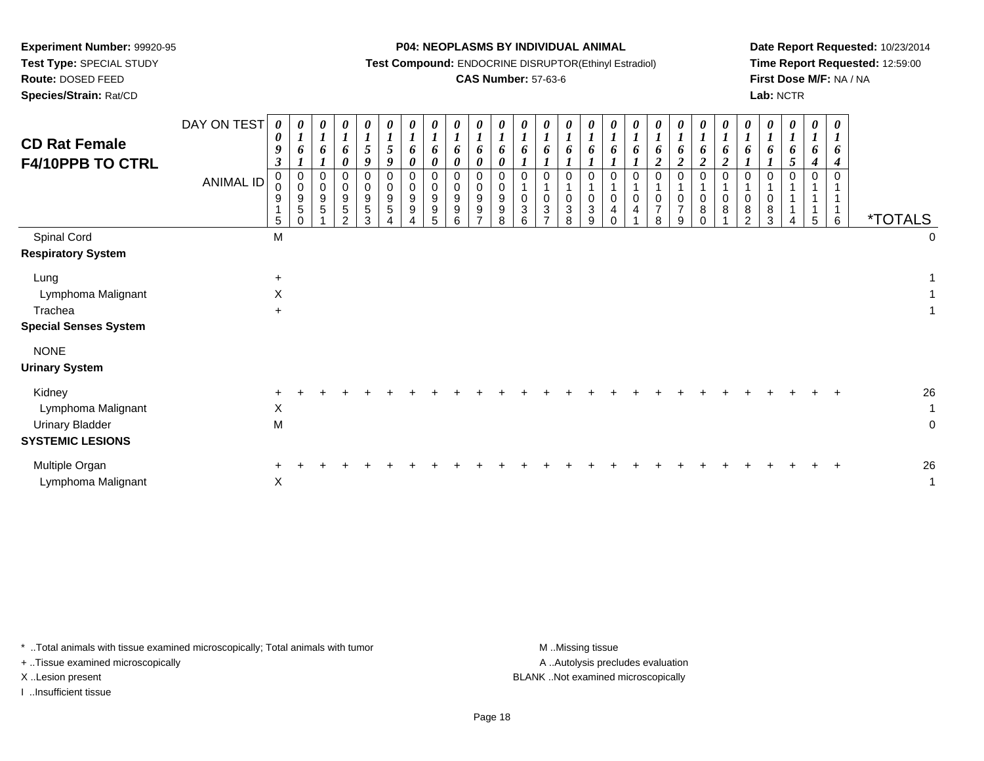**Test Type:** SPECIAL STUDY

## **Route:** DOSED FEED

**Species/Strain:** Rat/CD

### **P04: NEOPLASMS BY INDIVIDUAL ANIMAL**

**Test Compound:** ENDOCRINE DISRUPTOR(Ethinyl Estradiol)

## **CAS Number:** 57-63-6

**Date Report Requested:** 10/23/2014**Time Report Requested:** 12:59:00**First Dose M/F:** NA / NA**Lab:** NCTR

| <b>CD Rat Female</b><br><b>F4/10PPB TO CTRL</b>                            | DAY ON TEST<br><b>ANIMAL ID</b> | $\boldsymbol{\theta}$<br>$\boldsymbol{\theta}$<br>9<br>3<br>0<br>$\Omega$<br>9<br>5 | $\boldsymbol{\theta}$<br>6<br>$\pmb{0}$<br>$\pmb{0}$<br>9<br>$\sqrt{5}$ | 0<br>$\boldsymbol{l}$<br>6<br>$\pmb{0}$<br>$\mathsf{O}\xspace$<br>9<br>5 | $\boldsymbol{\theta}$<br>$\boldsymbol{l}$<br>6<br>$\boldsymbol{\theta}$<br>0<br>$\mathbf 0$<br>9<br>5<br>$\mathcal{D}$ | 0<br>$\boldsymbol{l}$<br>5<br>9<br>$\Omega$<br>0<br>9<br>5<br>3 | 0<br>$\boldsymbol{l}$<br>5<br>9<br>$\mathbf 0$<br>0<br>9<br>$\sqrt{5}$ | 0<br>$\boldsymbol{l}$<br>6<br>0<br>$\mathbf 0$<br>0<br>9<br>9 | 0<br>$\boldsymbol{l}$<br>6<br>0<br>$\mathbf 0$<br>$\mathbf 0$<br>9<br>9<br>5 | 0<br>$\boldsymbol{l}$<br>6<br>0<br>0<br>0<br>$9\,$<br>9<br>6 | 0<br>$\boldsymbol{l}$<br>6<br>0<br>$\mathbf 0$<br>0<br>9<br>9<br>$\rightarrow$ | $\boldsymbol{\theta}$<br>$\boldsymbol{l}$<br>6<br>$\boldsymbol{\theta}$<br>$\mathbf 0$<br>0<br>9<br>9<br>8 | 0<br>6<br>$\Omega$<br>0<br>3<br>6 | $\boldsymbol{\theta}$<br>6<br>0<br>$\pmb{0}$<br>$\sqrt{3}$<br>$\overline{ }$ | $\boldsymbol{\theta}$<br>$\mathbf{I}$<br>6<br>$\mathbf 0$<br>$\mathbf 0$<br>$\mathbf{3}$<br>8 | $\boldsymbol{\theta}$<br>6<br>0<br>$\mathbf 0$<br>3<br>9 | $\boldsymbol{l}$<br>1<br>$\Omega$<br>$\mathbf 0$<br>4 | $\boldsymbol{\theta}$<br>6<br>$\Omega$<br>0<br>4 | 0<br>$\boldsymbol{l}$<br>6<br>$\overline{c}$<br>0<br>0<br>$\overline{7}$<br>8 | 0<br>$\boldsymbol{l}$<br>6<br>$\boldsymbol{2}$<br>0<br>1<br>$\mathbf 0$<br>$\overline{7}$<br>9 | 0<br>$\boldsymbol{l}$<br>6<br>$\boldsymbol{2}$<br>$\pmb{0}$<br>$\mathbf{1}$<br>$\mathbf 0$<br>8<br>$\Omega$ | 0<br>6<br>$\boldsymbol{2}$<br>$\mathbf 0$<br>0<br>8 | $\boldsymbol{l}$<br>6<br>$\mathbf 0$<br>1<br>0<br>8<br>$\Omega$ | 0<br>6<br>$\Omega$<br>$\Omega$<br>8<br>3 | 0<br>$\boldsymbol{l}$<br>o<br>5<br>$\mathbf 0$ | 0<br>$\boldsymbol{l}$<br>$\bm{o}$<br>$\boldsymbol{4}$<br>$\Omega$<br>5 | $\boldsymbol{\theta}$<br>o<br>4<br>$\Omega$<br>6 | <i><b>*TOTALS</b></i> |                         |
|----------------------------------------------------------------------------|---------------------------------|-------------------------------------------------------------------------------------|-------------------------------------------------------------------------|--------------------------------------------------------------------------|------------------------------------------------------------------------------------------------------------------------|-----------------------------------------------------------------|------------------------------------------------------------------------|---------------------------------------------------------------|------------------------------------------------------------------------------|--------------------------------------------------------------|--------------------------------------------------------------------------------|------------------------------------------------------------------------------------------------------------|-----------------------------------|------------------------------------------------------------------------------|-----------------------------------------------------------------------------------------------|----------------------------------------------------------|-------------------------------------------------------|--------------------------------------------------|-------------------------------------------------------------------------------|------------------------------------------------------------------------------------------------|-------------------------------------------------------------------------------------------------------------|-----------------------------------------------------|-----------------------------------------------------------------|------------------------------------------|------------------------------------------------|------------------------------------------------------------------------|--------------------------------------------------|-----------------------|-------------------------|
| Spinal Cord<br><b>Respiratory System</b>                                   |                                 | M                                                                                   |                                                                         |                                                                          |                                                                                                                        |                                                                 |                                                                        |                                                               |                                                                              |                                                              |                                                                                |                                                                                                            |                                   |                                                                              |                                                                                               |                                                          |                                                       |                                                  |                                                                               |                                                                                                |                                                                                                             |                                                     |                                                                 |                                          |                                                |                                                                        |                                                  |                       | 0                       |
| Lung<br>Lymphoma Malignant<br>Trachea<br><b>Special Senses System</b>      |                                 | $\ddot{}$<br>X<br>$\ddot{}$                                                         |                                                                         |                                                                          |                                                                                                                        |                                                                 |                                                                        |                                                               |                                                                              |                                                              |                                                                                |                                                                                                            |                                   |                                                                              |                                                                                               |                                                          |                                                       |                                                  |                                                                               |                                                                                                |                                                                                                             |                                                     |                                                                 |                                          |                                                |                                                                        |                                                  |                       | 1<br>$\mathbf{1}$       |
| <b>NONE</b><br><b>Urinary System</b>                                       |                                 |                                                                                     |                                                                         |                                                                          |                                                                                                                        |                                                                 |                                                                        |                                                               |                                                                              |                                                              |                                                                                |                                                                                                            |                                   |                                                                              |                                                                                               |                                                          |                                                       |                                                  |                                                                               |                                                                                                |                                                                                                             |                                                     |                                                                 |                                          |                                                |                                                                        |                                                  |                       |                         |
| Kidney<br>Lymphoma Malignant<br>Urinary Bladder<br><b>SYSTEMIC LESIONS</b> |                                 | X<br>M                                                                              |                                                                         |                                                                          |                                                                                                                        |                                                                 |                                                                        |                                                               |                                                                              |                                                              |                                                                                |                                                                                                            |                                   |                                                                              |                                                                                               |                                                          |                                                       |                                                  |                                                                               |                                                                                                |                                                                                                             |                                                     |                                                                 |                                          |                                                |                                                                        |                                                  |                       | 26<br>$\mathbf{1}$<br>0 |
| Multiple Organ<br>Lymphoma Malignant                                       |                                 | X                                                                                   |                                                                         |                                                                          |                                                                                                                        |                                                                 |                                                                        |                                                               |                                                                              |                                                              |                                                                                |                                                                                                            |                                   |                                                                              |                                                                                               |                                                          |                                                       |                                                  |                                                                               |                                                                                                |                                                                                                             |                                                     |                                                                 |                                          |                                                |                                                                        |                                                  |                       | 26<br>$\mathbf{1}$      |

\* ..Total animals with tissue examined microscopically; Total animals with tumor **M** . Missing tissue M ..Missing tissue

+ ..Tissue examined microscopically

I ..Insufficient tissue

A ..Autolysis precludes evaluation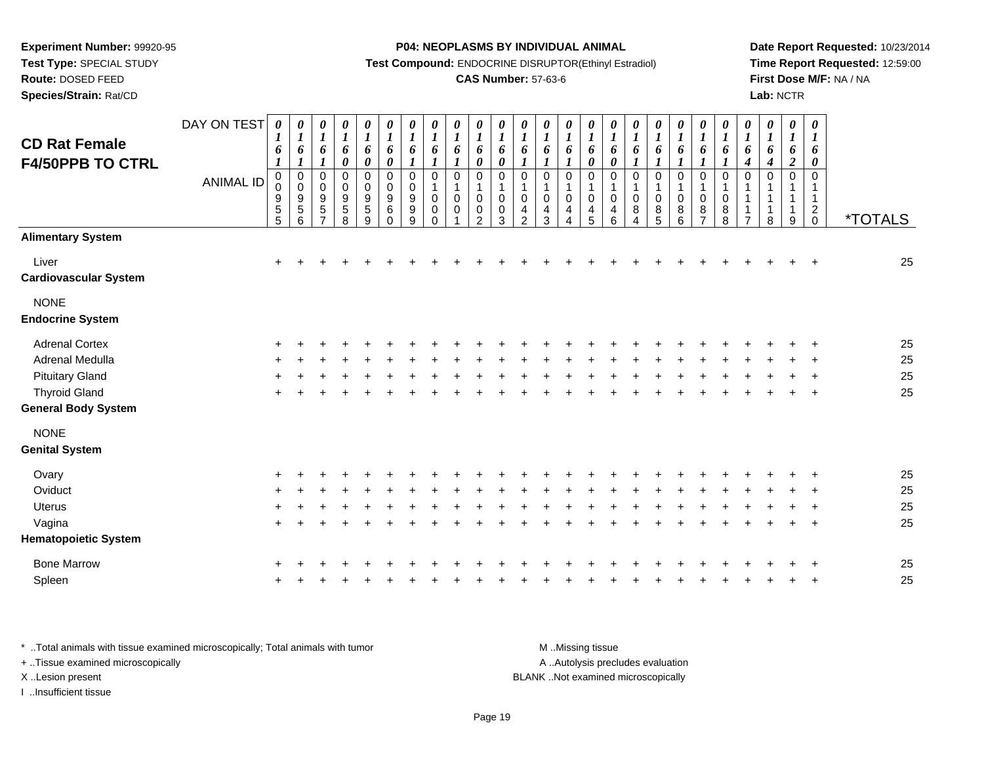**Test Type:** SPECIAL STUDY

**Route:** DOSED FEED

**Species/Strain:** Rat/CD

**P04: NEOPLASMS BY INDIVIDUAL ANIMAL**

**Test Compound:** ENDOCRINE DISRUPTOR(Ethinyl Estradiol)

## **CAS Number:** 57-63-6

**Date Report Requested:** 10/23/2014**Time Report Requested:** 12:59:00**First Dose M/F:** NA / NA**Lab:** NCTR

| <b>CD Rat Female</b>                   | DAY ON TEST      | $\boldsymbol{l}$                  | $\boldsymbol{\theta}$<br>$\boldsymbol{l}$                                         | 0<br>$\boldsymbol{l}$<br>6                                                | 0<br>$\boldsymbol{l}$                       | 0<br>$\boldsymbol{l}$<br>6                                        | 0<br>$\boldsymbol{l}$                             | 0<br>$\boldsymbol{l}$<br>6                | 0<br>$\boldsymbol{l}$<br>6 | 0<br>$\boldsymbol{l}$<br>6                          | 0<br>$\boldsymbol{l}$                   | $\boldsymbol{\theta}$<br>$\boldsymbol{l}$<br>6   | 0<br>$\boldsymbol{l}$<br>6                                         | $\boldsymbol{\theta}$<br>$\boldsymbol{l}$<br>6       | 0<br>$\boldsymbol{l}$<br>6                                      | 0<br>$\boldsymbol{l}$<br>6              | 0<br>$\boldsymbol{l}$<br>$\pmb{6}$                                           | $\boldsymbol{\theta}$<br>$\boldsymbol{l}$<br>6            | $\pmb{\theta}$<br>$\boldsymbol{l}$            | 0<br>$\boldsymbol{l}$<br>6 | $\pmb{\theta}$<br>$\boldsymbol{l}$<br>6 | 0<br>$\boldsymbol{l}$<br>6                         | 0<br>$\boldsymbol{l}$<br>6                        | $\pmb{\theta}$<br>$\boldsymbol{l}$<br>6 | $\pmb{\theta}$<br>$\boldsymbol{l}$ | $\boldsymbol{\theta}$<br>$\boldsymbol{l}$<br>6              |                       |
|----------------------------------------|------------------|-----------------------------------|-----------------------------------------------------------------------------------|---------------------------------------------------------------------------|---------------------------------------------|-------------------------------------------------------------------|---------------------------------------------------|-------------------------------------------|----------------------------|-----------------------------------------------------|-----------------------------------------|--------------------------------------------------|--------------------------------------------------------------------|------------------------------------------------------|-----------------------------------------------------------------|-----------------------------------------|------------------------------------------------------------------------------|-----------------------------------------------------------|-----------------------------------------------|----------------------------|-----------------------------------------|----------------------------------------------------|---------------------------------------------------|-----------------------------------------|------------------------------------|-------------------------------------------------------------|-----------------------|
| <b>F4/50PPB TO CTRL</b>                |                  | 6<br>$\boldsymbol{l}$             | 6<br>$\boldsymbol{l}$                                                             | $\boldsymbol{l}$                                                          | 6<br>$\pmb{\theta}$                         | $\boldsymbol{\theta}$                                             | 6<br>$\pmb{\theta}$                               | $\boldsymbol{l}$                          | $\boldsymbol{l}$           | $\boldsymbol{l}$                                    | 6<br>$\pmb{\theta}$                     | $\pmb{\theta}$                                   | $\boldsymbol{l}$                                                   | $\boldsymbol{l}$                                     | $\boldsymbol{l}$                                                | $\boldsymbol{\theta}$                   | $\pmb{\theta}$                                                               | $\boldsymbol{l}$                                          | 6<br>$\boldsymbol{l}$                         |                            |                                         | $\boldsymbol{l}$                                   | $\boldsymbol{4}$                                  | 4                                       | 6<br>$\boldsymbol{2}$              | $\boldsymbol{\theta}$                                       |                       |
|                                        | <b>ANIMAL ID</b> | $\mathbf 0$<br>0<br>$\frac{9}{5}$ | $\pmb{0}$<br>$\pmb{0}$<br>$\begin{array}{c} 9 \\ 5 \end{array}$<br>$6\phantom{a}$ | 0<br>$\pmb{0}$<br>$\begin{array}{c} 9 \\ 5 \end{array}$<br>$\overline{7}$ | 0<br>$\boldsymbol{0}$<br>9<br>$\frac{5}{8}$ | $\mathbf 0$<br>$\mathsf 0$<br>9<br>$\sqrt{5}$<br>$\boldsymbol{9}$ | $\mathbf 0$<br>$\pmb{0}$<br>9<br>6<br>$\mathbf 0$ | $\mathbf 0$<br>$\mathbf 0$<br>9<br>9<br>9 | 0<br>0<br>0<br>$\mathbf 0$ | $\mathbf 0$<br>$\mathbf{1}$<br>$\Omega$<br>$\Omega$ | $\mathbf 0$<br>0<br>0<br>$\overline{2}$ | $\pmb{0}$<br>$\mathbf{1}$<br>0<br>$\pmb{0}$<br>3 | 0<br>$\mathbf{1}$<br>$\pmb{0}$<br>$\overline{4}$<br>$\overline{c}$ | $\mathbf 0$<br>$\mathbf{1}$<br>$\mathbf 0$<br>4<br>3 | $\mathbf 0$<br>$\mathbf{1}$<br>$\pmb{0}$<br>$\overline{4}$<br>4 | $\mathbf 0$<br>1<br>$\pmb{0}$<br>4<br>5 | $\mathbf 0$<br>$\mathbf{1}$<br>$\pmb{0}$<br>$\overline{4}$<br>$6\phantom{1}$ | $\boldsymbol{0}$<br>$\mathbf{1}$<br>$\mathbf 0$<br>8<br>4 | $\pmb{0}$<br>$\pmb{0}$<br>8<br>$\overline{5}$ | 0<br>0<br>8<br>6           | $\mathbf 0$<br>0<br>8<br>$\overline{7}$ | $\mathbf 0$<br>$\mathbf{1}$<br>$\pmb{0}$<br>8<br>8 | $\mathbf 0$<br>1<br>$\mathbf 1$<br>$\overline{7}$ | 0<br>1<br>1<br>1<br>8                   | $\mathbf 0$<br>1<br>9              | $\mathbf 0$<br>$\mathbf{1}$<br>$\mathbf{1}$<br>$^2_{\rm 0}$ | <i><b>*TOTALS</b></i> |
| <b>Alimentary System</b>               |                  |                                   |                                                                                   |                                                                           |                                             |                                                                   |                                                   |                                           |                            |                                                     |                                         |                                                  |                                                                    |                                                      |                                                                 |                                         |                                                                              |                                                           |                                               |                            |                                         |                                                    |                                                   |                                         |                                    |                                                             |                       |
| Liver<br><b>Cardiovascular System</b>  |                  | $\ddot{}$                         |                                                                                   |                                                                           |                                             |                                                                   |                                                   |                                           |                            |                                                     |                                         |                                                  |                                                                    |                                                      |                                                                 |                                         |                                                                              |                                                           |                                               |                            |                                         |                                                    |                                                   |                                         |                                    | $\ddot{}$                                                   | 25                    |
| <b>NONE</b><br><b>Endocrine System</b> |                  |                                   |                                                                                   |                                                                           |                                             |                                                                   |                                                   |                                           |                            |                                                     |                                         |                                                  |                                                                    |                                                      |                                                                 |                                         |                                                                              |                                                           |                                               |                            |                                         |                                                    |                                                   |                                         |                                    |                                                             |                       |
| <b>Adrenal Cortex</b>                  |                  |                                   |                                                                                   |                                                                           |                                             |                                                                   |                                                   |                                           |                            |                                                     |                                         |                                                  |                                                                    |                                                      |                                                                 |                                         |                                                                              |                                                           |                                               |                            |                                         |                                                    |                                                   |                                         |                                    |                                                             | 25                    |
| Adrenal Medulla                        |                  |                                   |                                                                                   |                                                                           |                                             |                                                                   |                                                   |                                           |                            |                                                     |                                         |                                                  |                                                                    |                                                      |                                                                 |                                         |                                                                              |                                                           |                                               |                            |                                         |                                                    |                                                   |                                         |                                    |                                                             | 25                    |
| <b>Pituitary Gland</b>                 |                  |                                   |                                                                                   |                                                                           |                                             |                                                                   |                                                   |                                           |                            |                                                     |                                         |                                                  |                                                                    |                                                      |                                                                 |                                         |                                                                              |                                                           |                                               |                            |                                         |                                                    |                                                   |                                         |                                    |                                                             | 25                    |
| <b>Thyroid Gland</b>                   |                  | $\ddot{}$                         |                                                                                   |                                                                           |                                             |                                                                   |                                                   |                                           |                            |                                                     |                                         |                                                  |                                                                    |                                                      |                                                                 |                                         |                                                                              |                                                           |                                               |                            |                                         |                                                    |                                                   |                                         |                                    | $\overline{+}$                                              | 25                    |
| <b>General Body System</b>             |                  |                                   |                                                                                   |                                                                           |                                             |                                                                   |                                                   |                                           |                            |                                                     |                                         |                                                  |                                                                    |                                                      |                                                                 |                                         |                                                                              |                                                           |                                               |                            |                                         |                                                    |                                                   |                                         |                                    |                                                             |                       |
| <b>NONE</b>                            |                  |                                   |                                                                                   |                                                                           |                                             |                                                                   |                                                   |                                           |                            |                                                     |                                         |                                                  |                                                                    |                                                      |                                                                 |                                         |                                                                              |                                                           |                                               |                            |                                         |                                                    |                                                   |                                         |                                    |                                                             |                       |
| <b>Genital System</b>                  |                  |                                   |                                                                                   |                                                                           |                                             |                                                                   |                                                   |                                           |                            |                                                     |                                         |                                                  |                                                                    |                                                      |                                                                 |                                         |                                                                              |                                                           |                                               |                            |                                         |                                                    |                                                   |                                         |                                    |                                                             |                       |
| Ovary                                  |                  |                                   |                                                                                   |                                                                           |                                             |                                                                   |                                                   |                                           |                            |                                                     |                                         |                                                  |                                                                    |                                                      |                                                                 |                                         |                                                                              |                                                           |                                               |                            |                                         |                                                    |                                                   |                                         |                                    |                                                             | 25                    |
| Oviduct                                |                  |                                   |                                                                                   |                                                                           |                                             |                                                                   |                                                   |                                           |                            |                                                     |                                         |                                                  |                                                                    |                                                      |                                                                 |                                         |                                                                              |                                                           |                                               |                            |                                         |                                                    |                                                   |                                         |                                    |                                                             | 25                    |
| Uterus                                 |                  |                                   |                                                                                   |                                                                           |                                             |                                                                   |                                                   |                                           |                            |                                                     |                                         |                                                  |                                                                    |                                                      |                                                                 |                                         |                                                                              |                                                           |                                               |                            |                                         |                                                    |                                                   |                                         |                                    |                                                             | 25                    |
| Vagina                                 |                  | $\ddot{}$                         |                                                                                   |                                                                           |                                             |                                                                   |                                                   |                                           |                            |                                                     |                                         |                                                  |                                                                    |                                                      |                                                                 |                                         |                                                                              |                                                           |                                               |                            |                                         |                                                    |                                                   |                                         |                                    | $\overline{ }$                                              | 25                    |
| <b>Hematopoietic System</b>            |                  |                                   |                                                                                   |                                                                           |                                             |                                                                   |                                                   |                                           |                            |                                                     |                                         |                                                  |                                                                    |                                                      |                                                                 |                                         |                                                                              |                                                           |                                               |                            |                                         |                                                    |                                                   |                                         |                                    |                                                             |                       |
| <b>Bone Marrow</b>                     |                  |                                   |                                                                                   |                                                                           |                                             |                                                                   |                                                   |                                           |                            |                                                     |                                         |                                                  |                                                                    |                                                      |                                                                 |                                         |                                                                              |                                                           |                                               |                            |                                         |                                                    |                                                   |                                         |                                    |                                                             | 25                    |
| Spleen                                 |                  |                                   |                                                                                   |                                                                           |                                             |                                                                   |                                                   |                                           |                            |                                                     |                                         |                                                  |                                                                    |                                                      |                                                                 |                                         |                                                                              |                                                           |                                               |                            |                                         |                                                    |                                                   |                                         |                                    |                                                             | 25                    |
|                                        |                  |                                   |                                                                                   |                                                                           |                                             |                                                                   |                                                   |                                           |                            |                                                     |                                         |                                                  |                                                                    |                                                      |                                                                 |                                         |                                                                              |                                                           |                                               |                            |                                         |                                                    |                                                   |                                         |                                    |                                                             |                       |